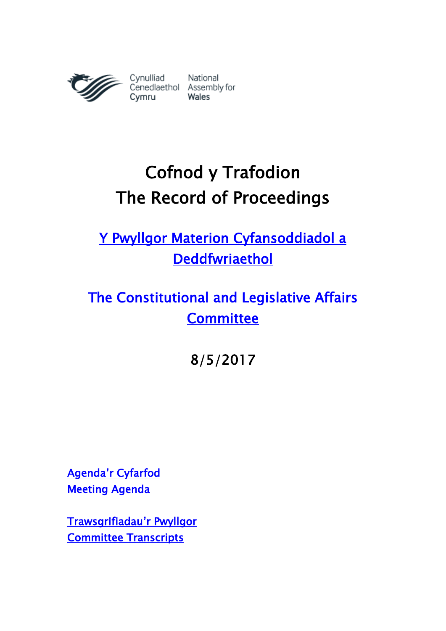

# Cofnod y Trafodion The Record of Proceedings

[Y Pwyllgor Materion Cyfansoddiadol a](http://www.senedd.cynulliad.cymru/mgCommitteeDetails.aspx?ID=434)  [Deddfwriaethol](http://www.senedd.cynulliad.cymru/mgCommitteeDetails.aspx?ID=434) 

[The Constitutional and Legislative Affairs](http://www.senedd.assembly.wales/mgCommitteeDetails.aspx?ID=434)  **Committee** 

8/5/2017

[Agenda'r Cyfarfod](http://senedd.cynulliad.cymru/ieListDocuments.aspx?CId=434&MId=4095&Ver=4) [Meeting Agenda](http://www.senedd.assembly.wales/ieListDocuments.aspx?CId=434&MId=4095&Ver=4) 

[Trawsgrifiadau](http://www.senedd.cynulliad.cymru/mgIssueHistoryHome.aspx?IId=15034)'r Pwyllgor [Committee Transcripts](http://www.senedd.assembly.wales/mgIssueHistoryHome.aspx?IId=15034)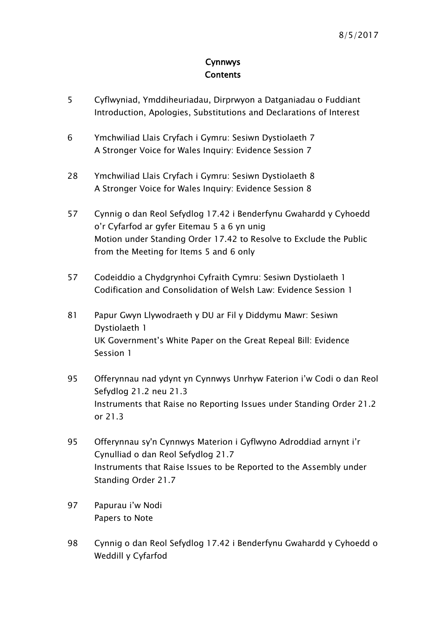#### Cynnwys **Contents**

- [5](#page-4-0) [Cyflwyniad, Ymddiheuriadau, Dirprwyon a Datganiadau o Fuddiant](#page-4-0) [Introduction, Apologies, Substitutions and Declarations of Interest](#page-4-0)
- 6 [Ymchwiliad Llais Cryfach i Gymru: Sesiwn Dystiolaeth 7](#page-5-0) [A Stronger Voice for Wales Inquiry: Evidence Session 7](#page-5-0)
- 28 [Ymchwiliad Llais Cryfach i Gymru: Sesiwn Dystiolaeth 8](#page-27-0) [A Stronger Voice for Wales Inquiry: Evidence Session 8](#page-27-0)
- 57 [Cynnig o dan Reol Sefydlog 17.42 i Benderfynu Gwahardd y Cyhoedd](#page-56-0)  [o'r Cyfarfod ar gyfer Eitemau 5 a 6 yn unig](#page-56-0) [Motion under Standing Order 17.42 to Resolve to Exclude the Public](#page-56-0)  from the [Meeting for Items 5 and 6 only](#page-56-0)
- 57 [Codeiddio a Chydgrynhoi Cyfraith Cymru: Sesiwn Dystiolaeth 1](#page-56-1) [Codification and Consolidation of Welsh](#page-56-1) Law: Evidence Session 1
- 81 [Papur Gwyn Llywodraeth y DU ar Fil y Diddymu Mawr: Sesiwn](#page-80-0)  [Dystiolaeth 1](#page-80-0) [UK Government's White Paper on the Great](#page-80-0) Repeal Bill: Evidence [Session 1](#page-80-0)
- 95 [Offerynnau nad ydynt yn Cynnwys Unrhyw Faterion i'w Codi o da](#page-94-0)n Reol [Sefydlog 21.2 neu 21.3](#page-94-0) [Instruments that Raise no Reporting Issues under Standing Order 21.2](#page-94-0)  [or 21.3](#page-94-0)
- 95 Offerynnau sy'n Cynnwys Mat[erion i Gyflwyno Adroddiad arnynt i'r](#page-94-1)  [Cynulliad o dan Reol Sefydlog 21.7](#page-94-1) [Instruments that Raise Issues to be Reported to the Assembly under](#page-94-1)  [Standing Order 21.7](#page-94-1)
- 97 [Papurau i'w Nodi](#page-96-0) [Papers to Note](#page-96-0)
- 98 [Cynnig o dan Reol Sefydlog 17.42 i Benderfynu Gwahardd y Cyhoedd o](#page-56-0)  [Weddill y Cyfarfod](#page-56-0)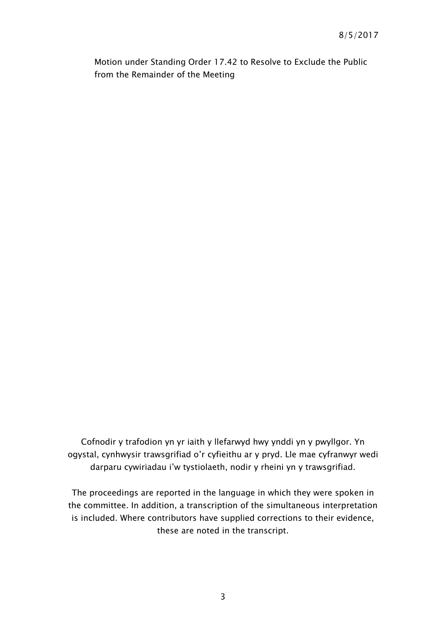[Motion under Standing Order 17.42 to Resolve to Exclude the Public](#page-56-0)  [from the Remainder of the Meeting](#page-56-0)

Cofnodir y trafodion yn yr iaith y llefarwyd hwy ynddi yn y pwyllgor. Yn ogystal, cynhwysir trawsgrifiad o'r cyfieithu ar y pryd. Lle mae cyfranwyr wedi darparu cywiriadau i'w tystiolaeth, nodir y rheini yn y trawsgrifiad.

The proceedings are reported in the language in which they were spoken in the committee. In addition, a transcription of the simultaneous interpretation is included. Where contributors have supplied corrections to their evidence, these are noted in the transcript.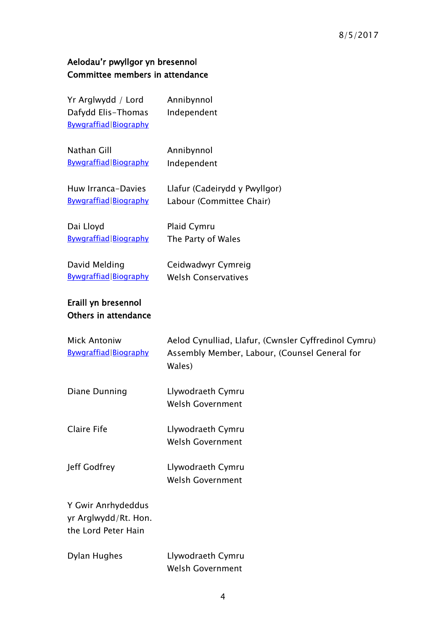# Aelodau'r pwyllgor yn bresennol Committee members in attendance

| Yr Arglwydd / Lord<br>Dafydd Elis-Thomas<br>Bywgraffiad Biography | Annibynnol<br>Independent                                                                                       |
|-------------------------------------------------------------------|-----------------------------------------------------------------------------------------------------------------|
| Nathan Gill<br>Bywgraffiad Biography                              | Annibynnol<br>Independent                                                                                       |
| Huw Irranca-Davies<br>Bywgraffiad Biography                       | Llafur (Cadeirydd y Pwyllgor)<br>Labour (Committee Chair)                                                       |
| Dai Lloyd<br>Bywgraffiad Biography                                | Plaid Cymru<br>The Party of Wales                                                                               |
| David Melding<br>Bywgraffiad   Biography                          | Ceidwadwyr Cymreig<br><b>Welsh Conservatives</b>                                                                |
| Eraill yn bresennol<br>Others in attendance                       |                                                                                                                 |
| <b>Mick Antoniw</b><br>Bywgraffiad Biography                      | Aelod Cynulliad, Llafur, (Cwnsler Cyffredinol Cymru)<br>Assembly Member, Labour, (Counsel General for<br>Wales) |
| Diane Dunning                                                     | Llywodraeth Cymru<br><b>Welsh Government</b>                                                                    |
| Claire Fife                                                       | Llywodraeth Cymru<br><b>Welsh Government</b>                                                                    |
| Jeff Godfrey                                                      | Llywodraeth Cymru<br><b>Welsh Government</b>                                                                    |
| Y Gwir Anrhydeddus<br>yr Arglwydd/Rt. Hon.<br>the Lord Peter Hain |                                                                                                                 |
| Dylan Hughes                                                      | Llywodraeth Cymru<br><b>Welsh Government</b>                                                                    |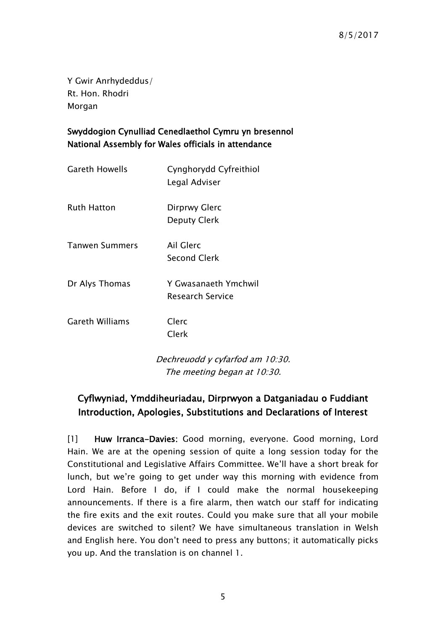Y Gwir Anrhydeddus/ Rt. Hon. Rhodri Morgan

#### Swyddogion Cynulliad Cenedlaethol Cymru yn bresennol National Assembly for Wales officials in attendance

| Gareth Howells  | Cynghorydd Cyfreithiol<br>Legal Adviser  |
|-----------------|------------------------------------------|
| Ruth Hatton     | Dirprwy Glerc<br><b>Deputy Clerk</b>     |
| Tanwen Summers  | Ail Glerc<br><b>Second Clerk</b>         |
| Dr Alys Thomas  | Y Gwasanaeth Ymchwil<br>Research Service |
| Gareth Williams | Clerc<br>Clerk                           |
|                 | Dechreuodd y cyfarfod am 10:30.          |

The meeting began at 10:30.

# <span id="page-4-0"></span>Cyflwyniad, Ymddiheuriadau, Dirprwyon a Datganiadau o Fuddiant Introduction, Apologies, Substitutions and Declarations of Interest

[1] Huw Irranca-Davies: Good morning, everyone, Good morning, Lord Hain. We are at the opening session of quite a long session today for the Constitutional and Legislative Affairs Committee. We'll have a short break for lunch, but we're going to get under way this morning with evidence from Lord Hain. Before I do, if I could make the normal housekeeping announcements. If there is a fire alarm, then watch our staff for indicating the fire exits and the exit routes. Could you make sure that all your mobile devices are switched to silent? We have simultaneous translation in Welsh and English here. You don't need to press any buttons; it automatically picks you up. And the translation is on channel 1.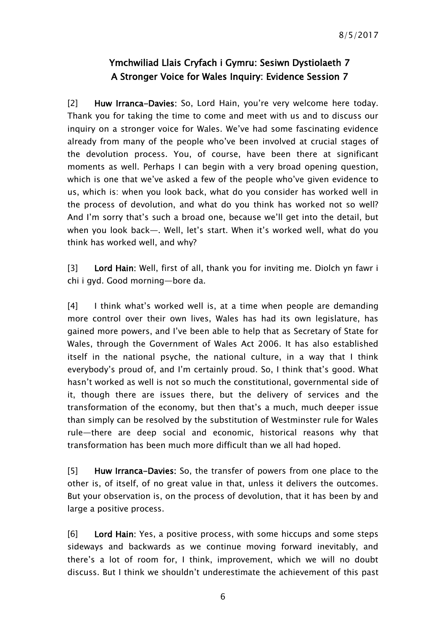### Ymchwiliad Llais Cryfach i Gymru: Sesiwn Dystiolaeth 7 A Stronger Voice for Wales Inquiry: Evidence Session 7

<span id="page-5-0"></span>[2] Huw Irranca-Davies: So, Lord Hain, you're very welcome here today. Thank you for taking the time to come and meet with us and to discuss our inquiry on a stronger voice for Wales. We've had some fascinating evidence already from many of the people who've been involved at crucial stages of the devolution process. You, of course, have been there at significant moments as well. Perhaps I can begin with a very broad opening question, which is one that we've asked a few of the people who've given evidence to us, which is: when you look back, what do you consider has worked well in the process of devolution, and what do you think has worked not so well? And I'm sorry that's such a broad one, because we'll get into the detail, but when you look back—. Well, let's start. When it's worked well, what do you think has worked well, and why?

[3] Lord Hain: Well, first of all, thank you for inviting me. Diolch yn fawr i chi i gyd. Good morning—bore da.

[4] I think what's worked well is, at a time when people are demanding more control over their own lives, Wales has had its own legislature, has gained more powers, and I've been able to help that as Secretary of State for Wales, through the Government of Wales Act 2006. It has also established itself in the national psyche, the national culture, in a way that I think everybody's proud of, and I'm certainly proud. So, I think that's good. What hasn't worked as well is not so much the constitutional, governmental side of it, though there are issues there, but the delivery of services and the transformation of the economy, but then that's a much, much deeper issue than simply can be resolved by the substitution of Westminster rule for Wales rule—there are deep social and economic, historical reasons why that transformation has been much more difficult than we all had hoped.

[5] Huw Irranca-Davies: So, the transfer of powers from one place to the other is, of itself, of no great value in that, unless it delivers the outcomes. But your observation is, on the process of devolution, that it has been by and large a positive process.

[6] Lord Hain: Yes, a positive process, with some hiccups and some steps sideways and backwards as we continue moving forward inevitably, and there's a lot of room for, I think, improvement, which we will no doubt discuss. But I think we shouldn't underestimate the achievement of this past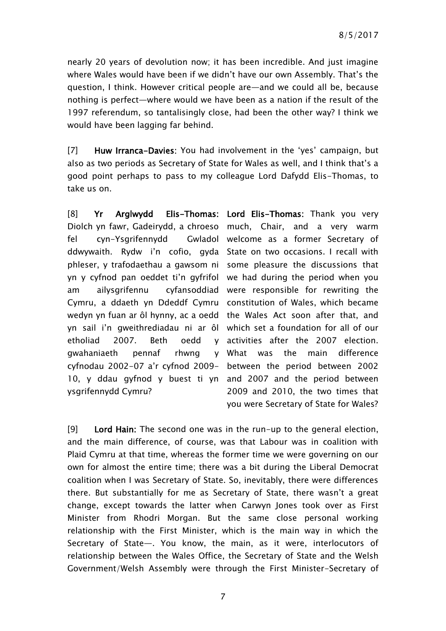nearly 20 years of devolution now; it has been incredible. And just imagine where Wales would have been if we didn't have our own Assembly. That's the question, I think. However critical people are—and we could all be, because nothing is perfect—where would we have been as a nation if the result of the 1997 referendum, so tantalisingly close, had been the other way? I think we would have been lagging far behind.

[7] Huw Irranca-Davies: You had involvement in the 'yes' campaign, but also as two periods as Secretary of State for Wales as well, and I think that's a good point perhaps to pass to my colleague Lord Dafydd Elis-Thomas, to take us on.

[8] Yr Arglwydd Elis-Thomas: Lord Elis-Thomas: Thank you very Diolch yn fawr, Gadeirydd, a chroeso much, Chair, and a very warm fel cyn-Ysgrifennydd ddwywaith. Rydw i'n cofio, gyda State on two occasions. I recall with phleser, y trafodaethau a gawsom ni some pleasure the discussions that yn y cyfnod pan oeddet ti'n gyfrifol we had during the period when you am ailysgrifennu cyfansoddiad were responsible for rewriting the Cymru, a ddaeth yn Ddeddf Cymru constitution of Wales, which became wedyn yn fuan ar ôl hynny, ac a oedd the Wales Act soon after that, and yn sail i'n gweithrediadau ni ar ôl which set a foundation for all of our etholiad 2007. Beth oedd gwahaniaeth pennaf rhwng cyfnodau 2002-07 a'r cyfnod 2009- between the period between 2002 10, y ddau gyfnod y buest ti yn and 2007 and the period between ysgrifennydd Cymru?

Gwladol welcome as a former Secretary of activities after the 2007 election. What was the main difference 2009 and 2010, the two times that you were Secretary of State for Wales?

[9] Lord Hain: The second one was in the run-up to the general election, and the main difference, of course, was that Labour was in coalition with Plaid Cymru at that time, whereas the former time we were governing on our own for almost the entire time; there was a bit during the Liberal Democrat coalition when I was Secretary of State. So, inevitably, there were differences there. But substantially for me as Secretary of State, there wasn't a great change, except towards the latter when Carwyn Jones took over as First Minister from Rhodri Morgan. But the same close personal working relationship with the First Minister, which is the main way in which the Secretary of State—. You know, the main, as it were, interlocutors of relationship between the Wales Office, the Secretary of State and the Welsh Government/Welsh Assembly were through the First Minister-Secretary of

7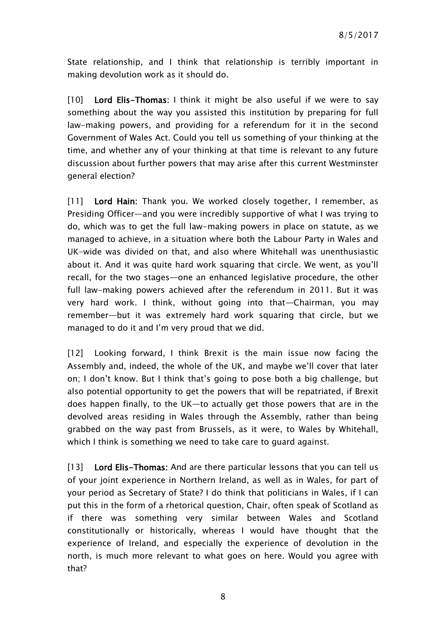State relationship, and I think that relationship is terribly important in making devolution work as it should do.

[10] Lord Elis-Thomas: I think it might be also useful if we were to say something about the way you assisted this institution by preparing for full law-making powers, and providing for a referendum for it in the second Government of Wales Act. Could you tell us something of your thinking at the time, and whether any of your thinking at that time is relevant to any future discussion about further powers that may arise after this current Westminster general election?

[11] Lord Hain: Thank you. We worked closely together, I remember, as Presiding Officer—and you were incredibly supportive of what I was trying to do, which was to get the full law-making powers in place on statute, as we managed to achieve, in a situation where both the Labour Party in Wales and UK-wide was divided on that, and also where Whitehall was unenthusiastic about it. And it was quite hard work squaring that circle. We went, as you'll recall, for the two stages—one an enhanced legislative procedure, the other full law-making powers achieved after the referendum in 2011. But it was very hard work. I think, without going into that—Chairman, you may remember—but it was extremely hard work squaring that circle, but we managed to do it and I'm very proud that we did.

[12] Looking forward, I think Brexit is the main issue now facing the Assembly and, indeed, the whole of the UK, and maybe we'll cover that later on; I don't know. But I think that's going to pose both a big challenge, but also potential opportunity to get the powers that will be repatriated, if Brexit does happen finally, to the UK—to actually get those powers that are in the devolved areas residing in Wales through the Assembly, rather than being grabbed on the way past from Brussels, as it were, to Wales by Whitehall, which I think is something we need to take care to guard against.

[13] Lord Elis-Thomas: And are there particular lessons that you can tell us of your joint experience in Northern Ireland, as well as in Wales, for part of your period as Secretary of State? I do think that politicians in Wales, if I can put this in the form of a rhetorical question, Chair, often speak of Scotland as if there was something very similar between Wales and Scotland constitutionally or historically, whereas I would have thought that the experience of Ireland, and especially the experience of devolution in the north, is much more relevant to what goes on here. Would you agree with that?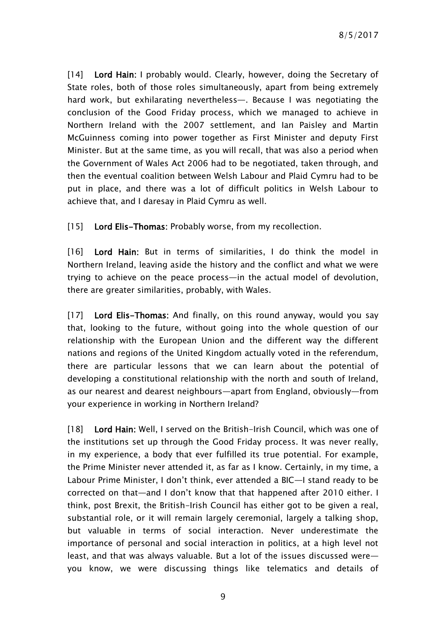[14] Lord Hain: I probably would. Clearly, however, doing the Secretary of State roles, both of those roles simultaneously, apart from being extremely hard work, but exhilarating nevertheless—. Because I was negotiating the conclusion of the Good Friday process, which we managed to achieve in Northern Ireland with the 2007 settlement, and Ian Paisley and Martin McGuinness coming into power together as First Minister and deputy First Minister. But at the same time, as you will recall, that was also a period when the Government of Wales Act 2006 had to be negotiated, taken through, and then the eventual coalition between Welsh Labour and Plaid Cymru had to be put in place, and there was a lot of difficult politics in Welsh Labour to achieve that, and I daresay in Plaid Cymru as well.

[15] Lord Elis-Thomas: Probably worse, from my recollection.

[16] Lord Hain: But in terms of similarities, I do think the model in Northern Ireland, leaving aside the history and the conflict and what we were trying to achieve on the peace process—in the actual model of devolution, there are greater similarities, probably, with Wales.

[17] Lord Elis-Thomas: And finally, on this round anyway, would you say that, looking to the future, without going into the whole question of our relationship with the European Union and the different way the different nations and regions of the United Kingdom actually voted in the referendum, there are particular lessons that we can learn about the potential of developing a constitutional relationship with the north and south of Ireland, as our nearest and dearest neighbours—apart from England, obviously—from your experience in working in Northern Ireland?

[18] Lord Hain: Well, I served on the British-Irish Council, which was one of the institutions set up through the Good Friday process. It was never really, in my experience, a body that ever fulfilled its true potential. For example, the Prime Minister never attended it, as far as I know. Certainly, in my time, a Labour Prime Minister, I don't think, ever attended a BIC—I stand ready to be corrected on that—and I don't know that that happened after 2010 either. I think, post Brexit, the British-Irish Council has either got to be given a real, substantial role, or it will remain largely ceremonial, largely a talking shop, but valuable in terms of social interaction. Never underestimate the importance of personal and social interaction in politics, at a high level not least, and that was always valuable. But a lot of the issues discussed were you know, we were discussing things like telematics and details of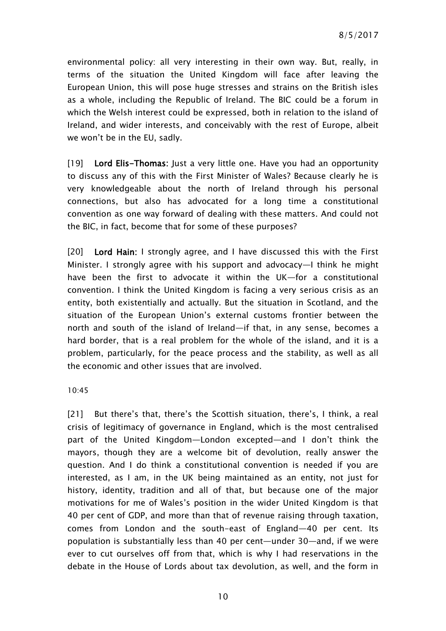environmental policy: all very interesting in their own way. But, really, in terms of the situation the United Kingdom will face after leaving the European Union, this will pose huge stresses and strains on the British isles as a whole, including the Republic of Ireland. The BIC could be a forum in which the Welsh interest could be expressed, both in relation to the island of Ireland, and wider interests, and conceivably with the rest of Europe, albeit we won't be in the EU, sadly.

[19] Lord Elis-Thomas: Just a very little one. Have you had an opportunity to discuss any of this with the First Minister of Wales? Because clearly he is very knowledgeable about the north of Ireland through his personal connections, but also has advocated for a long time a constitutional convention as one way forward of dealing with these matters. And could not the BIC, in fact, become that for some of these purposes?

[20] Lord Hain: I strongly agree, and I have discussed this with the First Minister. I strongly agree with his support and advocacy—I think he might have been the first to advocate it within the UK—for a constitutional convention. I think the United Kingdom is facing a very serious crisis as an entity, both existentially and actually. But the situation in Scotland, and the situation of the European Union's external customs frontier between the north and south of the island of Ireland—if that, in any sense, becomes a hard border, that is a real problem for the whole of the island, and it is a problem, particularly, for the peace process and the stability, as well as all the economic and other issues that are involved.

10:45

[21] But there's that, there's the Scottish situation, there's, I think, a real crisis of legitimacy of governance in England, which is the most centralised part of the United Kingdom—London excepted—and I don't think the mayors, though they are a welcome bit of devolution, really answer the question. And I do think a constitutional convention is needed if you are interested, as I am, in the UK being maintained as an entity, not just for history, identity, tradition and all of that, but because one of the major motivations for me of Wales's position in the wider United Kingdom is that 40 per cent of GDP, and more than that of revenue raising through taxation, comes from London and the south-east of England—40 per cent. Its population is substantially less than 40 per cent—under 30—and, if we were ever to cut ourselves off from that, which is why I had reservations in the debate in the House of Lords about tax devolution, as well, and the form in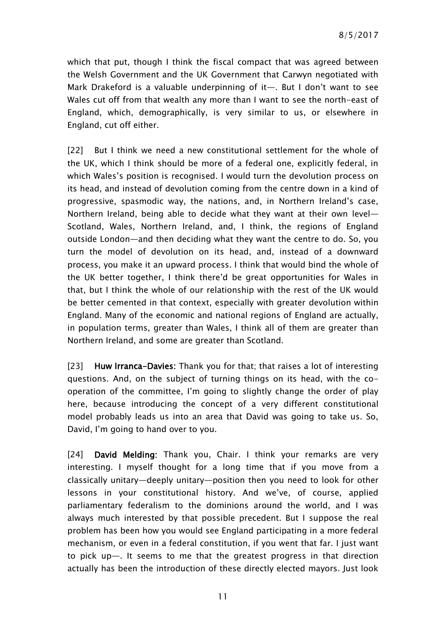which that put, though I think the fiscal compact that was agreed between the Welsh Government and the UK Government that Carwyn negotiated with Mark Drakeford is a valuable underpinning of it—. But I don't want to see Wales cut off from that wealth any more than I want to see the north-east of England, which, demographically, is very similar to us, or elsewhere in England, cut off either.

[22] But I think we need a new constitutional settlement for the whole of the UK, which I think should be more of a federal one, explicitly federal, in which Wales's position is recognised. I would turn the devolution process on its head, and instead of devolution coming from the centre down in a kind of progressive, spasmodic way, the nations, and, in Northern Ireland's case, Northern Ireland, being able to decide what they want at their own level— Scotland, Wales, Northern Ireland, and, I think, the regions of England outside London—and then deciding what they want the centre to do. So, you turn the model of devolution on its head, and, instead of a downward process, you make it an upward process. I think that would bind the whole of the UK better together, I think there'd be great opportunities for Wales in that, but I think the whole of our relationship with the rest of the UK would be better cemented in that context, especially with greater devolution within England. Many of the economic and national regions of England are actually, in population terms, greater than Wales, I think all of them are greater than Northern Ireland, and some are greater than Scotland.

[23] Huw Irranca-Davies: Thank you for that; that raises a lot of interesting questions. And, on the subject of turning things on its head, with the cooperation of the committee, I'm going to slightly change the order of play here, because introducing the concept of a very different constitutional model probably leads us into an area that David was going to take us. So, David, I'm going to hand over to you.

[24] David Melding: Thank you, Chair. I think your remarks are very interesting. I myself thought for a long time that if you move from a classically unitary—deeply unitary—position then you need to look for other lessons in your constitutional history. And we've, of course, applied parliamentary federalism to the dominions around the world, and I was always much interested by that possible precedent. But I suppose the real problem has been how you would see England participating in a more federal mechanism, or even in a federal constitution, if you went that far. I just want to pick up—. It seems to me that the greatest progress in that direction actually has been the introduction of these directly elected mayors. Just look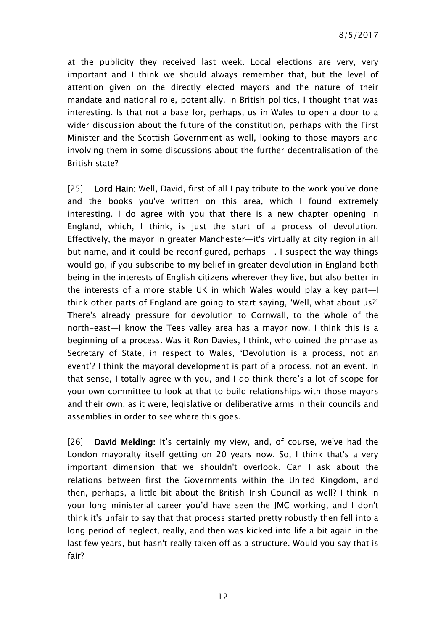at the publicity they received last week. Local elections are very, very important and I think we should always remember that, but the level of attention given on the directly elected mayors and the nature of their mandate and national role, potentially, in British politics, I thought that was interesting. Is that not a base for, perhaps, us in Wales to open a door to a wider discussion about the future of the constitution, perhaps with the First Minister and the Scottish Government as well, looking to those mayors and involving them in some discussions about the further decentralisation of the British state?

[25] Lord Hain: Well, David, first of all I pay tribute to the work you've done and the books you've written on this area, which I found extremely interesting. I do agree with you that there is a new chapter opening in England, which, I think, is just the start of a process of devolution. Effectively, the mayor in greater Manchester—it's virtually at city region in all but name, and it could be reconfigured, perhaps—. I suspect the way things would go, if you subscribe to my belief in greater devolution in England both being in the interests of English citizens wherever they live, but also better in the interests of a more stable UK in which Wales would play a key part—I think other parts of England are going to start saying, 'Well, what about us?' There's already pressure for devolution to Cornwall, to the whole of the north-east—I know the Tees valley area has a mayor now. I think this is a beginning of a process. Was it Ron Davies, I think, who coined the phrase as Secretary of State, in respect to Wales, 'Devolution is a process, not an event'? I think the mayoral development is part of a process, not an event. In that sense, I totally agree with you, and I do think there's a lot of scope for your own committee to look at that to build relationships with those mayors and their own, as it were, legislative or deliberative arms in their councils and assemblies in order to see where this goes.

[26] David Melding: It's certainly my view, and, of course, we've had the London mayoralty itself getting on 20 years now. So, I think that's a very important dimension that we shouldn't overlook. Can I ask about the relations between first the Governments within the United Kingdom, and then, perhaps, a little bit about the British-Irish Council as well? I think in your long ministerial career you'd have seen the JMC working, and I don't think it's unfair to say that that process started pretty robustly then fell into a long period of neglect, really, and then was kicked into life a bit again in the last few years, but hasn't really taken off as a structure. Would you say that is fair?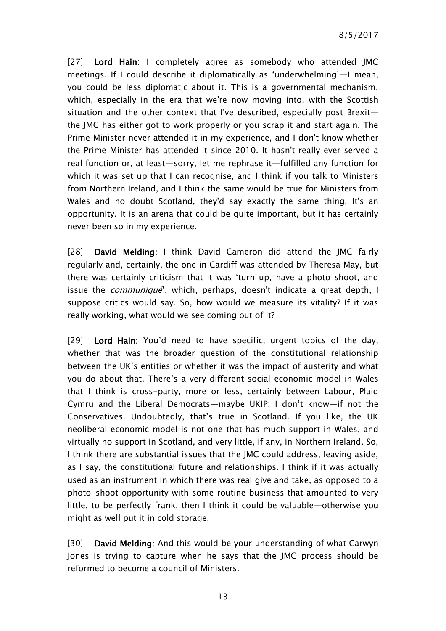8/5/2017

[27] Lord Hain: I completely agree as somebody who attended IMC meetings. If I could describe it diplomatically as 'underwhelming'—I mean, you could be less diplomatic about it. This is a governmental mechanism, which, especially in the era that we're now moving into, with the Scottish situation and the other context that I've described, especially post Brexit the JMC has either got to work properly or you scrap it and start again. The Prime Minister never attended it in my experience, and I don't know whether the Prime Minister has attended it since 2010. It hasn't really ever served a real function or, at least—sorry, let me rephrase it—fulfilled any function for which it was set up that I can recognise, and I think if you talk to Ministers from Northern Ireland, and I think the same would be true for Ministers from Wales and no doubt Scotland, they'd say exactly the same thing. It's an opportunity. It is an arena that could be quite important, but it has certainly never been so in my experience.

[28] David Melding: I think David Cameron did attend the JMC fairly regularly and, certainly, the one in Cardiff was attended by Theresa May, but there was certainly criticism that it was 'turn up, have a photo shoot, and issue the *communique*<sup>'</sup>, which, perhaps, doesn't indicate a great depth, I suppose critics would say. So, how would we measure its vitality? If it was really working, what would we see coming out of it?

[29] Lord Hain: You'd need to have specific, urgent topics of the day, whether that was the broader question of the constitutional relationship between the UK's entities or whether it was the impact of austerity and what you do about that. There's a very different social economic model in Wales that I think is cross-party, more or less, certainly between Labour, Plaid Cymru and the Liberal Democrats—maybe UKIP; I don't know—if not the Conservatives. Undoubtedly, that's true in Scotland. If you like, the UK neoliberal economic model is not one that has much support in Wales, and virtually no support in Scotland, and very little, if any, in Northern Ireland. So, I think there are substantial issues that the JMC could address, leaving aside, as I say, the constitutional future and relationships. I think if it was actually used as an instrument in which there was real give and take, as opposed to a photo-shoot opportunity with some routine business that amounted to very little, to be perfectly frank, then I think it could be valuable—otherwise you might as well put it in cold storage.

[30] David Melding: And this would be your understanding of what Carwyn Jones is trying to capture when he says that the JMC process should be reformed to become a council of Ministers.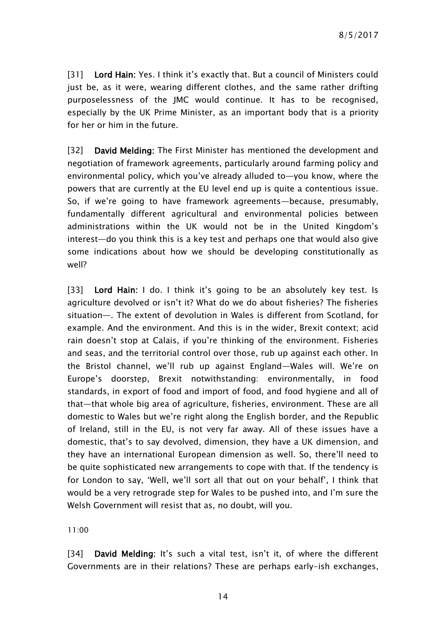[31] Lord Hain: Yes. I think it's exactly that. But a council of Ministers could just be, as it were, wearing different clothes, and the same rather drifting purposelessness of the JMC would continue. It has to be recognised, especially by the UK Prime Minister, as an important body that is a priority for her or him in the future.

[32] David Melding: The First Minister has mentioned the development and negotiation of framework agreements, particularly around farming policy and environmental policy, which you've already alluded to—you know, where the powers that are currently at the EU level end up is quite a contentious issue. So, if we're going to have framework agreements—because, presumably, fundamentally different agricultural and environmental policies between administrations within the UK would not be in the United Kingdom's interest—do you think this is a key test and perhaps one that would also give some indications about how we should be developing constitutionally as well?

[33] Lord Hain: I do. I think it's going to be an absolutely key test. Is agriculture devolved or isn't it? What do we do about fisheries? The fisheries situation—. The extent of devolution in Wales is different from Scotland, for example. And the environment. And this is in the wider, Brexit context; acid rain doesn't stop at Calais, if you're thinking of the environment. Fisheries and seas, and the territorial control over those, rub up against each other. In the Bristol channel, we'll rub up against England—Wales will. We're on Europe's doorstep, Brexit notwithstanding: environmentally, in food standards, in export of food and import of food, and food hygiene and all of that—that whole big area of agriculture, fisheries, environment. These are all domestic to Wales but we're right along the English border, and the Republic of Ireland, still in the EU, is not very far away. All of these issues have a domestic, that's to say devolved, dimension, they have a UK dimension, and they have an international European dimension as well. So, there'll need to be quite sophisticated new arrangements to cope with that. If the tendency is for London to say, 'Well, we'll sort all that out on your behalf', I think that would be a very retrograde step for Wales to be pushed into, and I'm sure the Welsh Government will resist that as, no doubt, will you.

11:00

[34] David Melding: It's such a vital test, isn't it, of where the different Governments are in their relations? These are perhaps early-ish exchanges,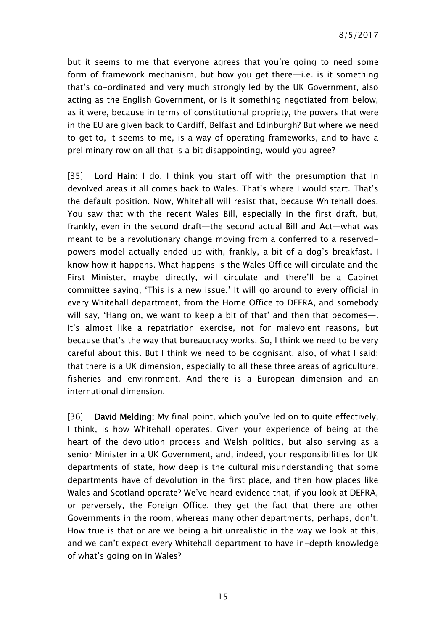but it seems to me that everyone agrees that you're going to need some form of framework mechanism, but how you get there—i.e. is it something that's co-ordinated and very much strongly led by the UK Government, also acting as the English Government, or is it something negotiated from below, as it were, because in terms of constitutional propriety, the powers that were in the EU are given back to Cardiff, Belfast and Edinburgh? But where we need to get to, it seems to me, is a way of operating frameworks, and to have a preliminary row on all that is a bit disappointing, would you agree?

[35] Lord Hain: I do. I think you start off with the presumption that in devolved areas it all comes back to Wales. That's where I would start. That's the default position. Now, Whitehall will resist that, because Whitehall does. You saw that with the recent Wales Bill, especially in the first draft, but, frankly, even in the second draft—the second actual Bill and Act—what was meant to be a revolutionary change moving from a conferred to a reservedpowers model actually ended up with, frankly, a bit of a dog's breakfast. I know how it happens. What happens is the Wales Office will circulate and the First Minister, maybe directly, will circulate and there'll be a Cabinet committee saying, 'This is a new issue.' It will go around to every official in every Whitehall department, from the Home Office to DEFRA, and somebody will say, 'Hang on, we want to keep a bit of that' and then that becomes—. It's almost like a repatriation exercise, not for malevolent reasons, but because that's the way that bureaucracy works. So, I think we need to be very careful about this. But I think we need to be cognisant, also, of what I said: that there is a UK dimension, especially to all these three areas of agriculture, fisheries and environment. And there is a European dimension and an international dimension.

[36] David Melding: My final point, which you've led on to quite effectively, I think, is how Whitehall operates. Given your experience of being at the heart of the devolution process and Welsh politics, but also serving as a senior Minister in a UK Government, and, indeed, your responsibilities for UK departments of state, how deep is the cultural misunderstanding that some departments have of devolution in the first place, and then how places like Wales and Scotland operate? We've heard evidence that, if you look at DEFRA, or perversely, the Foreign Office, they get the fact that there are other Governments in the room, whereas many other departments, perhaps, don't. How true is that or are we being a bit unrealistic in the way we look at this, and we can't expect every Whitehall department to have in-depth knowledge of what's going on in Wales?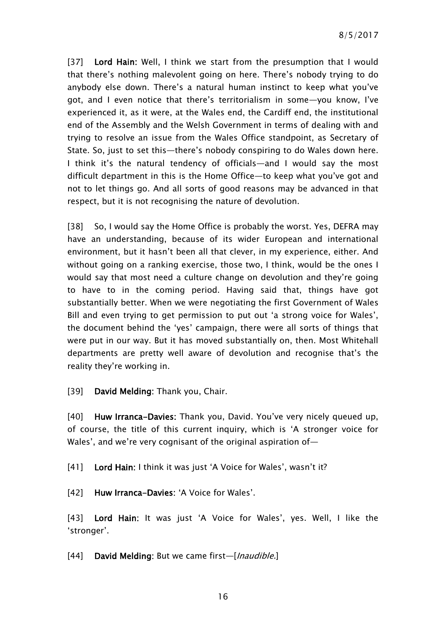[37] Lord Hain: Well, I think we start from the presumption that I would that there's nothing malevolent going on here. There's nobody trying to do anybody else down. There's a natural human instinct to keep what you've got, and I even notice that there's territorialism in some—you know, I've experienced it, as it were, at the Wales end, the Cardiff end, the institutional end of the Assembly and the Welsh Government in terms of dealing with and trying to resolve an issue from the Wales Office standpoint, as Secretary of State. So, just to set this—there's nobody conspiring to do Wales down here. I think it's the natural tendency of officials—and I would say the most difficult department in this is the Home Office—to keep what you've got and not to let things go. And all sorts of good reasons may be advanced in that respect, but it is not recognising the nature of devolution.

[38] So, I would say the Home Office is probably the worst. Yes, DEFRA may have an understanding, because of its wider European and international environment, but it hasn't been all that clever, in my experience, either. And without going on a ranking exercise, those two, I think, would be the ones I would say that most need a culture change on devolution and they're going to have to in the coming period. Having said that, things have got substantially better. When we were negotiating the first Government of Wales Bill and even trying to get permission to put out 'a strong voice for Wales', the document behind the 'yes' campaign, there were all sorts of things that were put in our way. But it has moved substantially on, then. Most Whitehall departments are pretty well aware of devolution and recognise that's the reality they're working in.

[39] **David Melding:** Thank you, Chair.

[40] Huw Irranca-Davies: Thank you, David. You've very nicely queued up, of course, the title of this current inquiry, which is 'A stronger voice for Wales', and we're very cognisant of the original aspiration of—

[41] Lord Hain: I think it was just 'A Voice for Wales', wasn't it?

[42] Huw Irranca-Davies: 'A Voice for Wales'.

[43] Lord Hain: It was just 'A Voice for Wales', yes. Well, I like the 'stronger'.

[44] David Melding: But we came first-[*Inaudible.*]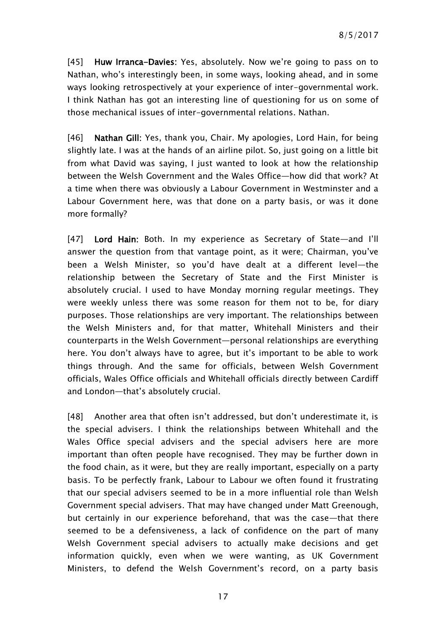[45] Huw Irranca-Davies: Yes, absolutely. Now we're going to pass on to Nathan, who's interestingly been, in some ways, looking ahead, and in some ways looking retrospectively at your experience of inter-governmental work. I think Nathan has got an interesting line of questioning for us on some of those mechanical issues of inter-governmental relations. Nathan.

[46] Nathan Gill: Yes, thank you, Chair. My apologies, Lord Hain, for being slightly late. I was at the hands of an airline pilot. So, just going on a little bit from what David was saying, I just wanted to look at how the relationship between the Welsh Government and the Wales Office—how did that work? At a time when there was obviously a Labour Government in Westminster and a Labour Government here, was that done on a party basis, or was it done more formally?

[47] Lord Hain: Both. In my experience as Secretary of State—and I'll answer the question from that vantage point, as it were; Chairman, you've been a Welsh Minister, so you'd have dealt at a different level—the relationship between the Secretary of State and the First Minister is absolutely crucial. I used to have Monday morning regular meetings. They were weekly unless there was some reason for them not to be, for diary purposes. Those relationships are very important. The relationships between the Welsh Ministers and, for that matter, Whitehall Ministers and their counterparts in the Welsh Government—personal relationships are everything here. You don't always have to agree, but it's important to be able to work things through. And the same for officials, between Welsh Government officials, Wales Office officials and Whitehall officials directly between Cardiff and London—that's absolutely crucial.

[48] Another area that often isn't addressed, but don't underestimate it, is the special advisers. I think the relationships between Whitehall and the Wales Office special advisers and the special advisers here are more important than often people have recognised. They may be further down in the food chain, as it were, but they are really important, especially on a party basis. To be perfectly frank, Labour to Labour we often found it frustrating that our special advisers seemed to be in a more influential role than Welsh Government special advisers. That may have changed under Matt Greenough, but certainly in our experience beforehand, that was the case—that there seemed to be a defensiveness, a lack of confidence on the part of many Welsh Government special advisers to actually make decisions and get information quickly, even when we were wanting, as UK Government Ministers, to defend the Welsh Government's record, on a party basis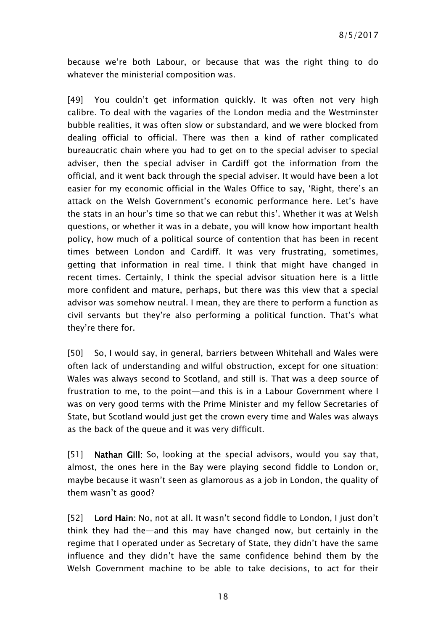because we're both Labour, or because that was the right thing to do whatever the ministerial composition was.

[49] You couldn't get information quickly. It was often not very high calibre. To deal with the vagaries of the London media and the Westminster bubble realities, it was often slow or substandard, and we were blocked from dealing official to official. There was then a kind of rather complicated bureaucratic chain where you had to get on to the special adviser to special adviser, then the special adviser in Cardiff got the information from the official, and it went back through the special adviser. It would have been a lot easier for my economic official in the Wales Office to say, 'Right, there's an attack on the Welsh Government's economic performance here. Let's have the stats in an hour's time so that we can rebut this'. Whether it was at Welsh questions, or whether it was in a debate, you will know how important health policy, how much of a political source of contention that has been in recent times between London and Cardiff. It was very frustrating, sometimes, getting that information in real time. I think that might have changed in recent times. Certainly, I think the special advisor situation here is a little more confident and mature, perhaps, but there was this view that a special advisor was somehow neutral. I mean, they are there to perform a function as civil servants but they're also performing a political function. That's what they're there for.

[50] So, I would say, in general, barriers between Whitehall and Wales were often lack of understanding and wilful obstruction, except for one situation: Wales was always second to Scotland, and still is. That was a deep source of frustration to me, to the point—and this is in a Labour Government where I was on very good terms with the Prime Minister and my fellow Secretaries of State, but Scotland would just get the crown every time and Wales was always as the back of the queue and it was very difficult.

[51] Nathan Gill: So, looking at the special advisors, would you say that, almost, the ones here in the Bay were playing second fiddle to London or, maybe because it wasn't seen as glamorous as a job in London, the quality of them wasn't as good?

[52] Lord Hain: No, not at all. It wasn't second fiddle to London, I just don't think they had the—and this may have changed now, but certainly in the regime that I operated under as Secretary of State, they didn't have the same influence and they didn't have the same confidence behind them by the Welsh Government machine to be able to take decisions, to act for their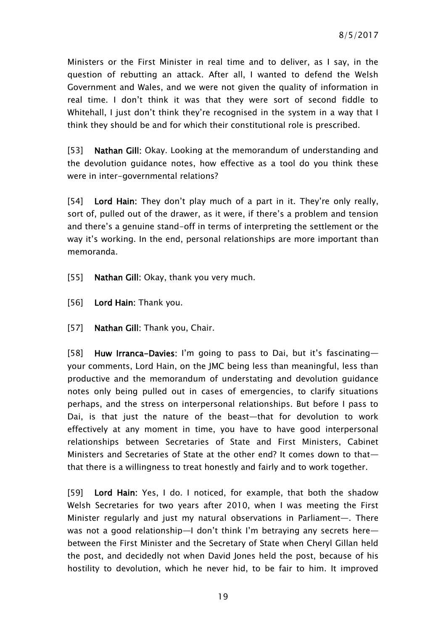Ministers or the First Minister in real time and to deliver, as I say, in the question of rebutting an attack. After all, I wanted to defend the Welsh Government and Wales, and we were not given the quality of information in real time. I don't think it was that they were sort of second fiddle to Whitehall, I just don't think they're recognised in the system in a way that I think they should be and for which their constitutional role is prescribed.

[53] Nathan Gill: Okay. Looking at the memorandum of understanding and the devolution guidance notes, how effective as a tool do you think these were in inter-governmental relations?

[54] Lord Hain: They don't play much of a part in it. They're only really, sort of, pulled out of the drawer, as it were, if there's a problem and tension and there's a genuine stand-off in terms of interpreting the settlement or the way it's working. In the end, personal relationships are more important than memoranda.

- [55] Nathan Gill: Okay, thank you very much.
- [56] Lord Hain: Thank you.
- [57] Nathan Gill: Thank you, Chair.

[58] Huw Irranca-Davies: I'm going to pass to Dai, but it's fascinating your comments, Lord Hain, on the JMC being less than meaningful, less than productive and the memorandum of understating and devolution guidance notes only being pulled out in cases of emergencies, to clarify situations perhaps, and the stress on interpersonal relationships. But before I pass to Dai, is that just the nature of the beast—that for devolution to work effectively at any moment in time, you have to have good interpersonal relationships between Secretaries of State and First Ministers, Cabinet Ministers and Secretaries of State at the other end? It comes down to that that there is a willingness to treat honestly and fairly and to work together.

[59] Lord Hain: Yes, I do. I noticed, for example, that both the shadow Welsh Secretaries for two years after 2010, when I was meeting the First Minister regularly and just my natural observations in Parliament—. There was not a good relationship—I don't think I'm betraying any secrets here between the First Minister and the Secretary of State when Cheryl Gillan held the post, and decidedly not when David Jones held the post, because of his hostility to devolution, which he never hid, to be fair to him. It improved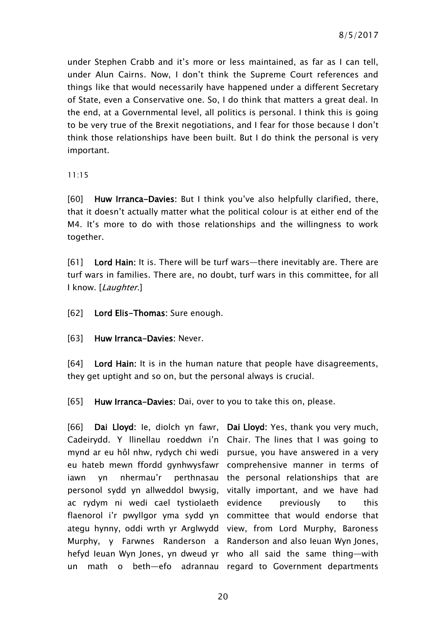under Stephen Crabb and it's more or less maintained, as far as I can tell, under Alun Cairns. Now, I don't think the Supreme Court references and things like that would necessarily have happened under a different Secretary of State, even a Conservative one. So, I do think that matters a great deal. In the end, at a Governmental level, all politics is personal. I think this is going to be very true of the Brexit negotiations, and I fear for those because I don't think those relationships have been built. But I do think the personal is very important.

11:15

[60] Huw Irranca-Davies: But I think you've also helpfully clarified, there, that it doesn't actually matter what the political colour is at either end of the M4. It's more to do with those relationships and the willingness to work together.

[61] Lord Hain: It is. There will be turf wars—there inevitably are. There are turf wars in families. There are, no doubt, turf wars in this committee, for all I know. [Laughter.]

[62] Lord Elis-Thomas: Sure enough.

[63] Huw Irranca-Davies: Never.

[64] Lord Hain: It is in the human nature that people have disagreements, they get uptight and so on, but the personal always is crucial.

[65] Huw Irranca-Davies: Dai, over to you to take this on, please.

[66] Dai Lloyd: le, diolch yn fawr, Dai Lloyd: Yes, thank you very much, Cadeirydd. Y llinellau roeddwn i'n Chair. The lines that I was going to mynd ar eu hôl nhw, rydych chi wedi pursue, you have answered in a very eu hateb mewn ffordd gynhwysfawr comprehensive manner in terms of iawn yn nhermau'r personol sydd yn allweddol bwysig, ac rydym ni wedi cael tystiolaeth flaenorol i'r pwyllgor yma sydd yn committee that would endorse that ategu hynny, oddi wrth yr Arglwydd view, from Lord Murphy, Baroness Murphy, y Farwnes Randerson a Randerson and also Ieuan Wyn Jones, hefyd Ieuan Wyn Jones, yn dweud yr who all said the same thing—with un math o beth—efo adrannau regard to Government departments

perthnasau the personal relationships that are vitally important, and we have had previously to this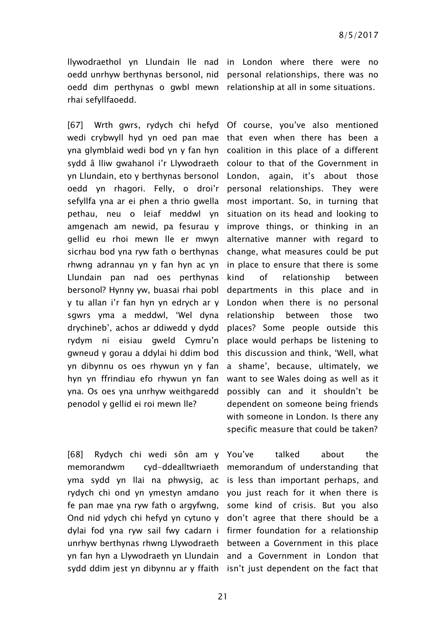oedd dim perthynas o gwbl mewn relationship at all in some situations. rhai sefyllfaoedd.

[67] Wrth gwrs, rydych chi hefyd Of course, you've also mentioned wedi crybwyll hyd yn oed pan mae that even when there has been a yna glymblaid wedi bod yn y fan hyn coalition in this place of a different sydd â lliw gwahanol i'r Llywodraeth colour to that of the Government in yn Llundain, eto y berthynas bersonol oedd yn rhagori. Felly, o droi'r sefyllfa yna ar ei phen a thrio gwella most important. So, in turning that pethau, neu o leiaf meddwl yn situation on its head and looking to amgenach am newid, pa fesurau y improve things, or thinking in an gellid eu rhoi mewn lle er mwyn alternative manner with regard to sicrhau bod yna ryw fath o berthynas rhwng adrannau yn y fan hyn ac yn Llundain pan nad oes perthynas bersonol? Hynny yw, buasai rhai pobl y tu allan i'r fan hyn yn edrych ar y sgwrs yma a meddwl, 'Wel dyna drychineb', achos ar ddiwedd y dydd places? Some people outside this rydym ni eisiau gweld Cymru'n gwneud y gorau a ddylai hi ddim bod yn dibynnu os oes rhywun yn y fan hyn yn ffrindiau efo rhywun yn fan yna. Os oes yna unrhyw weithgaredd penodol y gellid ei roi mewn lle?

[68] Rydych chi wedi sôn am y You've talked about the memorandwm cyd-ddealltwriaeth memorandum of understanding that yma sydd yn llai na phwysig, ac is less than important perhaps, and rydych chi ond yn ymestyn amdano you just reach for it when there is fe pan mae yna ryw fath o argyfwng, some kind of crisis. But you also Ond nid ydych chi hefyd yn cytuno y don't agree that there should be a dylai fod yna ryw sail fwy cadarn i firmer foundation for a relationship unrhyw berthynas rhwng Llywodraeth between a Government in this place yn fan hyn a Llywodraeth yn Llundain and a Government in London that sydd ddim jest yn dibynnu ar y ffaith isn't just dependent on the fact that

llywodraethol yn Llundain lle nad in London where there were no oedd unrhyw berthynas bersonol, nid personal relationships, there was no

> London, again, it's about those personal relationships. They were change, what measures could be put in place to ensure that there is some kind of relationship between departments in this place and in London when there is no personal relationship between those two place would perhaps be listening to this discussion and think, 'Well, what a shame', because, ultimately, we want to see Wales doing as well as it possibly can and it shouldn't be dependent on someone being friends with someone in London. Is there any specific measure that could be taken?

21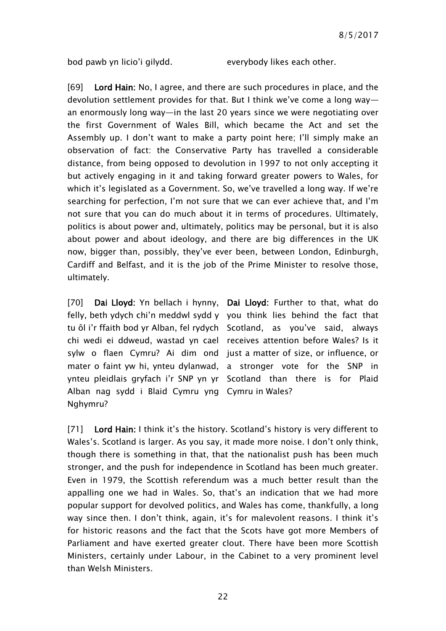bod pawb yn licio'i gilydd. everybody likes each other.

[69] Lord Hain: No, I agree, and there are such procedures in place, and the devolution settlement provides for that. But I think we've come a long way an enormously long way—in the last 20 years since we were negotiating over the first Government of Wales Bill, which became the Act and set the Assembly up. I don't want to make a party point here; I'll simply make an observation of fact: the Conservative Party has travelled a considerable distance, from being opposed to devolution in 1997 to not only accepting it but actively engaging in it and taking forward greater powers to Wales, for which it's legislated as a Government. So, we've travelled a long way. If we're searching for perfection, I'm not sure that we can ever achieve that, and I'm not sure that you can do much about it in terms of procedures. Ultimately, politics is about power and, ultimately, politics may be personal, but it is also about power and about ideology, and there are big differences in the UK now, bigger than, possibly, they've ever been, between London, Edinburgh, Cardiff and Belfast, and it is the job of the Prime Minister to resolve those, ultimately.

[70] Dai Lloyd: Yn bellach i hynny, Dai Lloyd: Further to that, what do felly, beth ydych chi'n meddwl sydd y you think lies behind the fact that tu ôl i'r ffaith bod yr Alban, fel rydych Scotland, as you've said, always chi wedi ei ddweud, wastad yn cael receives attention before Wales? Is it sylw o flaen Cymru? Ai dim ond just a matter of size, or influence, or mater o faint yw hi, ynteu dylanwad, a stronger vote for the SNP in ynteu pleidlais gryfach i'r SNP yn yr Scotland than there is for Plaid Alban nag sydd i Blaid Cymru yng Cymru in Wales? Nghymru?

[71] Lord Hain: I think it's the history. Scotland's history is very different to Wales's. Scotland is larger. As you say, it made more noise. I don't only think, though there is something in that, that the nationalist push has been much stronger, and the push for independence in Scotland has been much greater. Even in 1979, the Scottish referendum was a much better result than the appalling one we had in Wales. So, that's an indication that we had more popular support for devolved politics, and Wales has come, thankfully, a long way since then. I don't think, again, it's for malevolent reasons. I think it's for historic reasons and the fact that the Scots have got more Members of Parliament and have exerted greater clout. There have been more Scottish Ministers, certainly under Labour, in the Cabinet to a very prominent level than Welsh Ministers.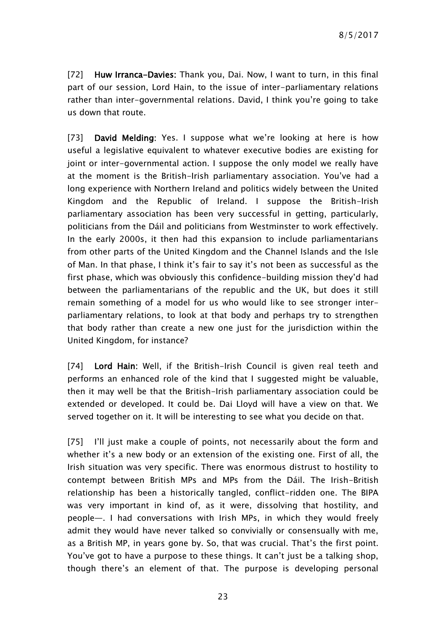[72] Huw Irranca-Davies: Thank you, Dai. Now, I want to turn, in this final part of our session, Lord Hain, to the issue of inter-parliamentary relations rather than inter-governmental relations. David, I think you're going to take us down that route.

[73] **David Melding:** Yes. I suppose what we're looking at here is how useful a legislative equivalent to whatever executive bodies are existing for joint or inter-governmental action. I suppose the only model we really have at the moment is the British-Irish parliamentary association. You've had a long experience with Northern Ireland and politics widely between the United Kingdom and the Republic of Ireland. I suppose the British-Irish parliamentary association has been very successful in getting, particularly, politicians from the Dáil and politicians from Westminster to work effectively. In the early 2000s, it then had this expansion to include parliamentarians from other parts of the United Kingdom and the Channel Islands and the Isle of Man. In that phase, I think it's fair to say it's not been as successful as the first phase, which was obviously this confidence-building mission they'd had between the parliamentarians of the republic and the UK, but does it still remain something of a model for us who would like to see stronger interparliamentary relations, to look at that body and perhaps try to strengthen that body rather than create a new one just for the jurisdiction within the United Kingdom, for instance?

[74] Lord Hain: Well, if the British-Irish Council is given real teeth and performs an enhanced role of the kind that I suggested might be valuable, then it may well be that the British-Irish parliamentary association could be extended or developed. It could be. Dai Lloyd will have a view on that. We served together on it. It will be interesting to see what you decide on that.

[75] I'll just make a couple of points, not necessarily about the form and whether it's a new body or an extension of the existing one. First of all, the Irish situation was very specific. There was enormous distrust to hostility to contempt between British MPs and MPs from the Dáil. The Irish-British relationship has been a historically tangled, conflict-ridden one. The BIPA was very important in kind of, as it were, dissolving that hostility, and people—. I had conversations with Irish MPs, in which they would freely admit they would have never talked so convivially or consensually with me, as a British MP, in years gone by. So, that was crucial. That's the first point. You've got to have a purpose to these things. It can't just be a talking shop, though there's an element of that. The purpose is developing personal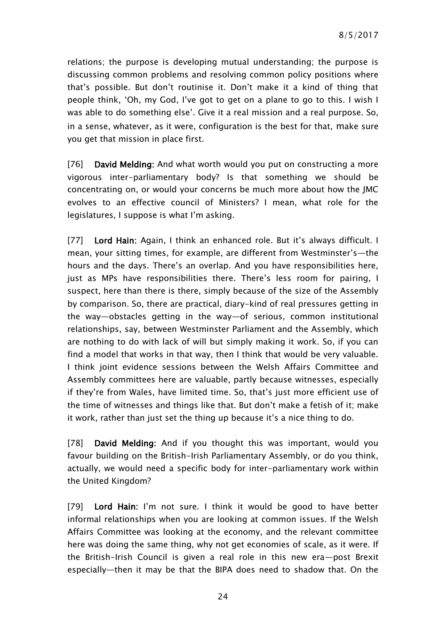relations; the purpose is developing mutual understanding; the purpose is discussing common problems and resolving common policy positions where that's possible. But don't routinise it. Don't make it a kind of thing that people think, 'Oh, my God, I've got to get on a plane to go to this. I wish I was able to do something else'. Give it a real mission and a real purpose. So, in a sense, whatever, as it were, configuration is the best for that, make sure you get that mission in place first.

[76] David Melding: And what worth would you put on constructing a more vigorous inter-parliamentary body? Is that something we should be concentrating on, or would your concerns be much more about how the JMC evolves to an effective council of Ministers? I mean, what role for the legislatures, I suppose is what I'm asking.

[77] Lord Hain: Again, I think an enhanced role. But it's always difficult. I mean, your sitting times, for example, are different from Westminster's—the hours and the days. There's an overlap. And you have responsibilities here, just as MPs have responsibilities there. There's less room for pairing, I suspect, here than there is there, simply because of the size of the Assembly by comparison. So, there are practical, diary-kind of real pressures getting in the way—obstacles getting in the way—of serious, common institutional relationships, say, between Westminster Parliament and the Assembly, which are nothing to do with lack of will but simply making it work. So, if you can find a model that works in that way, then I think that would be very valuable. I think joint evidence sessions between the Welsh Affairs Committee and Assembly committees here are valuable, partly because witnesses, especially if they're from Wales, have limited time. So, that's just more efficient use of the time of witnesses and things like that. But don't make a fetish of it; make it work, rather than just set the thing up because it's a nice thing to do.

[78] David Melding: And if you thought this was important, would you favour building on the British-Irish Parliamentary Assembly, or do you think, actually, we would need a specific body for inter-parliamentary work within the United Kingdom?

[79] Lord Hain: I'm not sure. I think it would be good to have better informal relationships when you are looking at common issues. If the Welsh Affairs Committee was looking at the economy, and the relevant committee here was doing the same thing, why not get economies of scale, as it were. If the British-Irish Council is given a real role in this new era—post Brexit especially—then it may be that the BIPA does need to shadow that. On the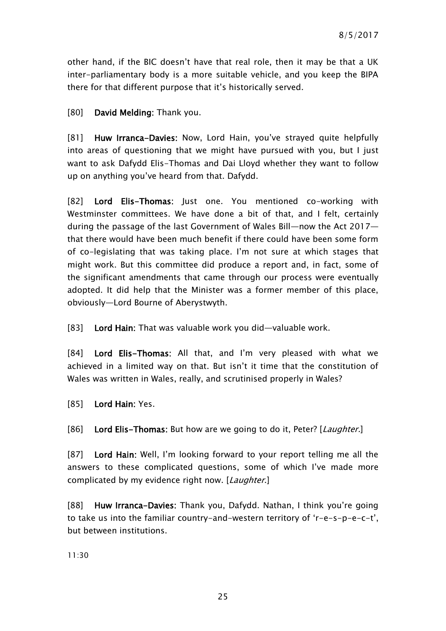other hand, if the BIC doesn't have that real role, then it may be that a UK inter-parliamentary body is a more suitable vehicle, and you keep the BIPA there for that different purpose that it's historically served.

[80] David Melding: Thank you.

[81] Huw Irranca-Davies: Now, Lord Hain, you've strayed quite helpfully into areas of questioning that we might have pursued with you, but I just want to ask Dafydd Elis-Thomas and Dai Lloyd whether they want to follow up on anything you've heard from that. Dafydd.

[82] Lord Elis-Thomas: Just one. You mentioned co-working with Westminster committees. We have done a bit of that, and I felt, certainly during the passage of the last Government of Wales Bill—now the Act 2017 that there would have been much benefit if there could have been some form of co-legislating that was taking place. I'm not sure at which stages that might work. But this committee did produce a report and, in fact, some of the significant amendments that came through our process were eventually adopted. It did help that the Minister was a former member of this place, obviously—Lord Bourne of Aberystwyth.

[83] Lord Hain: That was valuable work you did—valuable work.

[84] Lord Elis-Thomas: All that, and I'm very pleased with what we achieved in a limited way on that. But isn't it time that the constitution of Wales was written in Wales, really, and scrutinised properly in Wales?

[85] Lord Hain: Yes.

[86] Lord Elis-Thomas: But how are we going to do it, Peter? [Laughter.]

[87] Lord Hain: Well, I'm looking forward to your report telling me all the answers to these complicated questions, some of which I've made more complicated by my evidence right now. [Laughter.]

[88] Huw Irranca-Davies: Thank you, Dafydd. Nathan, I think you're going to take us into the familiar country-and-western territory of 'r-e-s-p-e-c-t', but between institutions.

11:30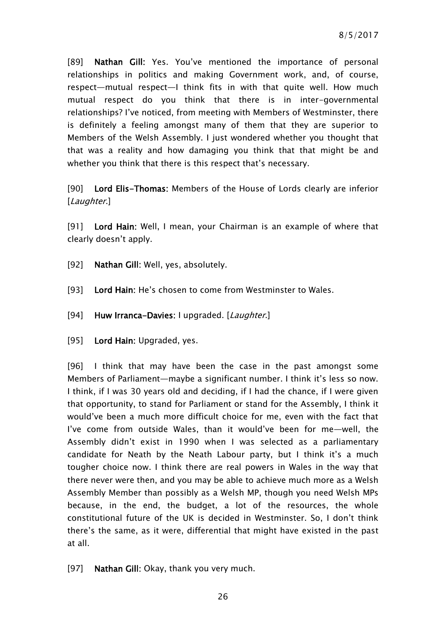[89] Nathan Gill: Yes. You've mentioned the importance of personal relationships in politics and making Government work, and, of course, respect—mutual respect—I think fits in with that quite well. How much mutual respect do you think that there is in inter-governmental relationships? I've noticed, from meeting with Members of Westminster, there is definitely a feeling amongst many of them that they are superior to Members of the Welsh Assembly. I just wondered whether you thought that that was a reality and how damaging you think that that might be and whether you think that there is this respect that's necessary.

[90] Lord Elis-Thomas: Members of the House of Lords clearly are inferior [Laughter.]

[91] Lord Hain: Well, I mean, your Chairman is an example of where that clearly doesn't apply.

- [92] Nathan Gill: Well, yes, absolutely.
- [93] Lord Hain: He's chosen to come from Westminster to Wales.
- [94] Huw Irranca-Davies: I upgraded. [Laughter.]
- [95] Lord Hain: Upgraded, yes.

[96] I think that may have been the case in the past amongst some Members of Parliament—maybe a significant number. I think it's less so now. I think, if I was 30 years old and deciding, if I had the chance, if I were given that opportunity, to stand for Parliament or stand for the Assembly, I think it would've been a much more difficult choice for me, even with the fact that I've come from outside Wales, than it would've been for me—well, the Assembly didn't exist in 1990 when I was selected as a parliamentary candidate for Neath by the Neath Labour party, but I think it's a much tougher choice now. I think there are real powers in Wales in the way that there never were then, and you may be able to achieve much more as a Welsh Assembly Member than possibly as a Welsh MP, though you need Welsh MPs because, in the end, the budget, a lot of the resources, the whole constitutional future of the UK is decided in Westminster. So, I don't think there's the same, as it were, differential that might have existed in the past at all.

[97] Nathan Gill: Okay, thank you very much.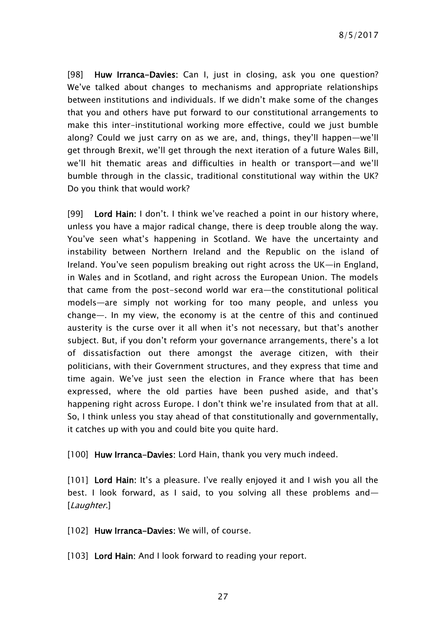[98] Huw Irranca-Davies: Can I, just in closing, ask you one question? We've talked about changes to mechanisms and appropriate relationships between institutions and individuals. If we didn't make some of the changes that you and others have put forward to our constitutional arrangements to make this inter-institutional working more effective, could we just bumble along? Could we just carry on as we are, and, things, they'll happen—we'll get through Brexit, we'll get through the next iteration of a future Wales Bill, we'll hit thematic areas and difficulties in health or transport—and we'll bumble through in the classic, traditional constitutional way within the UK? Do you think that would work?

[99] Lord Hain: I don't. I think we've reached a point in our history where, unless you have a major radical change, there is deep trouble along the way. You've seen what's happening in Scotland. We have the uncertainty and instability between Northern Ireland and the Republic on the island of Ireland. You've seen populism breaking out right across the UK—in England, in Wales and in Scotland, and right across the European Union. The models that came from the post-second world war era—the constitutional political models—are simply not working for too many people, and unless you change—. In my view, the economy is at the centre of this and continued austerity is the curse over it all when it's not necessary, but that's another subject. But, if you don't reform your governance arrangements, there's a lot of dissatisfaction out there amongst the average citizen, with their politicians, with their Government structures, and they express that time and time again. We've just seen the election in France where that has been expressed, where the old parties have been pushed aside, and that's happening right across Europe. I don't think we're insulated from that at all. So, I think unless you stay ahead of that constitutionally and governmentally, it catches up with you and could bite you quite hard.

[100] Huw Irranca-Davies: Lord Hain, thank you very much indeed.

[101] Lord Hain: It's a pleasure. I've really enjoyed it and I wish you all the best. I look forward, as I said, to you solving all these problems and— [Laughter.]

[102] Huw Irranca-Davies: We will, of course.

[103] Lord Hain: And I look forward to reading your report.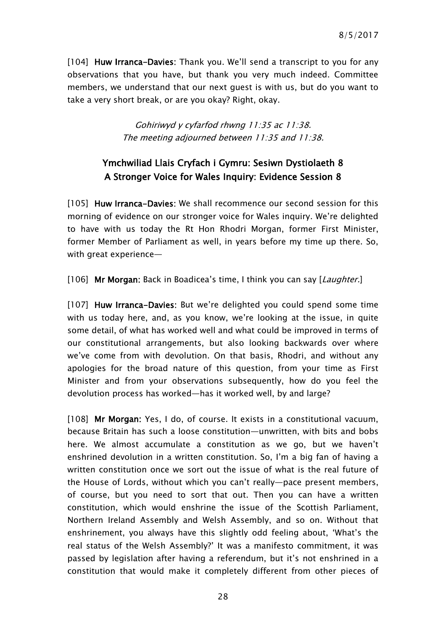[104] Huw Irranca-Davies: Thank you. We'll send a transcript to you for any observations that you have, but thank you very much indeed. Committee members, we understand that our next guest is with us, but do you want to take a very short break, or are you okay? Right, okay.

> Gohiriwyd y cyfarfod rhwng 11:35 ac 11:38. The meeting adjourned between 11:35 and 11:38.

### <span id="page-27-0"></span>Ymchwiliad Llais Cryfach i Gymru: Sesiwn Dystiolaeth 8 A Stronger Voice for Wales Inquiry: Evidence Session 8

[105] Huw Irranca-Davies: We shall recommence our second session for this morning of evidence on our stronger voice for Wales inquiry. We're delighted to have with us today the Rt Hon Rhodri Morgan, former First Minister, former Member of Parliament as well, in years before my time up there. So, with great experience—

[106] Mr Morgan: Back in Boadicea's time, I think you can say [Laughter.]

[107] Huw Irranca-Davies: But we're delighted you could spend some time with us today here, and, as you know, we're looking at the issue, in quite some detail, of what has worked well and what could be improved in terms of our constitutional arrangements, but also looking backwards over where we've come from with devolution. On that basis, Rhodri, and without any apologies for the broad nature of this question, from your time as First Minister and from your observations subsequently, how do you feel the devolution process has worked—has it worked well, by and large?

[108] Mr Morgan: Yes, I do, of course. It exists in a constitutional vacuum, because Britain has such a loose constitution—unwritten, with bits and bobs here. We almost accumulate a constitution as we go, but we haven't enshrined devolution in a written constitution. So, I'm a big fan of having a written constitution once we sort out the issue of what is the real future of the House of Lords, without which you can't really—pace present members, of course, but you need to sort that out. Then you can have a written constitution, which would enshrine the issue of the Scottish Parliament, Northern Ireland Assembly and Welsh Assembly, and so on. Without that enshrinement, you always have this slightly odd feeling about, 'What's the real status of the Welsh Assembly?' It was a manifesto commitment, it was passed by legislation after having a referendum, but it's not enshrined in a constitution that would make it completely different from other pieces of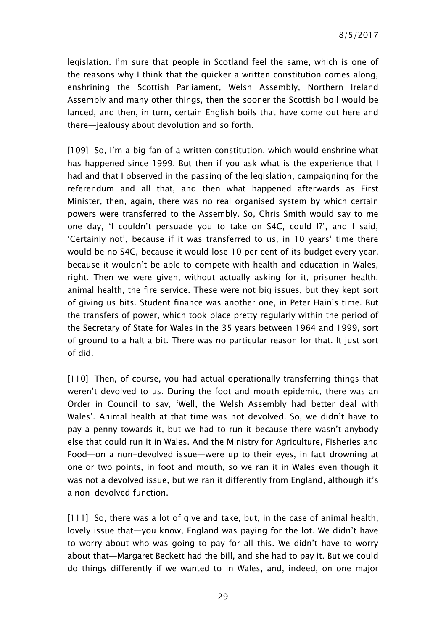legislation. I'm sure that people in Scotland feel the same, which is one of the reasons why I think that the quicker a written constitution comes along, enshrining the Scottish Parliament, Welsh Assembly, Northern Ireland Assembly and many other things, then the sooner the Scottish boil would be lanced, and then, in turn, certain English boils that have come out here and there—jealousy about devolution and so forth.

[109] So, I'm a big fan of a written constitution, which would enshrine what has happened since 1999. But then if you ask what is the experience that I had and that I observed in the passing of the legislation, campaigning for the referendum and all that, and then what happened afterwards as First Minister, then, again, there was no real organised system by which certain powers were transferred to the Assembly. So, Chris Smith would say to me one day, 'I couldn't persuade you to take on S4C, could I?', and I said, 'Certainly not', because if it was transferred to us, in 10 years' time there would be no S4C, because it would lose 10 per cent of its budget every year, because it wouldn't be able to compete with health and education in Wales, right. Then we were given, without actually asking for it, prisoner health, animal health, the fire service. These were not big issues, but they kept sort of giving us bits. Student finance was another one, in Peter Hain's time. But the transfers of power, which took place pretty regularly within the period of the Secretary of State for Wales in the 35 years between 1964 and 1999, sort of ground to a halt a bit. There was no particular reason for that. It just sort of did.

[110] Then, of course, you had actual operationally transferring things that weren't devolved to us. During the foot and mouth epidemic, there was an Order in Council to say, 'Well, the Welsh Assembly had better deal with Wales'. Animal health at that time was not devolved. So, we didn't have to pay a penny towards it, but we had to run it because there wasn't anybody else that could run it in Wales. And the Ministry for Agriculture, Fisheries and Food—on a non-devolved issue—were up to their eyes, in fact drowning at one or two points, in foot and mouth, so we ran it in Wales even though it was not a devolved issue, but we ran it differently from England, although it's a non-devolved function.

[111] So, there was a lot of give and take, but, in the case of animal health, lovely issue that—you know, England was paying for the lot. We didn't have to worry about who was going to pay for all this. We didn't have to worry about that—Margaret Beckett had the bill, and she had to pay it. But we could do things differently if we wanted to in Wales, and, indeed, on one major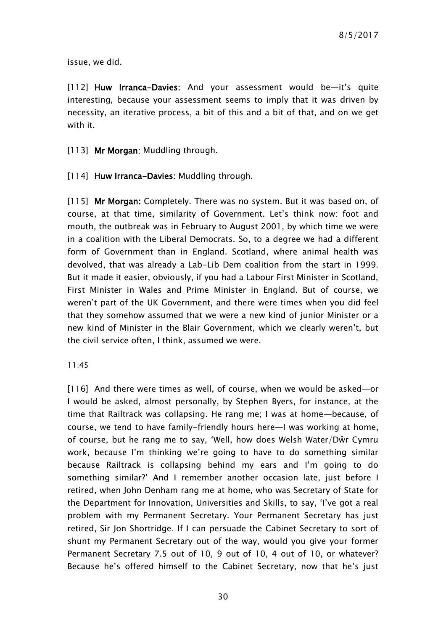issue, we did.

[112] Huw Irranca-Davies: And your assessment would be—it's quite interesting, because your assessment seems to imply that it was driven by necessity, an iterative process, a bit of this and a bit of that, and on we get with it.

[113] Mr Morgan: Muddling through.

[114] Huw Irranca-Davies: Muddling through.

[115] Mr Morgan: Completely. There was no system. But it was based on, of course, at that time, similarity of Government. Let's think now: foot and mouth, the outbreak was in February to August 2001, by which time we were in a coalition with the Liberal Democrats. So, to a degree we had a different form of Government than in England. Scotland, where animal health was devolved, that was already a Lab-Lib Dem coalition from the start in 1999. But it made it easier, obviously, if you had a Labour First Minister in Scotland, First Minister in Wales and Prime Minister in England. But of course, we weren't part of the UK Government, and there were times when you did feel that they somehow assumed that we were a new kind of junior Minister or a new kind of Minister in the Blair Government, which we clearly weren't, but the civil service often, I think, assumed we were.

11:45

[116] And there were times as well, of course, when we would be asked—or I would be asked, almost personally, by Stephen Byers, for instance, at the time that Railtrack was collapsing. He rang me; I was at home—because, of course, we tend to have family-friendly hours here—I was working at home, of course, but he rang me to say, 'Well, how does Welsh Water/Dŵr Cymru work, because I'm thinking we're going to have to do something similar because Railtrack is collapsing behind my ears and I'm going to do something similar?' And I remember another occasion late, just before I retired, when John Denham rang me at home, who was Secretary of State for the Department for Innovation, Universities and Skills, to say, 'I've got a real problem with my Permanent Secretary. Your Permanent Secretary has just retired, Sir Jon Shortridge. If I can persuade the Cabinet Secretary to sort of shunt my Permanent Secretary out of the way, would you give your former Permanent Secretary 7.5 out of 10, 9 out of 10, 4 out of 10, or whatever? Because he's offered himself to the Cabinet Secretary, now that he's just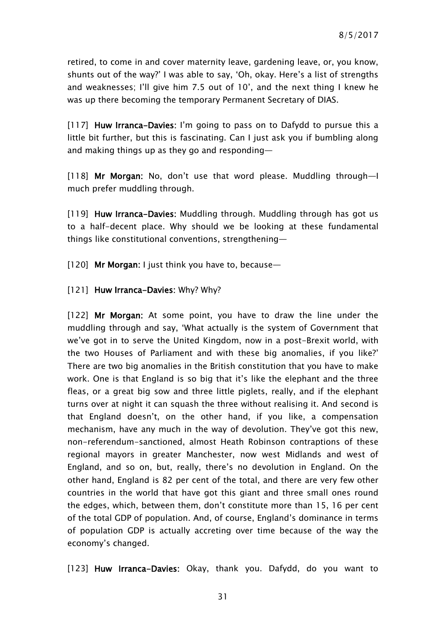retired, to come in and cover maternity leave, gardening leave, or, you know, shunts out of the way?' I was able to say, 'Oh, okay. Here's a list of strengths and weaknesses; I'll give him 7.5 out of 10', and the next thing I knew he was up there becoming the temporary Permanent Secretary of DIAS.

[117] Huw Irranca-Davies: I'm going to pass on to Dafydd to pursue this a little bit further, but this is fascinating. Can I just ask you if bumbling along and making things up as they go and responding—

[118] Mr Morgan: No, don't use that word please. Muddling through—I much prefer muddling through.

[119] Huw Irranca-Davies: Muddling through. Muddling through has got us to a half-decent place. Why should we be looking at these fundamental things like constitutional conventions, strengthening—

[120] Mr Morgan: I just think you have to, because—

[121] Huw Irranca-Davies: Why? Why?

[122] Mr Morgan: At some point, you have to draw the line under the muddling through and say, 'What actually is the system of Government that we've got in to serve the United Kingdom, now in a post-Brexit world, with the two Houses of Parliament and with these big anomalies, if you like?' There are two big anomalies in the British constitution that you have to make work. One is that England is so big that it's like the elephant and the three fleas, or a great big sow and three little piglets, really, and if the elephant turns over at night it can squash the three without realising it. And second is that England doesn't, on the other hand, if you like, a compensation mechanism, have any much in the way of devolution. They've got this new, non-referendum-sanctioned, almost Heath Robinson contraptions of these regional mayors in greater Manchester, now west Midlands and west of England, and so on, but, really, there's no devolution in England. On the other hand, England is 82 per cent of the total, and there are very few other countries in the world that have got this giant and three small ones round the edges, which, between them, don't constitute more than 15, 16 per cent of the total GDP of population. And, of course, England's dominance in terms of population GDP is actually accreting over time because of the way the economy's changed.

[123] Huw Irranca-Davies: Okay, thank you. Dafydd, do you want to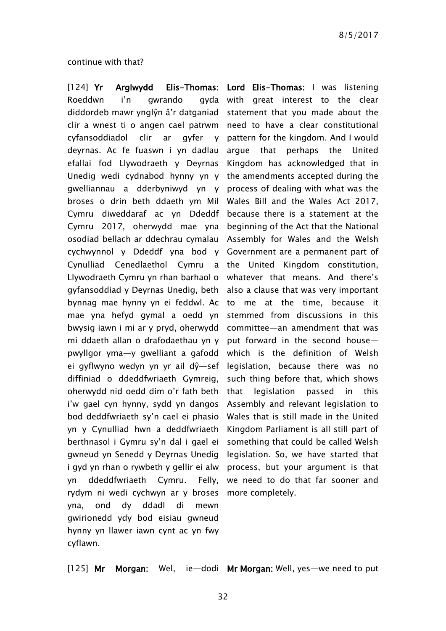continue with that?

Roeddwn i'n gwrando diddordeb mawr ynglŷn â'r datganiad statement that you made about the clir a wnest ti o angen cael patrwm need to have a clear constitutional cyfansoddiadol clir ar deyrnas. Ac fe fuaswn i yn dadlau argue that perhaps the United efallai fod Llywodraeth y Deyrnas Unedig wedi cydnabod hynny yn y the amendments accepted during the gwelliannau a dderbyniwyd yn y process of dealing with what was the broses o drin beth ddaeth ym Mil Wales Bill and the Wales Act 2017, Cymru diweddaraf ac yn Ddeddf because there is a statement at the Cymru 2017, oherwydd mae yna beginning of the Act that the National osodiad bellach ar ddechrau cymalau Assembly for Wales and the Welsh cychwynnol y Ddeddf yna bod y Government are a permanent part of Cynulliad Cenedlaethol Cymru a the United Kingdom constitution, Llywodraeth Cymru yn rhan barhaol o whatever that means. And there's gyfansoddiad y Deyrnas Unedig, beth also a clause that was very important bynnag mae hynny yn ei feddwl. Ac to me at the time, because it mae yna hefyd gymal a oedd yn bwysig iawn i mi ar y pryd, oherwydd mi ddaeth allan o drafodaethau yn y pwyllgor yma—y gwelliant a gafodd which is the definition of Welsh ei gyflwyno wedyn yn yr ail dŷ—sef legislation, because there was no diffiniad o ddeddfwriaeth Gymreig, oherwydd nid oedd dim o'r fath beth i'w gael cyn hynny, sydd yn dangos bod deddfwriaeth sy'n cael ei phasio yn y Cynulliad hwn a deddfwriaeth berthnasol i Gymru sy'n dal i gael ei gwneud yn Senedd y Deyrnas Unedig i gyd yn rhan o rywbeth y gellir ei alw yn ddeddfwriaeth Cymru. Felly, rydym ni wedi cychwyn ar y broses more completely. yna, ond dy ddadl di mewn gwirionedd ydy bod eisiau gwneud hynny yn llawer iawn cynt ac yn fwy cyflawn.

[124] Yr Arglwydd Elis-Thomas: Lord Elis-Thomas: I was listening gyda with great interest to the clear qyfer y pattern for the kingdom. And I would Kingdom has acknowledged that in stemmed from discussions in this committee—an amendment that was put forward in the second house such thing before that, which shows legislation passed in this Assembly and relevant legislation to Wales that is still made in the United Kingdom Parliament is all still part of something that could be called Welsh legislation. So, we have started that process, but your argument is that we need to do that far sooner and

[125] Mr Morgan: Wel, ie—dodi Mr Morgan: Well, yes—we need to put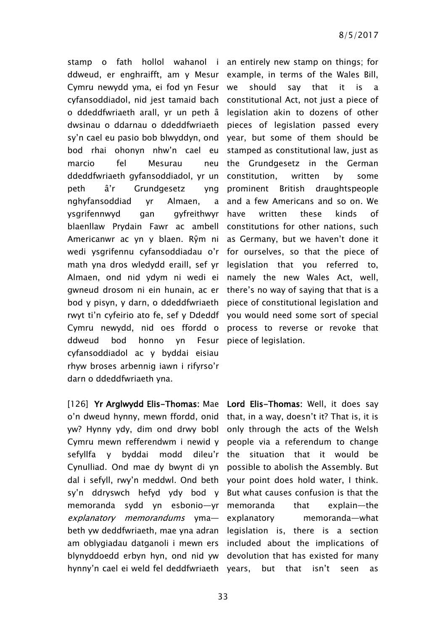stamp o fath hollol wahanol i an entirely new stamp on things; for ddweud, er enghraifft, am y Mesur example, in terms of the Wales Bill, Cymru newydd yma, ei fod yn Fesur cyfansoddiadol, nid jest tamaid bach constitutional Act, not just a piece of o ddeddfwriaeth arall, yr un peth â legislation akin to dozens of other dwsinau o ddarnau o ddeddfwriaeth pieces of legislation passed every sy'n cael eu pasio bob blwyddyn, ond year, but some of them should be bod rhai ohonyn nhw'n cael eu stamped as constitutional law, just as marcio fel Mesurau neu ddeddfwriaeth gyfansoddiadol, yr un constitution, written by some peth â'r Grundgesetz yng nghyfansoddiad yr Almaen, a ysgrifennwyd gan gyfreithwyr blaenllaw Prydain Fawr ac ambell constitutions for other nations, such Americanwr ac yn y blaen. Rŷm ni as Germany, but we haven't done it wedi ysgrifennu cyfansoddiadau o'r for ourselves, so that the piece of math yna dros wledydd eraill, sef yr legislation that you referred to, Almaen, ond nid ydym ni wedi ei namely the new Wales Act, well, gwneud drosom ni ein hunain, ac er there's no way of saying that that is a bod y pisyn, y darn, o ddeddfwriaeth piece of constitutional legislation and rwyt ti'n cyfeirio ato fe, sef y Ddeddf you would need some sort of special Cymru newydd, nid oes ffordd o process to reverse or revoke that ddweud bod honno yn cyfansoddiadol ac y byddai eisiau rhyw broses arbennig iawn i rifyrso'r darn o ddeddfwriaeth yna.

[126] Yr Arglwydd Elis-Thomas: Mae Lord Elis-Thomas: Well, it does say o'n dweud hynny, mewn ffordd, onid that, in a way, doesn't it? That is, it is yw? Hynny ydy, dim ond drwy bobl only through the acts of the Welsh Cymru mewn refferendwm i newid y people via a referendum to change sefyllfa y byddai Cynulliad. Ond mae dy bwynt di yn dal i sefyll, rwy'n meddwl. Ond beth your point does hold water, I think. sy'n ddryswch hefyd ydy bod y But what causes confusion is that the memoranda sydd yn esbonio—yr memoranda that explain—the explanatory memorandums yma- explanatory beth yw deddfwriaeth, mae yna adran legislation is, there is a section am oblygiadau datganoli i mewn ers included about the implications of blynyddoedd erbyn hyn, ond nid yw devolution that has existed for many hynny'n cael ei weld fel deddfwriaeth years, but that isn't seen as

should say that it is a the Grundgesetz in the German prominent British draughtspeople and a few Americans and so on. We have written these kinds of Fesur piece of legislation.

modd dileu'r the situation that it would be possible to abolish the Assembly. But memoranda—what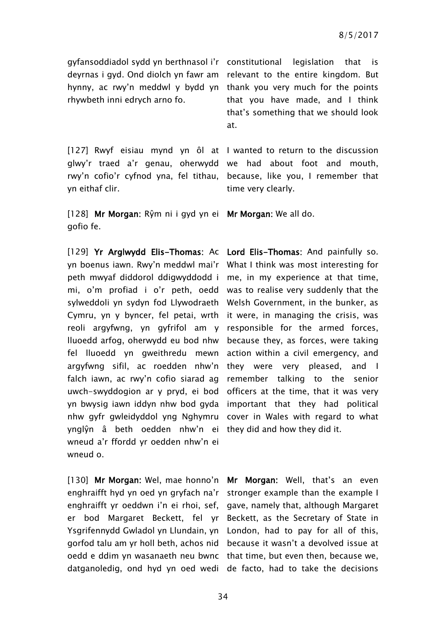gyfansoddiadol sydd yn berthnasol i'r constitutional legislation that is rhywbeth inni edrych arno fo.

[127] Rwyf eisiau mynd yn ôl at I wanted to return to the discussion glwy'r traed a'r genau, oherwydd we had about foot and mouth, rwy'n cofio'r cyfnod yna, fel tithau, because, like you, I remember that yn eithaf clir.

[128] Mr Morgan: Rŷm ni i gyd yn ei Mr Morgan: We all do. gofio fe.

[129] Yr Arglwydd Elis-Thomas: Ac Lord Elis-Thomas: And painfully so. yn boenus iawn. Rwy'n meddwl mai'r peth mwyaf diddorol ddigwyddodd i me, in my experience at that time, mi, o'm profiad i o'r peth, oedd was to realise very suddenly that the sylweddoli yn sydyn fod Llywodraeth Welsh Government, in the bunker, as Cymru, yn y byncer, fel petai, wrth it were, in managing the crisis, was reoli argyfwng, yn gyfrifol am y responsible for the armed forces, lluoedd arfog, oherwydd eu bod nhw because they, as forces, were taking fel lluoedd yn gweithredu mewn argyfwng sifil, ac roedden nhw'n falch iawn, ac rwy'n cofio siarad ag uwch-swyddogion ar y pryd, ei bod yn bwysig iawn iddyn nhw bod gyda nhw gyfr gwleidyddol yng Nghymru ynglŷn â beth oedden nhw'n ei they did and how they did it. wneud a'r ffordd yr oedden nhw'n ei wneud o.

[130] Mr Morgan: Wel, mae honno'n Mr Morgan: Well, that's an even enghraifft hyd yn oed yn gryfach na'r stronger example than the example I enghraifft yr oeddwn i'n ei rhoi, sef, gave, namely that, although Margaret er bod Margaret Beckett, fel yr Beckett, as the Secretary of State in Ysgrifennydd Gwladol yn Llundain, yn London, had to pay for all of this, gorfod talu am yr holl beth, achos nid because it wasn't a devolved issue at oedd e ddim yn wasanaeth neu bwnc that time, but even then, because we, datganoledig, ond hyd yn oed wedi de facto, had to take the decisions

deyrnas i gyd. Ond diolch yn fawr am relevant to the entire kingdom. But hynny, ac rwy'n meddwl y bydd yn thank you very much for the points that you have made, and I think that's something that we should look at.

time very clearly.

What I think was most interesting for action within a civil emergency, and they were very pleased, and I remember talking to the senior officers at the time, that it was very important that they had political cover in Wales with regard to what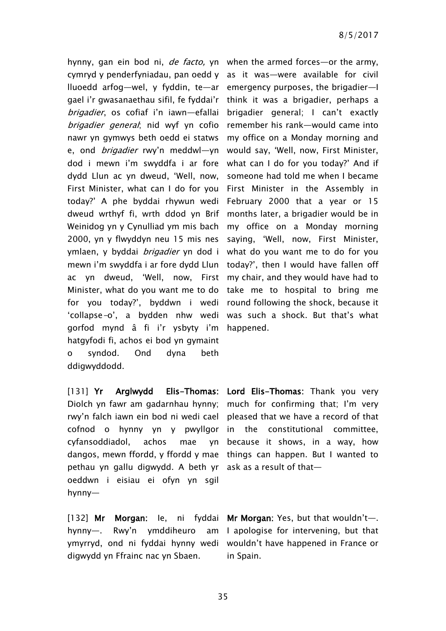hynny, gan ein bod ni, *de facto,* yn when the armed forces—or the army, cymryd y penderfyniadau, pan oedd y as it was—were available for civil lluoedd arfog—wel, y fyddin, te—ar emergency purposes, the brigadier—I gael i'r gwasanaethau sifil, fe fyddai'r brigadier, os cofiaf i'n iawn—efallai brigadier general; nid wyf yn cofio remember his rank—would came into nawr yn gymwys beth oedd ei statws e, ond *brigadier* rwy'n meddwl—yn would say, 'Well, now, First Minister, dod i mewn i'm swyddfa i ar fore dydd Llun ac yn dweud, 'Well, now, First Minister, what can I do for you today?' A phe byddai rhywun wedi dweud wrthyf fi, wrth ddod yn Brif Weinidog yn y Cynulliad ym mis bach my office on a Monday morning 2000, yn y flwyddyn neu 15 mis nes ymlaen, y byddai *brigadier* yn dod i mewn i'm swyddfa i ar fore dydd Llun today?', then I would have fallen off ac yn dweud, 'Well, now, First my chair, and they would have had to Minister, what do you want me to do take me to hospital to bring me for you today?', byddwn i wedi round following the shock, because it 'collapse-o', a bydden nhw wedi was such a shock. But that's what gorfod mynd â fi i'r ysbyty i'm happened. hatgyfodi fi, achos ei bod yn gymaint o syndod. Ond dyna beth ddigwyddodd.

Diolch yn fawr am gadarnhau hynny; much for confirming that; I'm very rwy'n falch iawn ein bod ni wedi cael pleased that we have a record of that cofnod o hynny yn y pwyllgor in the constitutional committee, cyfansoddiadol, achos mae dangos, mewn ffordd, y ffordd y mae things can happen. But I wanted to pethau yn gallu digwydd. A beth yr ask as a result of that oeddwn i eisiau ei ofyn yn sgil hynny—

[132] Mr Morgan: le, ni fyddai Mr Morgan: Yes, but that wouldn't—. hynny—. Rwy'n ymddiheuro ymyrryd, ond ni fyddai hynny wedi wouldn't have happened in France or digwydd yn Ffrainc nac yn Sbaen.

think it was a brigadier, perhaps a brigadier general; I can't exactly my office on a Monday morning and what can I do for you today?' And if someone had told me when I became First Minister in the Assembly in February 2000 that a year or 15 months later, a brigadier would be in saying, 'Well, now, First Minister, what do you want me to do for you

[131] Yr Arglwydd Elis-Thomas: Lord Elis-Thomas: Thank you very because it shows, in a way, how

> am I apologise for intervening, but that in Spain.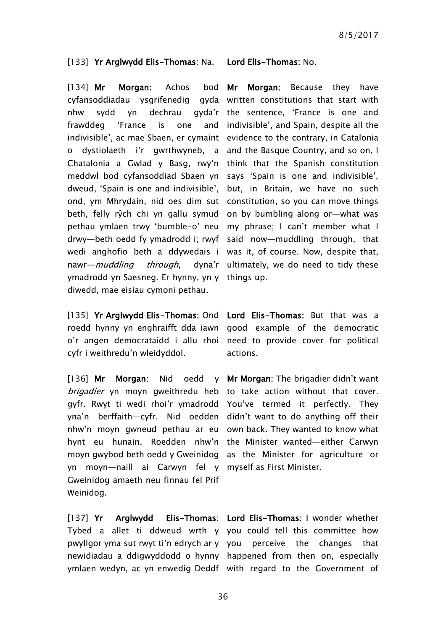#### [133] Yr Arglwydd Elis-Thomas: Na. Lord Elis-Thomas: No.

[134] Mr Morgan: Achos bod Mr cyfansoddiadau ysgrifenedig gyda written constitutions that start with nhw sydd yn dechrau gyda'r the sentence, 'France is one and frawddeg 'France is one indivisible', ac mae Sbaen, er cymaint evidence to the contrary, in Catalonia o dystiolaeth i'r gwrthwyneb, a and the Basque Country, and so on, I Chatalonia a Gwlad y Basg, rwy'n think that the Spanish constitution meddwl bod cyfansoddiad Sbaen yn says 'Spain is one and indivisible', dweud, 'Spain is one and indivisible', but, in Britain, we have no such ond, ym Mhrydain, nid oes dim sut constitution, so you can move things beth, felly rŷch chi yn gallu symud on by bumbling along or—what was pethau ymlaen trwy 'bumble-o' neu my phrase; I can't member what I drwy—beth oedd fy ymadrodd i; rwyf said now—muddling through, that wedi anghofio beth a ddywedais i was it, of course. Now, despite that, nawr—*muddling through*, ymadrodd yn Saesneg. Er hynny, yn y things up. diwedd, mae eisiau cymoni pethau.

[135] Yr Arglwydd Elis-Thomas: Ond Lord Elis-Thomas: But that was a roedd hynny yn enghraifft dda iawn good example of the democratic o'r angen democrataidd i allu rhoi need to provide cover for political cyfr i weithredu'n wleidyddol.

[136] Mr Morgan: Nid oedd y Mr Morgan: The brigadier didn't want brigadier yn moyn gweithredu heb to take action without that cover. gyfr. Rwyt ti wedi rhoi'r ymadrodd You've termed it perfectly. They yna'n berffaith—cyfr. Nid oedden didn't want to do anything off their nhw'n moyn gwneud pethau ar eu own back. They wanted to know what hynt eu hunain. Roedden nhw'n the Minister wanted—either Carwyn moyn gwybod beth oedd y Gweinidog as the Minister for agriculture or yn moyn—naill ai Carwyn fel y myself as First Minister. Gweinidog amaeth neu finnau fel Prif Weinidog.

Morgan: Because they have and indivisible', and Spain, despite all the dyna'r ultimately, we do need to tidy these

actions.

 $[137]$  Yr Arglwydd Tybed a allet ti ddweud wrth y you could tell this committee how pwyllgor yma sut rwyt ti'n edrych ar y you perceive the changes that newidiadau a ddigwyddodd o hynny happened from then on, especially

ymlaen wedyn, ac yn enwedig Deddf with regard to the Government of Elis-Thomas: Lord Elis-Thomas: I wonder whether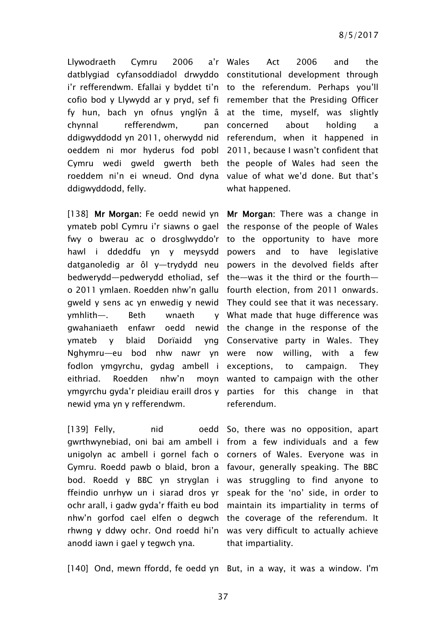Llywodraeth Cymru 2006 datblygiad cyfansoddiadol drwyddo constitutional development through i'r refferendwm. Efallai y byddet ti'n to the referendum. Perhaps you'll cofio bod y Llywydd ar y pryd, sef fi remember that the Presiding Officer fy hun, bach yn ofnus ynglŷn â at the time, myself, was slightly chynnal refferendwm, ddigwyddodd yn 2011, oherwydd nid referendum, when it happened in oeddem ni mor hyderus fod pobl 2011, because I wasn't confident that Cymru wedi gweld gwerth beth the people of Wales had seen the roeddem ni'n ei wneud. Ond dyna value of what we'd done. But that's ddigwyddodd, felly.

[138] Mr Morgan: Fe oedd newid yn Mr Morgan: There was a change in ymateb pobl Cymru i'r siawns o gael the response of the people of Wales fwy o bwerau ac o drosglwyddo'r to the opportunity to have more hawl i ddeddfu yn y meysydd datganoledig ar ôl y—trydydd neu powers in the devolved fields after bedwerydd—pedwerydd etholiad, sef the—was it the third or the fourth o 2011 ymlaen. Roedden nhw'n gallu fourth election, from 2011 onwards. gweld y sens ac yn enwedig y newid They could see that it was necessary. ymhlith—. Beth wnaeth gwahaniaeth enfawr ymateb y blaid Dorïaidd Nghymru—eu bod nhw nawr yn were now willing, with a few fodlon ymgyrchu, gydag ambell i exceptions, to campaign. They eithriad. Roedden nhw'n ymgyrchu gyda'r pleidiau eraill dros y parties for this change in that newid yma yn y refferendwm.

 $[139]$  Felly,  $[139]$ gwrthwynebiad, oni bai am ambell i from a few individuals and a few unigolyn ac ambell i gornel fach o corners of Wales. Everyone was in Gymru. Roedd pawb o blaid, bron a favour, generally speaking. The BBC bod. Roedd y BBC yn stryglan i was struggling to find anyone to ffeindio unrhyw un i siarad dros yr speak for the 'no' side, in order to ochr arall, i gadw gyda'r ffaith eu bod maintain its impartiality in terms of nhw'n gorfod cael elfen o degwch the coverage of the referendum. It rhwng y ddwy ochr. Ond roedd hi'n was very difficult to actually achieve anodd iawn i gael y tegwch yna.

Wales Act 2006 and the pan concerned about holding a what happened.

and to have legislative What made that huge difference was oedd newid the change in the response of the Conservative party in Wales. They moyn wanted to campaign with the other referendum.

> oedd So, there was no opposition, apart that impartiality.

[140] Ond, mewn ffordd, fe oedd yn But, in a way, it was a window. I'm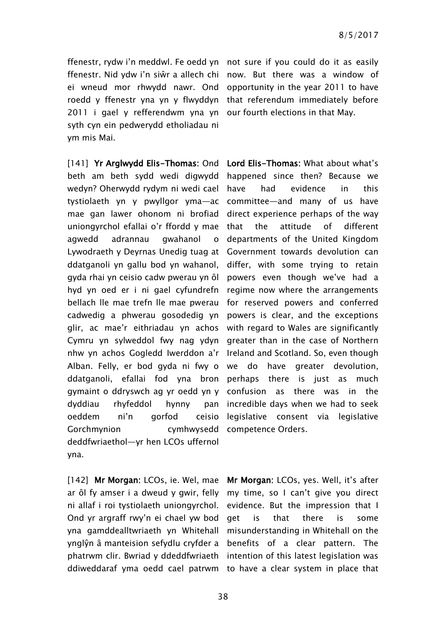2011 i gael y refferendwm yna yn our fourth elections in that May. syth cyn ein pedwerydd etholiadau ni ym mis Mai.

[141] Yr Arglwydd Elis-Thomas: Ond Lord Elis-Thomas: What about what's beth am beth sydd wedi digwydd happened since then? Because we wedyn? Oherwydd rydym ni wedi cael tystiolaeth yn y pwyllgor yma—ac mae gan lawer ohonom ni brofiad uniongyrchol efallai o'r ffordd y mae agwedd adrannau gwahanol o Lywodraeth y Deyrnas Unedig tuag at Government towards devolution can ddatganoli yn gallu bod yn wahanol, gyda rhai yn ceisio cadw pwerau yn ôl powers even though we've had a hyd yn oed er i ni gael cyfundrefn bellach lle mae trefn lle mae pwerau cadwedig a phwerau gosodedig yn glir, ac mae'r eithriadau yn achos Cymru yn sylweddol fwy nag ydyn greater than in the case of Northern nhw yn achos Gogledd Iwerddon a'r Ireland and Scotland. So, even though Alban. Felly, er bod gyda ni fwy o ddatganoli, efallai fod yna bron perhaps there is just as much gymaint o ddryswch ag yr oedd yn y dyddiau rhyfeddol hynny pan oeddem ni'n gorfod ceisio Gorchmynion cymhwysedd competence Orders. deddfwriaethol—yr hen LCOs uffernol yna.

ar ôl fy amser i a dweud y gwir, felly my time, so I can't give you direct ni allaf i roi tystiolaeth uniongyrchol. Ond yr argraff rwy'n ei chael yw bod

ffenestr, rydw i'n meddwl. Fe oedd yn not sure if you could do it as easily ffenestr. Nid ydw i'n siŵr a allech chi now. But there was a window of ei wneud mor rhwydd nawr. Ond opportunity in the year 2011 to have roedd y ffenestr yna yn y flwyddyn that referendum immediately before

> have had evidence in this committee—and many of us have direct experience perhaps of the way that the attitude of different departments of the United Kingdom differ, with some trying to retain regime now where the arrangements for reserved powers and conferred powers is clear, and the exceptions with regard to Wales are significantly we do have greater devolution, confusion as there was in the incredible days when we had to seek legislative consent via legislative

[142] Mr Morgan: LCOs, ie. Wel, mae Mr Morgan: LCOs, yes. Well, it's after yna gamddealltwriaeth yn Whitehall misunderstanding in Whitehall on the ynglŷn â manteision sefydlu cryfder a benefits of a clear pattern. The phatrwm clir. Bwriad y ddeddfwriaeth intention of this latest legislation was ddiweddaraf yma oedd cael patrwm to have a clear system in place that evidence. But the impression that I get is that there is some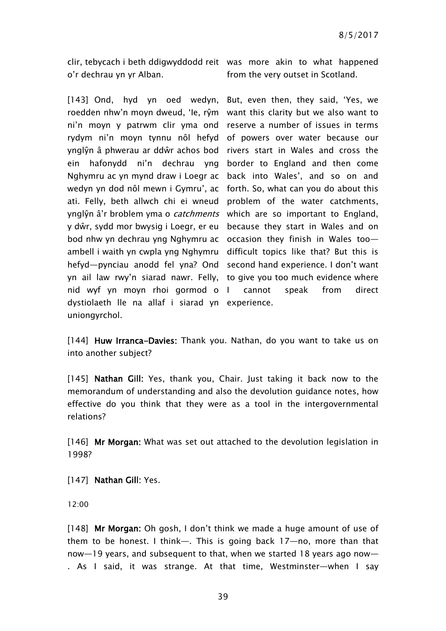clir, tebycach i beth ddigwyddodd reit was more akin to what happened o'r dechrau yn yr Alban.

[143] Ond, hyd yn oed wedyn, But, even then, they said, 'Yes, we roedden nhw'n moyn dweud, 'le, rŷm want this clarity but we also want to ni'n moyn y patrwm clir yma ond reserve a number of issues in terms rydym ni'n moyn tynnu nôl hefyd of powers over water because our ynglŷn â phwerau ar ddŵr achos bod rivers start in Wales and cross the ein hafonydd ni'n dechrau yng border to England and then come Nghymru ac yn mynd draw i Loegr ac back into Wales', and so on and wedyn yn dod nôl mewn i Gymru', ac forth. So, what can you do about this ati. Felly, beth allwch chi ei wneud problem of the water catchments, ynglŷn â'r broblem yma o *catchments* which are so important to England, y dŵr, sydd mor bwysig i Loegr, er eu because they start in Wales and on bod nhw yn dechrau yng Nghymru ac occasion they finish in Wales too ambell i waith yn cwpla yng Nghymru difficult topics like that? But this is hefyd—pynciau anodd fel yna? Ond second hand experience. I don't want yn ail law rwy'n siarad nawr. Felly, to give you too much evidence where nid wyf yn moyn rhoi gormod o dystiolaeth lle na allaf i siarad yn experience. uniongyrchol.

from the very outset in Scotland.

cannot speak from direct

[144] Huw Irranca-Davies: Thank you. Nathan, do you want to take us on into another subject?

[145] Nathan Gill: Yes, thank you, Chair. Just taking it back now to the memorandum of understanding and also the devolution guidance notes, how effective do you think that they were as a tool in the intergovernmental relations?

[146] Mr Morgan: What was set out attached to the devolution legislation in 1998?

[147] Nathan Gill: Yes.

12:00

[148] Mr Morgan: Oh gosh, I don't think we made a huge amount of use of them to be honest. I think—. This is going back 17—no, more than that now—19 years, and subsequent to that, when we started 18 years ago now— . As I said, it was strange. At that time, Westminster—when I say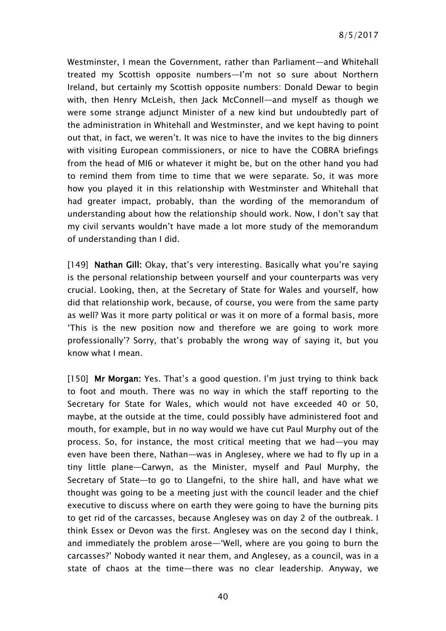Westminster, I mean the Government, rather than Parliament—and Whitehall treated my Scottish opposite numbers—I'm not so sure about Northern Ireland, but certainly my Scottish opposite numbers: Donald Dewar to begin with, then Henry McLeish, then Jack McConnell—and myself as though we were some strange adjunct Minister of a new kind but undoubtedly part of the administration in Whitehall and Westminster, and we kept having to point out that, in fact, we weren't. It was nice to have the invites to the big dinners with visiting European commissioners, or nice to have the COBRA briefings from the head of MI6 or whatever it might be, but on the other hand you had to remind them from time to time that we were separate. So, it was more how you played it in this relationship with Westminster and Whitehall that had greater impact, probably, than the wording of the memorandum of understanding about how the relationship should work. Now, I don't say that my civil servants wouldn't have made a lot more study of the memorandum of understanding than I did.

[149] Nathan Gill: Okay, that's very interesting. Basically what you're saying is the personal relationship between yourself and your counterparts was very crucial. Looking, then, at the Secretary of State for Wales and yourself, how did that relationship work, because, of course, you were from the same party as well? Was it more party political or was it on more of a formal basis, more 'This is the new position now and therefore we are going to work more professionally'? Sorry, that's probably the wrong way of saying it, but you know what I mean.

[150] Mr Morgan: Yes. That's a good question. I'm just trying to think back to foot and mouth. There was no way in which the staff reporting to the Secretary for State for Wales, which would not have exceeded 40 or 50, maybe, at the outside at the time, could possibly have administered foot and mouth, for example, but in no way would we have cut Paul Murphy out of the process. So, for instance, the most critical meeting that we had—you may even have been there, Nathan—was in Anglesey, where we had to fly up in a tiny little plane—Carwyn, as the Minister, myself and Paul Murphy, the Secretary of State—to go to Llangefni, to the shire hall, and have what we thought was going to be a meeting just with the council leader and the chief executive to discuss where on earth they were going to have the burning pits to get rid of the carcasses, because Anglesey was on day 2 of the outbreak. I think Essex or Devon was the first. Anglesey was on the second day I think, and immediately the problem arose—'Well, where are you going to burn the carcasses?' Nobody wanted it near them, and Anglesey, as a council, was in a state of chaos at the time—there was no clear leadership. Anyway, we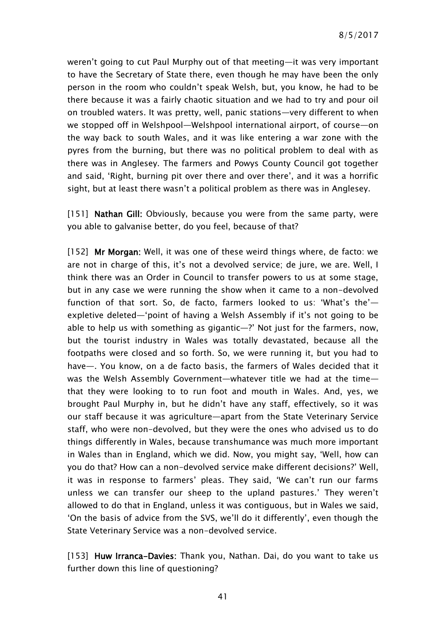weren't going to cut Paul Murphy out of that meeting—it was very important to have the Secretary of State there, even though he may have been the only person in the room who couldn't speak Welsh, but, you know, he had to be there because it was a fairly chaotic situation and we had to try and pour oil on troubled waters. It was pretty, well, panic stations—very different to when we stopped off in Welshpool—Welshpool international airport, of course—on the way back to south Wales, and it was like entering a war zone with the pyres from the burning, but there was no political problem to deal with as there was in Anglesey. The farmers and Powys County Council got together and said, 'Right, burning pit over there and over there', and it was a horrific sight, but at least there wasn't a political problem as there was in Anglesey.

[151] Nathan Gill: Obviously, because you were from the same party, were you able to galvanise better, do you feel, because of that?

[152] Mr Morgan: Well, it was one of these weird things where, de facto: we are not in charge of this, it's not a devolved service; de jure, we are. Well, I think there was an Order in Council to transfer powers to us at some stage, but in any case we were running the show when it came to a non-devolved function of that sort. So, de facto, farmers looked to us: 'What's the' expletive deleted—'point of having a Welsh Assembly if it's not going to be able to help us with something as gigantic—?' Not just for the farmers, now, but the tourist industry in Wales was totally devastated, because all the footpaths were closed and so forth. So, we were running it, but you had to have—. You know, on a de facto basis, the farmers of Wales decided that it was the Welsh Assembly Government—whatever title we had at the time that they were looking to to run foot and mouth in Wales. And, yes, we brought Paul Murphy in, but he didn't have any staff, effectively, so it was our staff because it was agriculture—apart from the State Veterinary Service staff, who were non-devolved, but they were the ones who advised us to do things differently in Wales, because transhumance was much more important in Wales than in England, which we did. Now, you might say, 'Well, how can you do that? How can a non-devolved service make different decisions?' Well, it was in response to farmers' pleas. They said, 'We can't run our farms unless we can transfer our sheep to the upland pastures.' They weren't allowed to do that in England, unless it was contiguous, but in Wales we said, 'On the basis of advice from the SVS, we'll do it differently', even though the State Veterinary Service was a non-devolved service.

[153] Huw Irranca-Davies: Thank you, Nathan. Dai, do you want to take us further down this line of questioning?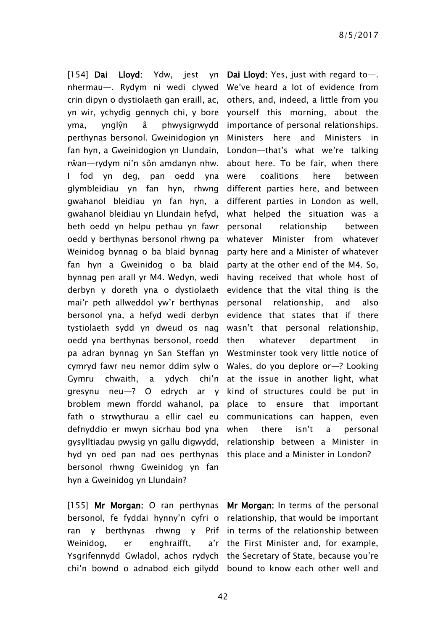[154] Dai Lloyd: Ydw, jest yn nhermau—. Rydym ni wedi clywed We've heard a lot of evidence from crin dipyn o dystiolaeth gan eraill, ac, others, and, indeed, a little from you yn wir, ychydig gennych chi, y bore yourself this morning, about the yma, ynglŷn â phwysigrwydd perthynas bersonol. Gweinidogion yn fan hyn, a Gweinidogion yn Llundain, rŵan—rydym ni'n sôn amdanyn nhw. I fod yn deg, pan oedd yna glymbleidiau yn fan hyn, rhwng gwahanol bleidiau yn fan hyn, a different parties in London as well, gwahanol bleidiau yn Llundain hefyd, beth oedd yn helpu pethau yn fawr oedd y berthynas bersonol rhwng pa Weinidog bynnag o ba blaid bynnag fan hyn a Gweinidog o ba blaid bynnag pen arall yr M4. Wedyn, wedi derbyn y doreth yna o dystiolaeth mai'r peth allweddol yw'r berthynas bersonol yna, a hefyd wedi derbyn tystiolaeth sydd yn dweud os nag oedd yna berthynas bersonol, roedd pa adran bynnag yn San Steffan yn Westminster took very little notice of cymryd fawr neu nemor ddim sylw o Wales, do you deplore or—? Looking Gymru chwaith, a ydych chi'n at the issue in another light, what gresynu neu—? O edrych ar y kind of structures could be put in broblem mewn ffordd wahanol, pa place to ensure that important fath o strwythurau a ellir cael eu communications can happen, even defnyddio er mwyn sicrhau bod yna gysylltiadau pwysig yn gallu digwydd, relationship between a Minister in hyd yn oed pan nad oes perthynas this place and a Minister in London? bersonol rhwng Gweinidog yn fan hyn a Gweinidog yn Llundain?

[155] Mr Morgan: O ran perthynas Mr Morgan: In terms of the personal bersonol, fe fyddai hynny'n cyfri o relationship, that would be important ran y berthynas Weinidog, er enghraifft, Ysgrifennydd Gwladol, achos rydych the Secretary of State, because you're

Dai Lloyd: Yes, just with regard to—. importance of personal relationships. Ministers here and Ministers in London—that's what we're talking about here. To be fair, when there were coalitions here between different parties here, and between what helped the situation was a personal relationship between whatever Minister from whatever party here and a Minister of whatever party at the other end of the M4. So, having received that whole host of evidence that the vital thing is the personal relationship, and also evidence that states that if there wasn't that personal relationship, whatever department in there isn't a personal

chi'n bownd o adnabod eich gilydd bound to know each other well and  $r$  rhwng  $r$   $y$  Prif in terms of the relationship between a'r the First Minister and, for example,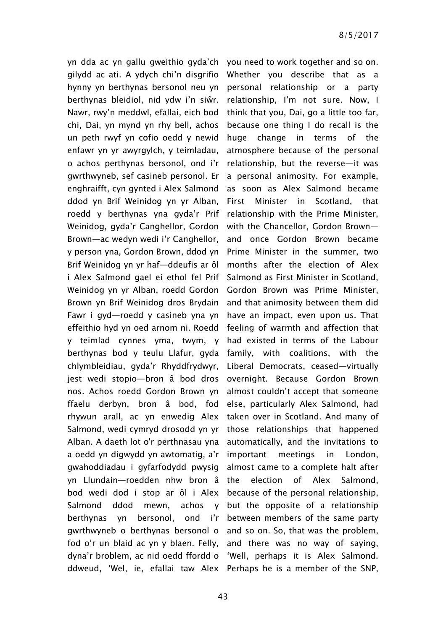yn dda ac yn gallu gweithio gyda'ch you need to work together and so on. gilydd ac ati. A ydych chi'n disgrifio hynny yn berthynas bersonol neu yn personal relationship or a party berthynas bleidiol, nid ydw i'n siŵr. Nawr, rwy'n meddwl, efallai, eich bod chi, Dai, yn mynd yn rhy bell, achos un peth rwyf yn cofio oedd y newid enfawr yn yr awyrgylch, y teimladau, o achos perthynas bersonol, ond i'r gwrthwyneb, sef casineb personol. Er enghraifft, cyn gynted i Alex Salmond ddod yn Brif Weinidog yn yr Alban, roedd y berthynas yna gyda'r Prif Weinidog, gyda'r Canghellor, Gordon Brown—ac wedyn wedi i'r Canghellor, y person yna, Gordon Brown, ddod yn Brif Weinidog yn yr haf—ddeufis ar ôl i Alex Salmond gael ei ethol fel Prif Weinidog yn yr Alban, roedd Gordon Brown yn Brif Weinidog dros Brydain Fawr i gyd—roedd y casineb yna yn effeithio hyd yn oed arnom ni. Roedd y teimlad cynnes yma, twym, y berthynas bod y teulu Llafur, gyda family, with coalitions, with the chlymbleidiau, gyda'r Rhyddfrydwyr, jest wedi stopio—bron â bod dros nos. Achos roedd Gordon Brown yn ffaelu derbyn, bron â bod, fod rhywun arall, ac yn enwedig Alex Salmond, wedi cymryd drosodd yn yr Alban. A daeth lot o'r perthnasau yna a oedd yn digwydd yn awtomatig, a'r gwahoddiadau i gyfarfodydd pwysig yn Llundain—roedden nhw bron â bod wedi dod i stop ar ôl i Alex Salmond ddod mewn, achos y berthynas yn bersonol, ond i'r between members of the same party gwrthwyneb o berthynas bersonol o and so on. So, that was the problem, fod o'r un blaid ac yn y blaen. Felly, dyna'r broblem, ac nid oedd ffordd o 'Well, perhaps it is Alex Salmond. ddweud, 'Wel, ie, efallai taw Alex Perhaps he is a member of the SNP,

Whether you describe that as a relationship, I'm not sure. Now, I think that you, Dai, go a little too far, because one thing I do recall is the huge change in terms of the atmosphere because of the personal relationship, but the reverse—it was a personal animosity. For example, as soon as Alex Salmond became First Minister in Scotland, that relationship with the Prime Minister, with the Chancellor, Gordon Brown and once Gordon Brown became Prime Minister in the summer, two months after the election of Alex Salmond as First Minister in Scotland, Gordon Brown was Prime Minister, and that animosity between them did have an impact, even upon us. That feeling of warmth and affection that had existed in terms of the Labour Liberal Democrats, ceased—virtually overnight. Because Gordon Brown almost couldn't accept that someone else, particularly Alex Salmond, had taken over in Scotland. And many of those relationships that happened automatically, and the invitations to important meetings in London, almost came to a complete halt after the election of Alex Salmond, because of the personal relationship, but the opposite of a relationship and there was no way of saying,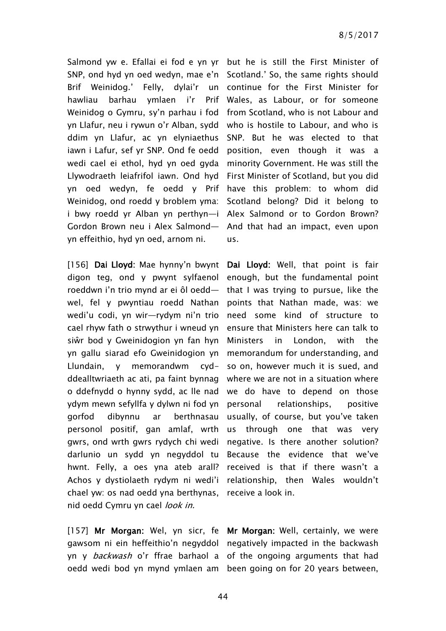Salmond yw e. Efallai ei fod e yn yr but he is still the First Minister of SNP, ond hyd yn oed wedyn, mae e'n Scotland.' So, the same rights should Brif Weinidog.' Felly, dylai'r un continue for the First Minister for hawliau barhau ymlaen i'r Weinidog o Gymru, sy'n parhau i fod from Scotland, who is not Labour and yn Llafur, neu i rywun o'r Alban, sydd who is hostile to Labour, and who is ddim yn Llafur, ac yn elyniaethus iawn i Lafur, sef yr SNP. Ond fe oedd position, even though it was a wedi cael ei ethol, hyd yn oed gyda minority Government. He was still the Llywodraeth leiafrifol iawn. Ond hyd First Minister of Scotland, but you did yn oed wedyn, fe oedd y Prif have this problem: to whom did Weinidog, ond roedd y broblem yma: Scotland belong? Did it belong to i bwy roedd yr Alban yn perthyn—i Alex Salmond or to Gordon Brown? Gordon Brown neu i Alex Salmond— And that had an impact, even upon yn effeithio, hyd yn oed, arnom ni.

[156] Dai Lloyd: Mae hynny'n bwynt Dai Lloyd: Well, that point is fair digon teg, ond y pwynt sylfaenol enough, but the fundamental point roeddwn i'n trio mynd ar ei ôl oedd wel, fel y pwyntiau roedd Nathan wedi'u codi, yn wir—rydym ni'n trio cael rhyw fath o strwythur i wneud yn siŵr bod y Gweinidogion yn fan hyn yn gallu siarad efo Gweinidogion yn Llundain, y memorandwm cydddealltwriaeth ac ati, pa faint bynnag where we are not in a situation where o ddefnydd o hynny sydd, ac lle nad we do have to depend on those ydym mewn sefyllfa y dylwn ni fod yn gorfod dibynnu ar berthnasau personol positif, gan amlaf, wrth gwrs, ond wrth gwrs rydych chi wedi darlunio un sydd yn negyddol tu Because the evidence that we've hwnt. Felly, a oes yna ateb arall? Achos y dystiolaeth rydym ni wedi'i relationship, then Wales wouldn't chael yw: os nad oedd yna berthynas, receive a look in. nid oedd Cymru yn cael look in.

[157] Mr Morgan: Wel, yn sicr, fe Mr Morgan: Well, certainly, we were gawsom ni ein heffeithio'n negyddol negatively impacted in the backwash yn y *backwash* o'r ffrae barhaol a of the ongoing arguments that had oedd wedi bod yn mynd ymlaen am been going on for 20 years between,

Prif Wales, as Labour, or for someone SNP. But he was elected to that us.

> that I was trying to pursue, like the points that Nathan made, was: we need some kind of structure to ensure that Ministers here can talk to Ministers in London, with the memorandum for understanding, and so on, however much it is sued, and personal relationships, positive usually, of course, but you've taken us through one that was very negative. Is there another solution? received is that if there wasn't a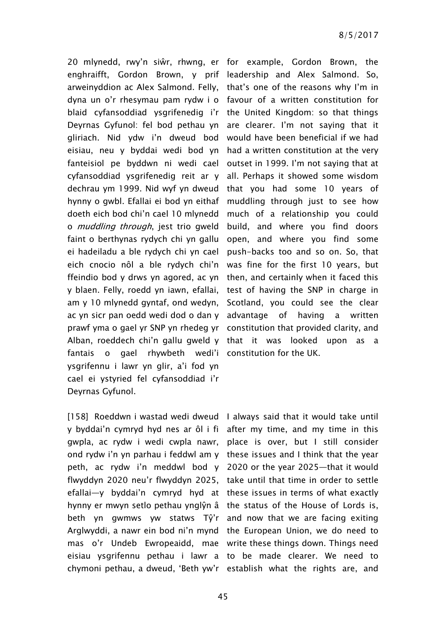20 mlynedd, rwy'n siŵr, rhwng, er for example, Gordon Brown, the enghraifft, Gordon Brown, y prif leadership and Alex Salmond. So, arweinyddion ac Alex Salmond. Felly, that's one of the reasons why I'm in dyna un o'r rhesymau pam rydw i o favour of a written constitution for blaid cyfansoddiad ysgrifenedig i'r the United Kingdom: so that things Deyrnas Gyfunol: fel bod pethau yn are clearer. I'm not saying that it gliriach. Nid ydw i'n dweud bod would have been beneficial if we had eisiau, neu y byddai wedi bod yn had a written constitution at the very fanteisiol pe byddwn ni wedi cael outset in 1999. I'm not saying that at cyfansoddiad ysgrifenedig reit ar y all. Perhaps it showed some wisdom dechrau ym 1999. Nid wyf yn dweud that you had some 10 years of hynny o gwbl. Efallai ei bod yn eithaf doeth eich bod chi'n cael 10 mlynedd o muddling through, jest trio gweld faint o berthynas rydych chi yn gallu ei hadeiladu a ble rydych chi yn cael eich cnocio nôl a ble rydych chi'n was fine for the first 10 years, but ffeindio bod y drws yn agored, ac yn then, and certainly when it faced this y blaen. Felly, roedd yn iawn, efallai, am y 10 mlynedd gyntaf, ond wedyn, ac yn sicr pan oedd wedi dod o dan y advantage of having a written prawf yma o gael yr SNP yn rhedeg yr constitution that provided clarity, and Alban, roeddech chi'n gallu gweld y that it was looked upon as a fantais o gael rhywbeth wedi'i constitution for the UK. ysgrifennu i lawr yn glir, a'i fod yn cael ei ystyried fel cyfansoddiad i'r Deyrnas Gyfunol.

[158] Roeddwn i wastad wedi dweud I always said that it would take until y byddai'n cymryd hyd nes ar ôl i fi after my time, and my time in this gwpla, ac rydw i wedi cwpla nawr, place is over, but I still consider ond rydw i'n yn parhau i feddwl am y these issues and I think that the year peth, ac rydw i'n meddwl bod y 2020 or the year 2025—that it would flwyddyn 2020 neu'r flwyddyn 2025, take until that time in order to settle efallai—y byddai'n cymryd hyd at these issues in terms of what exactly hynny er mwyn setlo pethau ynglŷn â the status of the House of Lords is, beth yn gwmws yw statws Tŷ'r and now that we are facing exiting Arglwyddi, a nawr ein bod ni'n mynd the European Union, we do need to mas o'r Undeb Ewropeaidd, mae write these things down. Things need eisiau ysgrifennu pethau i lawr a to be made clearer. We need to chymoni pethau, a dweud, 'Beth yw'r establish what the rights are, and

muddling through just to see how much of a relationship you could build, and where you find doors open, and where you find some push-backs too and so on. So, that test of having the SNP in charge in Scotland, you could see the clear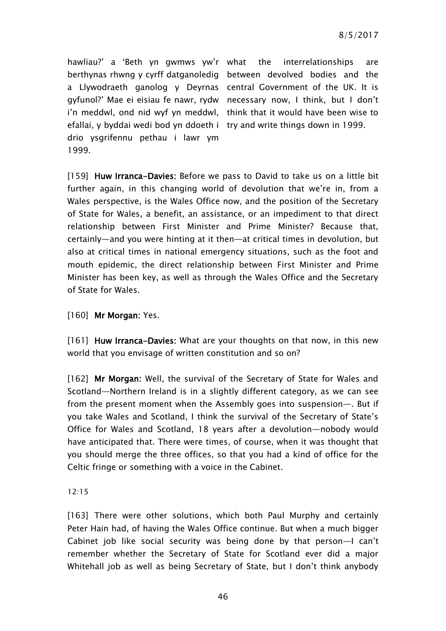hawliau?' a 'Beth yn gwmws yw'r berthynas rhwng y cyrff datganoledig between devolved bodies and the a Llywodraeth ganolog y Deyrnas central Government of the UK. It is gyfunol?' Mae ei eisiau fe nawr, rydw necessary now, I think, but I don't i'n meddwl, ond nid wyf yn meddwl, think that it would have been wise to efallai, y byddai wedi bod yn ddoeth i try and write things down in 1999. drio ysgrifennu pethau i lawr ym 1999.

interrelationships are

[159] Huw Irranca-Davies: Before we pass to David to take us on a little bit further again, in this changing world of devolution that we're in, from a Wales perspective, is the Wales Office now, and the position of the Secretary of State for Wales, a benefit, an assistance, or an impediment to that direct relationship between First Minister and Prime Minister? Because that, certainly—and you were hinting at it then—at critical times in devolution, but also at critical times in national emergency situations, such as the foot and mouth epidemic, the direct relationship between First Minister and Prime Minister has been key, as well as through the Wales Office and the Secretary of State for Wales.

## [160] Mr Morgan: Yes.

[161] Huw Irranca-Davies: What are your thoughts on that now, in this new world that you envisage of written constitution and so on?

[162] Mr Morgan: Well, the survival of the Secretary of State for Wales and Scotland—Northern Ireland is in a slightly different category, as we can see from the present moment when the Assembly goes into suspension—. But if you take Wales and Scotland, I think the survival of the Secretary of State's Office for Wales and Scotland, 18 years after a devolution—nobody would have anticipated that. There were times, of course, when it was thought that you should merge the three offices, so that you had a kind of office for the Celtic fringe or something with a voice in the Cabinet.

### 12:15

[163] There were other solutions, which both Paul Murphy and certainly Peter Hain had, of having the Wales Office continue. But when a much bigger Cabinet job like social security was being done by that person—I can't remember whether the Secretary of State for Scotland ever did a major Whitehall job as well as being Secretary of State, but I don't think anybody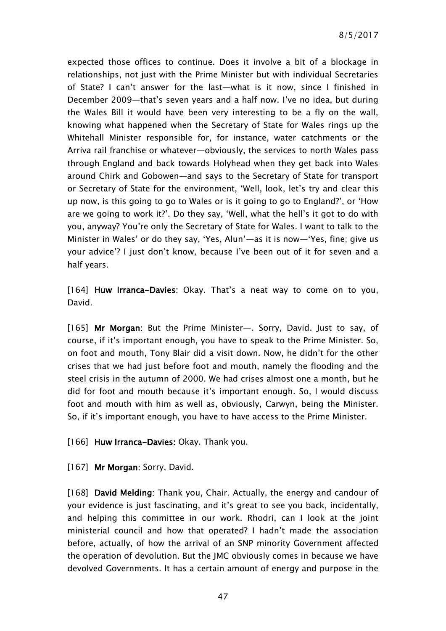expected those offices to continue. Does it involve a bit of a blockage in relationships, not just with the Prime Minister but with individual Secretaries of State? I can't answer for the last—what is it now, since I finished in December 2009—that's seven years and a half now. I've no idea, but during the Wales Bill it would have been very interesting to be a fly on the wall, knowing what happened when the Secretary of State for Wales rings up the Whitehall Minister responsible for, for instance, water catchments or the Arriva rail franchise or whatever—obviously, the services to north Wales pass through England and back towards Holyhead when they get back into Wales around Chirk and Gobowen—and says to the Secretary of State for transport or Secretary of State for the environment, 'Well, look, let's try and clear this up now, is this going to go to Wales or is it going to go to England?', or 'How are we going to work it?'. Do they say, 'Well, what the hell's it got to do with you, anyway? You're only the Secretary of State for Wales. I want to talk to the Minister in Wales' or do they say, 'Yes, Alun'—as it is now—'Yes, fine; give us your advice'? I just don't know, because I've been out of it for seven and a half years.

[164] Huw Irranca-Davies: Okay. That's a neat way to come on to you, David.

[165] Mr Morgan: But the Prime Minister—. Sorry, David. Just to say, of course, if it's important enough, you have to speak to the Prime Minister. So, on foot and mouth, Tony Blair did a visit down. Now, he didn't for the other crises that we had just before foot and mouth, namely the flooding and the steel crisis in the autumn of 2000. We had crises almost one a month, but he did for foot and mouth because it's important enough. So, I would discuss foot and mouth with him as well as, obviously, Carwyn, being the Minister. So, if it's important enough, you have to have access to the Prime Minister.

[166] Huw Irranca-Davies: Okay. Thank you.

[167] Mr Morgan: Sorry, David.

[168] David Melding: Thank you, Chair. Actually, the energy and candour of your evidence is just fascinating, and it's great to see you back, incidentally, and helping this committee in our work. Rhodri, can I look at the joint ministerial council and how that operated? I hadn't made the association before, actually, of how the arrival of an SNP minority Government affected the operation of devolution. But the JMC obviously comes in because we have devolved Governments. It has a certain amount of energy and purpose in the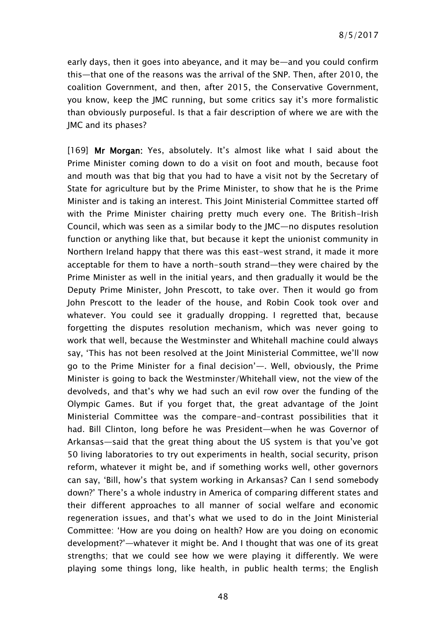early days, then it goes into abeyance, and it may be—and you could confirm this—that one of the reasons was the arrival of the SNP. Then, after 2010, the coalition Government, and then, after 2015, the Conservative Government, you know, keep the JMC running, but some critics say it's more formalistic than obviously purposeful. Is that a fair description of where we are with the JMC and its phases?

[169] Mr Morgan: Yes, absolutely. It's almost like what I said about the Prime Minister coming down to do a visit on foot and mouth, because foot and mouth was that big that you had to have a visit not by the Secretary of State for agriculture but by the Prime Minister, to show that he is the Prime Minister and is taking an interest. This Joint Ministerial Committee started off with the Prime Minister chairing pretty much every one. The British-Irish Council, which was seen as a similar body to the JMC—no disputes resolution function or anything like that, but because it kept the unionist community in Northern Ireland happy that there was this east-west strand, it made it more acceptable for them to have a north-south strand—they were chaired by the Prime Minister as well in the initial years, and then gradually it would be the Deputy Prime Minister, John Prescott, to take over. Then it would go from John Prescott to the leader of the house, and Robin Cook took over and whatever. You could see it gradually dropping. I regretted that, because forgetting the disputes resolution mechanism, which was never going to work that well, because the Westminster and Whitehall machine could always say, 'This has not been resolved at the Joint Ministerial Committee, we'll now go to the Prime Minister for a final decision'—. Well, obviously, the Prime Minister is going to back the Westminster/Whitehall view, not the view of the devolveds, and that's why we had such an evil row over the funding of the Olympic Games. But if you forget that, the great advantage of the Joint Ministerial Committee was the compare-and-contrast possibilities that it had. Bill Clinton, long before he was President—when he was Governor of Arkansas—said that the great thing about the US system is that you've got 50 living laboratories to try out experiments in health, social security, prison reform, whatever it might be, and if something works well, other governors can say, 'Bill, how's that system working in Arkansas? Can I send somebody down?' There's a whole industry in America of comparing different states and their different approaches to all manner of social welfare and economic regeneration issues, and that's what we used to do in the Joint Ministerial Committee: 'How are you doing on health? How are you doing on economic development?'—whatever it might be. And I thought that was one of its great strengths; that we could see how we were playing it differently. We were playing some things long, like health, in public health terms; the English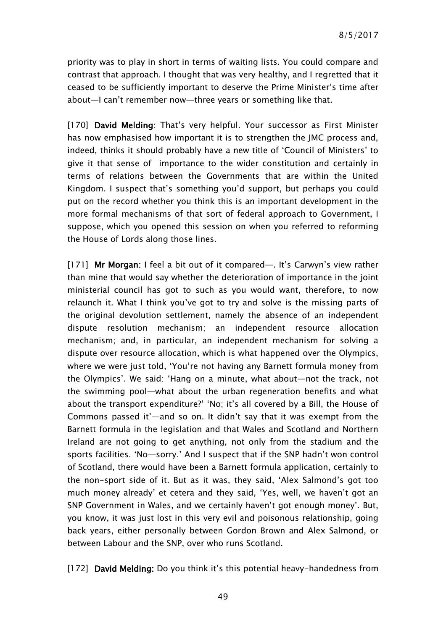priority was to play in short in terms of waiting lists. You could compare and contrast that approach. I thought that was very healthy, and I regretted that it ceased to be sufficiently important to deserve the Prime Minister's time after about—I can't remember now—three years or something like that.

[170] David Melding: That's very helpful. Your successor as First Minister has now emphasised how important it is to strengthen the JMC process and, indeed, thinks it should probably have a new title of 'Council of Ministers' to give it that sense of importance to the wider constitution and certainly in terms of relations between the Governments that are within the United Kingdom. I suspect that's something you'd support, but perhaps you could put on the record whether you think this is an important development in the more formal mechanisms of that sort of federal approach to Government, I suppose, which you opened this session on when you referred to reforming the House of Lords along those lines.

[171] Mr Morgan: I feel a bit out of it compared—. It's Carwyn's view rather than mine that would say whether the deterioration of importance in the joint ministerial council has got to such as you would want, therefore, to now relaunch it. What I think you've got to try and solve is the missing parts of the original devolution settlement, namely the absence of an independent dispute resolution mechanism; an independent resource allocation mechanism; and, in particular, an independent mechanism for solving a dispute over resource allocation, which is what happened over the Olympics, where we were just told, 'You're not having any Barnett formula money from the Olympics'. We said: 'Hang on a minute, what about—not the track, not the swimming pool—what about the urban regeneration benefits and what about the transport expenditure?' 'No; it's all covered by a Bill, the House of Commons passed it'—and so on. It didn't say that it was exempt from the Barnett formula in the legislation and that Wales and Scotland and Northern Ireland are not going to get anything, not only from the stadium and the sports facilities. 'No—sorry.' And I suspect that if the SNP hadn't won control of Scotland, there would have been a Barnett formula application, certainly to the non-sport side of it. But as it was, they said, 'Alex Salmond's got too much money already' et cetera and they said, 'Yes, well, we haven't got an SNP Government in Wales, and we certainly haven't got enough money'. But, you know, it was just lost in this very evil and poisonous relationship, going back years, either personally between Gordon Brown and Alex Salmond, or between Labour and the SNP, over who runs Scotland.

[172] David Melding: Do you think it's this potential heavy-handedness from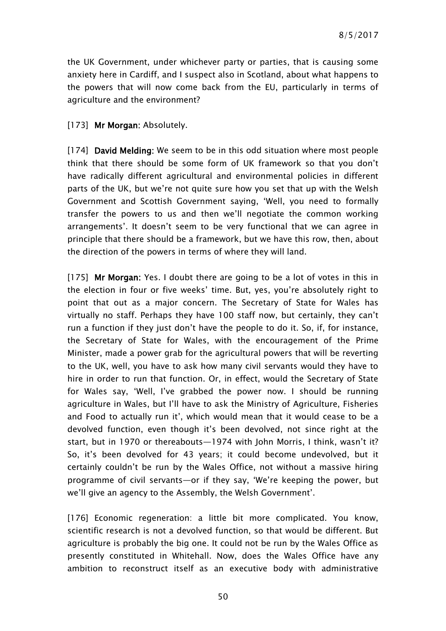the UK Government, under whichever party or parties, that is causing some anxiety here in Cardiff, and I suspect also in Scotland, about what happens to the powers that will now come back from the EU, particularly in terms of agriculture and the environment?

### [173] Mr Morgan: Absolutely.

[174] David Melding: We seem to be in this odd situation where most people think that there should be some form of UK framework so that you don't have radically different agricultural and environmental policies in different parts of the UK, but we're not quite sure how you set that up with the Welsh Government and Scottish Government saying, 'Well, you need to formally transfer the powers to us and then we'll negotiate the common working arrangements'. It doesn't seem to be very functional that we can agree in principle that there should be a framework, but we have this row, then, about the direction of the powers in terms of where they will land.

[175] Mr Morgan: Yes. I doubt there are going to be a lot of votes in this in the election in four or five weeks' time. But, yes, you're absolutely right to point that out as a major concern. The Secretary of State for Wales has virtually no staff. Perhaps they have 100 staff now, but certainly, they can't run a function if they just don't have the people to do it. So, if, for instance, the Secretary of State for Wales, with the encouragement of the Prime Minister, made a power grab for the agricultural powers that will be reverting to the UK, well, you have to ask how many civil servants would they have to hire in order to run that function. Or, in effect, would the Secretary of State for Wales say, 'Well, I've grabbed the power now. I should be running agriculture in Wales, but I'll have to ask the Ministry of Agriculture, Fisheries and Food to actually run it', which would mean that it would cease to be a devolved function, even though it's been devolved, not since right at the start, but in 1970 or thereabouts—1974 with John Morris, I think, wasn't it? So, it's been devolved for 43 years; it could become undevolved, but it certainly couldn't be run by the Wales Office, not without a massive hiring programme of civil servants—or if they say, 'We're keeping the power, but we'll give an agency to the Assembly, the Welsh Government'.

[176] Economic regeneration: a little bit more complicated. You know, scientific research is not a devolved function, so that would be different. But agriculture is probably the big one. It could not be run by the Wales Office as presently constituted in Whitehall. Now, does the Wales Office have any ambition to reconstruct itself as an executive body with administrative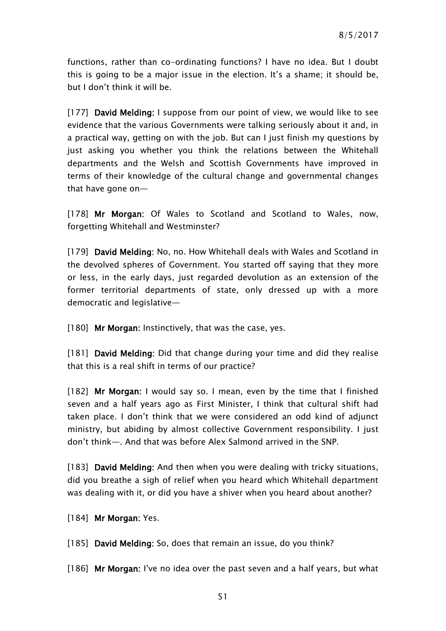functions, rather than co-ordinating functions? I have no idea. But I doubt this is going to be a major issue in the election. It's a shame; it should be, but I don't think it will be.

[177] David Melding: I suppose from our point of view, we would like to see evidence that the various Governments were talking seriously about it and, in a practical way, getting on with the job. But can I just finish my questions by just asking you whether you think the relations between the Whitehall departments and the Welsh and Scottish Governments have improved in terms of their knowledge of the cultural change and governmental changes that have gone on—

[178] Mr Morgan: Of Wales to Scotland and Scotland to Wales, now, forgetting Whitehall and Westminster?

[179] David Melding: No, no. How Whitehall deals with Wales and Scotland in the devolved spheres of Government. You started off saying that they more or less, in the early days, just regarded devolution as an extension of the former territorial departments of state, only dressed up with a more democratic and legislative—

[180] Mr Morgan: Instinctively, that was the case, yes.

[181] David Melding: Did that change during your time and did they realise that this is a real shift in terms of our practice?

[182] Mr Morgan: I would say so. I mean, even by the time that I finished seven and a half years ago as First Minister, I think that cultural shift had taken place. I don't think that we were considered an odd kind of adjunct ministry, but abiding by almost collective Government responsibility. I just don't think—. And that was before Alex Salmond arrived in the SNP.

[183] David Melding: And then when you were dealing with tricky situations, did you breathe a sigh of relief when you heard which Whitehall department was dealing with it, or did you have a shiver when you heard about another?

[184] Mr Morgan: Yes.

[185] David Melding: So, does that remain an issue, do you think?

[186] Mr Morgan: I've no idea over the past seven and a half years, but what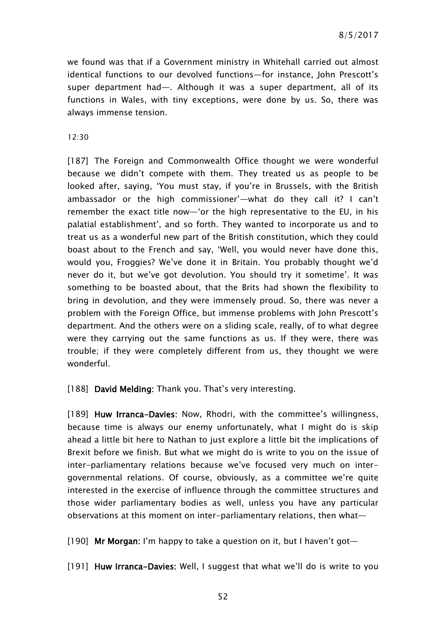we found was that if a Government ministry in Whitehall carried out almost identical functions to our devolved functions—for instance, John Prescott's super department had—. Although it was a super department, all of its functions in Wales, with tiny exceptions, were done by us. So, there was always immense tension.

 $12.30$ 

[187] The Foreign and Commonwealth Office thought we were wonderful because we didn't compete with them. They treated us as people to be looked after, saying, 'You must stay, if you're in Brussels, with the British ambassador or the high commissioner'—what do they call it? I can't remember the exact title now—'or the high representative to the EU, in his palatial establishment', and so forth. They wanted to incorporate us and to treat us as a wonderful new part of the British constitution, which they could boast about to the French and say, 'Well, you would never have done this, would you, Froggies? We've done it in Britain. You probably thought we'd never do it, but we've got devolution. You should try it sometime'. It was something to be boasted about, that the Brits had shown the flexibility to bring in devolution, and they were immensely proud. So, there was never a problem with the Foreign Office, but immense problems with John Prescott's department. And the others were on a sliding scale, really, of to what degree were they carrying out the same functions as us. If they were, there was trouble; if they were completely different from us, they thought we were wonderful.

[188] David Melding: Thank you. That's very interesting.

[189] Huw Irranca-Davies: Now, Rhodri, with the committee's willingness, because time is always our enemy unfortunately, what I might do is skip ahead a little bit here to Nathan to just explore a little bit the implications of Brexit before we finish. But what we might do is write to you on the issue of inter-parliamentary relations because we've focused very much on intergovernmental relations. Of course, obviously, as a committee we're quite interested in the exercise of influence through the committee structures and those wider parliamentary bodies as well, unless you have any particular observations at this moment on inter-parliamentary relations, then what—

[190] Mr Morgan: I'm happy to take a question on it, but I haven't got-

[191] Huw Irranca-Davies: Well, I suggest that what we'll do is write to you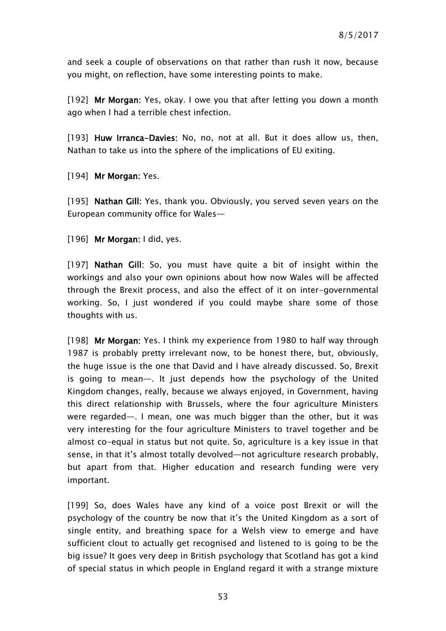and seek a couple of observations on that rather than rush it now, because you might, on reflection, have some interesting points to make.

[192] Mr Morgan: Yes, okay. I owe you that after letting you down a month ago when I had a terrible chest infection.

[193] Huw Irranca-Davies: No, no, not at all. But it does allow us, then, Nathan to take us into the sphere of the implications of EU exiting.

[194] Mr Morgan: Yes.

[195] Nathan Gill: Yes, thank you. Obviously, you served seven years on the European community office for Wales—

[196] Mr Morgan: I did, yes.

[197] Nathan Gill: So, you must have quite a bit of insight within the workings and also your own opinions about how now Wales will be affected through the Brexit process, and also the effect of it on inter-governmental working. So, I just wondered if you could maybe share some of those thoughts with us.

[198] Mr Morgan: Yes. I think my experience from 1980 to half way through 1987 is probably pretty irrelevant now, to be honest there, but, obviously, the huge issue is the one that David and I have already discussed. So, Brexit is going to mean—. It just depends how the psychology of the United Kingdom changes, really, because we always enjoyed, in Government, having this direct relationship with Brussels, where the four agriculture Ministers were regarded—. I mean, one was much bigger than the other, but it was very interesting for the four agriculture Ministers to travel together and be almost co-equal in status but not quite. So, agriculture is a key issue in that sense, in that it's almost totally devolved—not agriculture research probably, but apart from that. Higher education and research funding were very important.

[199] So, does Wales have any kind of a voice post Brexit or will the psychology of the country be now that it's the United Kingdom as a sort of single entity, and breathing space for a Welsh view to emerge and have sufficient clout to actually get recognised and listened to is going to be the big issue? It goes very deep in British psychology that Scotland has got a kind of special status in which people in England regard it with a strange mixture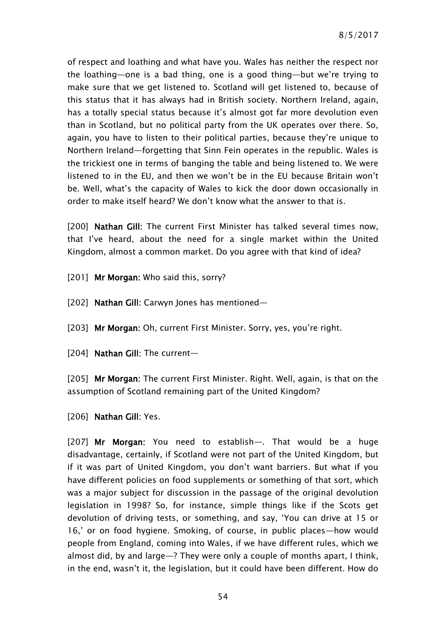of respect and loathing and what have you. Wales has neither the respect nor the loathing—one is a bad thing, one is a good thing—but we're trying to make sure that we get listened to. Scotland will get listened to, because of this status that it has always had in British society. Northern Ireland, again, has a totally special status because it's almost got far more devolution even than in Scotland, but no political party from the UK operates over there. So, again, you have to listen to their political parties, because they're unique to Northern Ireland—forgetting that Sinn Fein operates in the republic. Wales is the trickiest one in terms of banging the table and being listened to. We were listened to in the EU, and then we won't be in the EU because Britain won't be. Well, what's the capacity of Wales to kick the door down occasionally in order to make itself heard? We don't know what the answer to that is.

[200] Nathan Gill: The current First Minister has talked several times now. that I've heard, about the need for a single market within the United Kingdom, almost a common market. Do you agree with that kind of idea?

[201] Mr Morgan: Who said this, sorry?

[202] Nathan Gill: Carwyn Jones has mentioned-

[203] Mr Morgan: Oh, current First Minister. Sorry, yes, you're right.

[204] **Nathan Gill:** The current-

[205] Mr Morgan: The current First Minister. Right. Well, again, is that on the assumption of Scotland remaining part of the United Kingdom?

[206] **Nathan Gill: Yes.** 

[207] Mr Morgan: You need to establish—. That would be a huge disadvantage, certainly, if Scotland were not part of the United Kingdom, but if it was part of United Kingdom, you don't want barriers. But what if you have different policies on food supplements or something of that sort, which was a major subject for discussion in the passage of the original devolution legislation in 1998? So, for instance, simple things like if the Scots get devolution of driving tests, or something, and say, 'You can drive at 15 or 16,' or on food hygiene. Smoking, of course, in public places—how would people from England, coming into Wales, if we have different rules, which we almost did, by and large—? They were only a couple of months apart, I think, in the end, wasn't it, the legislation, but it could have been different. How do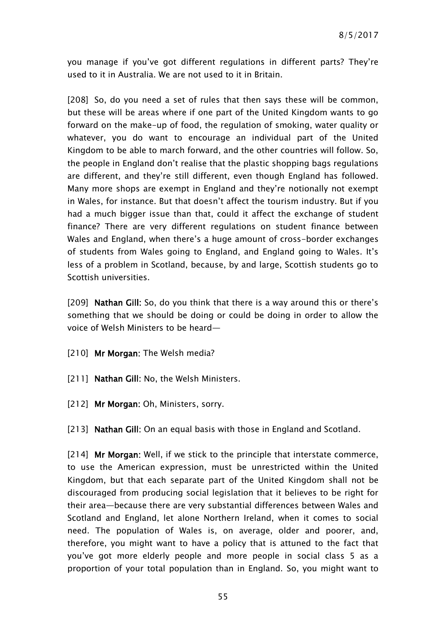you manage if you've got different regulations in different parts? They're used to it in Australia. We are not used to it in Britain.

[208] So, do you need a set of rules that then says these will be common, but these will be areas where if one part of the United Kingdom wants to go forward on the make-up of food, the regulation of smoking, water quality or whatever, you do want to encourage an individual part of the United Kingdom to be able to march forward, and the other countries will follow. So, the people in England don't realise that the plastic shopping bags regulations are different, and they're still different, even though England has followed. Many more shops are exempt in England and they're notionally not exempt in Wales, for instance. But that doesn't affect the tourism industry. But if you had a much bigger issue than that, could it affect the exchange of student finance? There are very different regulations on student finance between Wales and England, when there's a huge amount of cross-border exchanges of students from Wales going to England, and England going to Wales. It's less of a problem in Scotland, because, by and large, Scottish students go to Scottish universities.

[209] **Nathan Gill:** So, do you think that there is a way around this or there's something that we should be doing or could be doing in order to allow the voice of Welsh Ministers to be heard—

[210] Mr Morgan: The Welsh media?

- [211] Nathan Gill: No, the Welsh Ministers.
- [212] Mr Morgan: Oh, Ministers, sorry.
- [213] Nathan Gill: On an equal basis with those in England and Scotland.

[214] Mr Morgan: Well, if we stick to the principle that interstate commerce, to use the American expression, must be unrestricted within the United Kingdom, but that each separate part of the United Kingdom shall not be discouraged from producing social legislation that it believes to be right for their area—because there are very substantial differences between Wales and Scotland and England, let alone Northern Ireland, when it comes to social need. The population of Wales is, on average, older and poorer, and, therefore, you might want to have a policy that is attuned to the fact that you've got more elderly people and more people in social class 5 as a proportion of your total population than in England. So, you might want to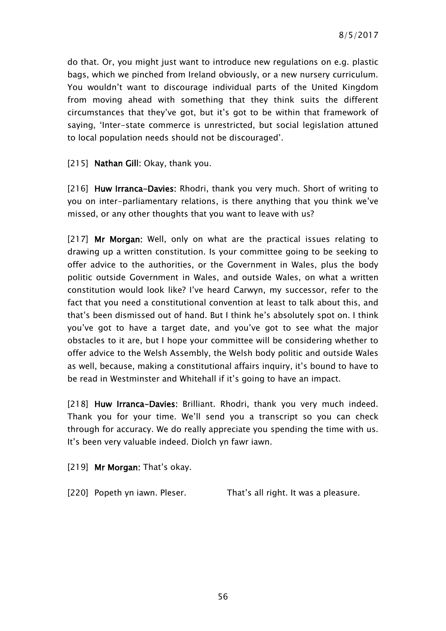do that. Or, you might just want to introduce new regulations on e.g. plastic bags, which we pinched from Ireland obviously, or a new nursery curriculum. You wouldn't want to discourage individual parts of the United Kingdom from moving ahead with something that they think suits the different circumstances that they've got, but it's got to be within that framework of saying, 'Inter-state commerce is unrestricted, but social legislation attuned to local population needs should not be discouraged'.

[215] Nathan Gill: Okay, thank you.

[216] Huw Irranca-Davies: Rhodri, thank you very much. Short of writing to you on inter-parliamentary relations, is there anything that you think we've missed, or any other thoughts that you want to leave with us?

[217] Mr Morgan: Well, only on what are the practical issues relating to drawing up a written constitution. Is your committee going to be seeking to offer advice to the authorities, or the Government in Wales, plus the body politic outside Government in Wales, and outside Wales, on what a written constitution would look like? I've heard Carwyn, my successor, refer to the fact that you need a constitutional convention at least to talk about this, and that's been dismissed out of hand. But I think he's absolutely spot on. I think you've got to have a target date, and you've got to see what the major obstacles to it are, but I hope your committee will be considering whether to offer advice to the Welsh Assembly, the Welsh body politic and outside Wales as well, because, making a constitutional affairs inquiry, it's bound to have to be read in Westminster and Whitehall if it's going to have an impact.

[218] Huw Irranca-Davies: Brilliant. Rhodri, thank you very much indeed. Thank you for your time. We'll send you a transcript so you can check through for accuracy. We do really appreciate you spending the time with us. It's been very valuable indeed. Diolch yn fawr iawn.

[219] Mr Morgan: That's okay.

[220] Popeth yn iawn. Pleser. That's all right. It was a pleasure.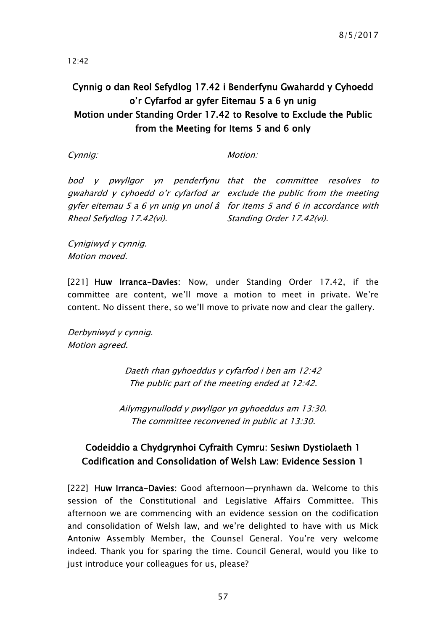12:42

# Cynnig o dan Reol Sefydlog 17.42 i Benderfynu Gwahardd y Cyhoedd o'r Cyfarfod ar gyfer Eitemau 5 a 6 yn unig Motion under Standing Order 17.42 to Resolve to Exclude the Public from the Meeting for Items 5 and 6 only

Cynnig:

Motion:

bod y pwyllgor yn penderfynu that the committee resolves to gwahardd y cyhoedd o'r cyfarfod ar exclude the public from the meeting gyfer eitemau 5 a 6 yn unig yn unol â for items 5 and 6 in accordance with Rheol Sefydlog 17.42(vi).

Standing Order 17.42(vi).

Cynigiwyd y cynnig. Motion moved.

[221] Huw Irranca-Davies: Now, under Standing Order 17.42, if the committee are content, we'll move a motion to meet in private. We're content. No dissent there, so we'll move to private now and clear the gallery.

Derbyniwyd y cynnig. Motion agreed.

> Daeth rhan gyhoeddus y cyfarfod i ben am 12:42 The public part of the meeting ended at 12:42.

Ailymgynullodd y pwyllgor yn gyhoeddus am 13:30. The committee reconvened in public at 13:30.

# Codeiddio a Chydgrynhoi Cyfraith Cymru: Sesiwn Dystiolaeth 1 Codification and Consolidation of Welsh Law: Evidence Session 1

[222] Huw Irranca-Davies: Good afternoon-prynhawn da. Welcome to this session of the Constitutional and Legislative Affairs Committee. This afternoon we are commencing with an evidence session on the codification and consolidation of Welsh law, and we're delighted to have with us Mick Antoniw Assembly Member, the Counsel General. You're very welcome indeed. Thank you for sparing the time. Council General, would you like to just introduce your colleagues for us, please?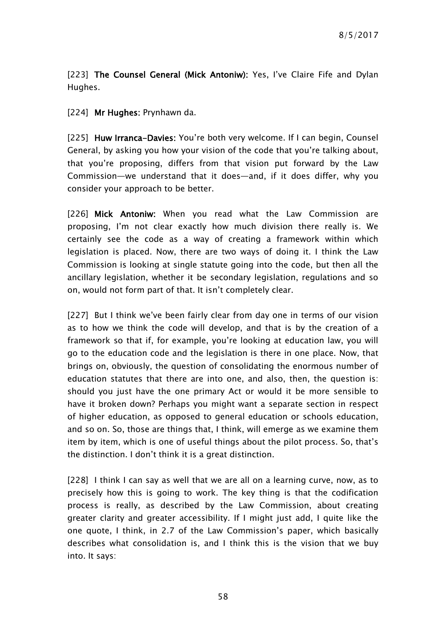[223] The Counsel General (Mick Antoniw): Yes, I've Claire Fife and Dylan Hughes.

[224] Mr Hughes: Prynhawn da.

[225] Huw Irranca-Davies: You're both very welcome. If I can begin, Counsel General, by asking you how your vision of the code that you're talking about, that you're proposing, differs from that vision put forward by the Law Commission—we understand that it does—and, if it does differ, why you consider your approach to be better.

[226] Mick Antoniw: When you read what the Law Commission are proposing, I'm not clear exactly how much division there really is. We certainly see the code as a way of creating a framework within which legislation is placed. Now, there are two ways of doing it. I think the Law Commission is looking at single statute going into the code, but then all the ancillary legislation, whether it be secondary legislation, regulations and so on, would not form part of that. It isn't completely clear.

[227] But I think we've been fairly clear from day one in terms of our vision as to how we think the code will develop, and that is by the creation of a framework so that if, for example, you're looking at education law, you will go to the education code and the legislation is there in one place. Now, that brings on, obviously, the question of consolidating the enormous number of education statutes that there are into one, and also, then, the question is: should you just have the one primary Act or would it be more sensible to have it broken down? Perhaps you might want a separate section in respect of higher education, as opposed to general education or schools education, and so on. So, those are things that, I think, will emerge as we examine them item by item, which is one of useful things about the pilot process. So, that's the distinction. I don't think it is a great distinction.

[228] I think I can say as well that we are all on a learning curve, now, as to precisely how this is going to work. The key thing is that the codification process is really, as described by the Law Commission, about creating greater clarity and greater accessibility. If I might just add, I quite like the one quote, I think, in 2.7 of the Law Commission's paper, which basically describes what consolidation is, and I think this is the vision that we buy into. It says: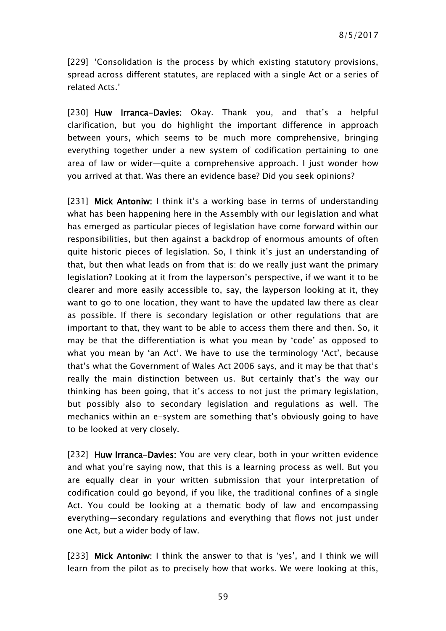[229] 'Consolidation is the process by which existing statutory provisions, spread across different statutes, are replaced with a single Act or a series of related Acts.'

[230] Huw Irranca-Davies: Okay. Thank you, and that's a helpful clarification, but you do highlight the important difference in approach between yours, which seems to be much more comprehensive, bringing everything together under a new system of codification pertaining to one area of law or wider—quite a comprehensive approach. I just wonder how you arrived at that. Was there an evidence base? Did you seek opinions?

[231] Mick Antoniw: I think it's a working base in terms of understanding what has been happening here in the Assembly with our legislation and what has emerged as particular pieces of legislation have come forward within our responsibilities, but then against a backdrop of enormous amounts of often quite historic pieces of legislation. So, I think it's just an understanding of that, but then what leads on from that is: do we really just want the primary legislation? Looking at it from the layperson's perspective, if we want it to be clearer and more easily accessible to, say, the layperson looking at it, they want to go to one location, they want to have the updated law there as clear as possible. If there is secondary legislation or other regulations that are important to that, they want to be able to access them there and then. So, it may be that the differentiation is what you mean by 'code' as opposed to what you mean by 'an Act'. We have to use the terminology 'Act', because that's what the Government of Wales Act 2006 says, and it may be that that's really the main distinction between us. But certainly that's the way our thinking has been going, that it's access to not just the primary legislation, but possibly also to secondary legislation and regulations as well. The mechanics within an e-system are something that's obviously going to have to be looked at very closely.

[232] Huw Irranca-Davies: You are very clear, both in your written evidence and what you're saying now, that this is a learning process as well. But you are equally clear in your written submission that your interpretation of codification could go beyond, if you like, the traditional confines of a single Act. You could be looking at a thematic body of law and encompassing everything—secondary regulations and everything that flows not just under one Act, but a wider body of law.

[233] Mick Antoniw: I think the answer to that is 'yes', and I think we will learn from the pilot as to precisely how that works. We were looking at this,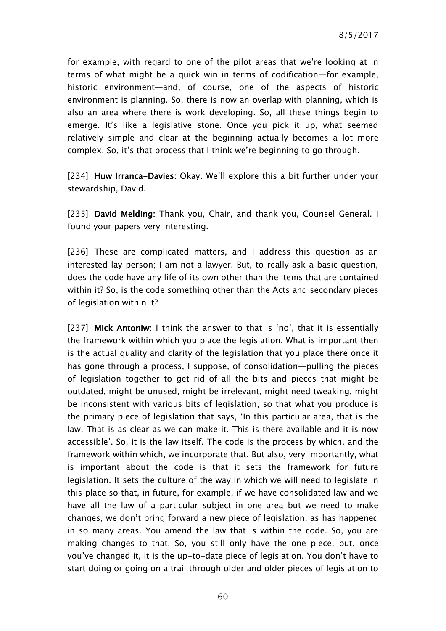for example, with regard to one of the pilot areas that we're looking at in terms of what might be a quick win in terms of codification—for example, historic environment—and, of course, one of the aspects of historic environment is planning. So, there is now an overlap with planning, which is also an area where there is work developing. So, all these things begin to emerge. It's like a legislative stone. Once you pick it up, what seemed relatively simple and clear at the beginning actually becomes a lot more complex. So, it's that process that I think we're beginning to go through.

[234] Huw Irranca-Davies: Okay. We'll explore this a bit further under your stewardship, David.

[235] David Melding: Thank you, Chair, and thank you, Counsel General. I found your papers very interesting.

[236] These are complicated matters, and I address this question as an interested lay person; I am not a lawyer. But, to really ask a basic question, does the code have any life of its own other than the items that are contained within it? So, is the code something other than the Acts and secondary pieces of legislation within it?

[237] Mick Antoniw: I think the answer to that is 'no', that it is essentially the framework within which you place the legislation. What is important then is the actual quality and clarity of the legislation that you place there once it has gone through a process, I suppose, of consolidation—pulling the pieces of legislation together to get rid of all the bits and pieces that might be outdated, might be unused, might be irrelevant, might need tweaking, might be inconsistent with various bits of legislation, so that what you produce is the primary piece of legislation that says, 'In this particular area, that is the law. That is as clear as we can make it. This is there available and it is now accessible'. So, it is the law itself. The code is the process by which, and the framework within which, we incorporate that. But also, very importantly, what is important about the code is that it sets the framework for future legislation. It sets the culture of the way in which we will need to legislate in this place so that, in future, for example, if we have consolidated law and we have all the law of a particular subject in one area but we need to make changes, we don't bring forward a new piece of legislation, as has happened in so many areas. You amend the law that is within the code. So, you are making changes to that. So, you still only have the one piece, but, once you've changed it, it is the up-to-date piece of legislation. You don't have to start doing or going on a trail through older and older pieces of legislation to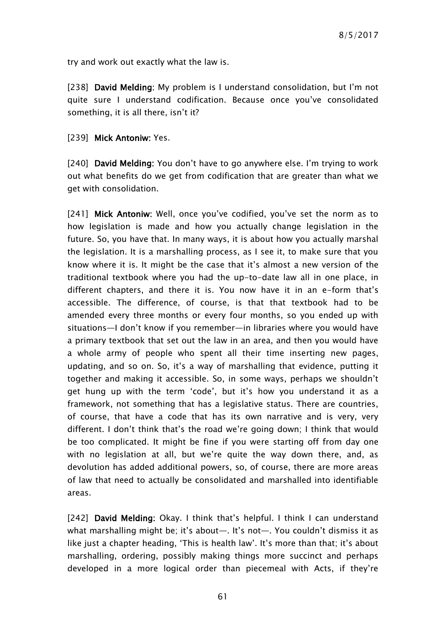try and work out exactly what the law is.

[238] David Melding: My problem is I understand consolidation, but I'm not quite sure I understand codification. Because once you've consolidated something, it is all there, isn't it?

## [239] Mick Antoniw: Yes.

[240] David Melding: You don't have to go anywhere else. I'm trying to work out what benefits do we get from codification that are greater than what we get with consolidation.

[241] Mick Antoniw: Well, once you've codified, you've set the norm as to how legislation is made and how you actually change legislation in the future. So, you have that. In many ways, it is about how you actually marshal the legislation. It is a marshalling process, as I see it, to make sure that you know where it is. It might be the case that it's almost a new version of the traditional textbook where you had the up-to-date law all in one place, in different chapters, and there it is. You now have it in an e-form that's accessible. The difference, of course, is that that textbook had to be amended every three months or every four months, so you ended up with situations—I don't know if you remember—in libraries where you would have a primary textbook that set out the law in an area, and then you would have a whole army of people who spent all their time inserting new pages, updating, and so on. So, it's a way of marshalling that evidence, putting it together and making it accessible. So, in some ways, perhaps we shouldn't get hung up with the term 'code', but it's how you understand it as a framework, not something that has a legislative status. There are countries, of course, that have a code that has its own narrative and is very, very different. I don't think that's the road we're going down; I think that would be too complicated. It might be fine if you were starting off from day one with no legislation at all, but we're quite the way down there, and, as devolution has added additional powers, so, of course, there are more areas of law that need to actually be consolidated and marshalled into identifiable areas.

[242] David Melding: Okay. I think that's helpful. I think I can understand what marshalling might be; it's about—. It's not—. You couldn't dismiss it as like just a chapter heading, 'This is health law'. It's more than that; it's about marshalling, ordering, possibly making things more succinct and perhaps developed in a more logical order than piecemeal with Acts, if they're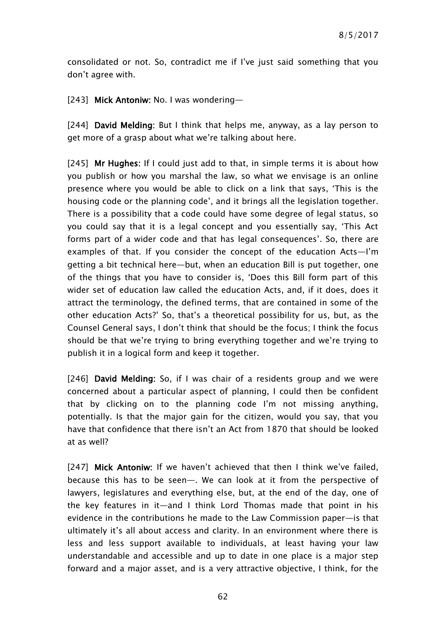consolidated or not. So, contradict me if I've just said something that you don't agree with.

[243] Mick Antoniw: No. I was wondering—

[244] David Melding: But I think that helps me, anyway, as a lay person to get more of a grasp about what we're talking about here.

[245] Mr Hughes: If I could just add to that, in simple terms it is about how you publish or how you marshal the law, so what we envisage is an online presence where you would be able to click on a link that says, 'This is the housing code or the planning code', and it brings all the legislation together. There is a possibility that a code could have some degree of legal status, so you could say that it is a legal concept and you essentially say, 'This Act forms part of a wider code and that has legal consequences'. So, there are examples of that. If you consider the concept of the education Acts—I'm getting a bit technical here—but, when an education Bill is put together, one of the things that you have to consider is, 'Does this Bill form part of this wider set of education law called the education Acts, and, if it does, does it attract the terminology, the defined terms, that are contained in some of the other education Acts?' So, that's a theoretical possibility for us, but, as the Counsel General says, I don't think that should be the focus; I think the focus should be that we're trying to bring everything together and we're trying to publish it in a logical form and keep it together.

[246] David Melding: So, if I was chair of a residents group and we were concerned about a particular aspect of planning, I could then be confident that by clicking on to the planning code I'm not missing anything, potentially. Is that the major gain for the citizen, would you say, that you have that confidence that there isn't an Act from 1870 that should be looked at as well?

[247] Mick Antoniw: If we haven't achieved that then I think we've failed, because this has to be seen—. We can look at it from the perspective of lawyers, legislatures and everything else, but, at the end of the day, one of the key features in it—and I think Lord Thomas made that point in his evidence in the contributions he made to the Law Commission paper—is that ultimately it's all about access and clarity. In an environment where there is less and less support available to individuals, at least having your law understandable and accessible and up to date in one place is a major step forward and a major asset, and is a very attractive objective, I think, for the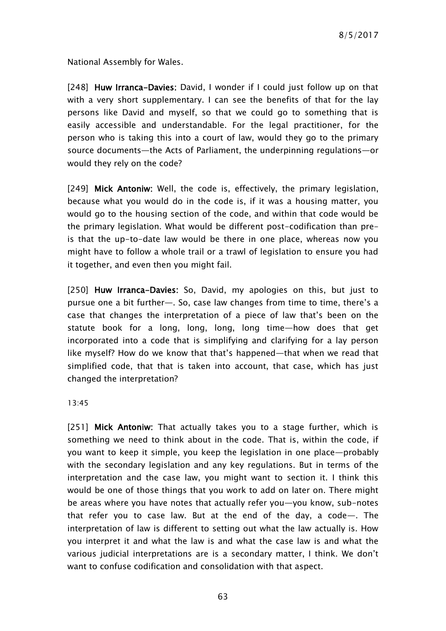National Assembly for Wales.

[248] Huw Irranca-Davies: David, I wonder if I could just follow up on that with a very short supplementary. I can see the benefits of that for the lay persons like David and myself, so that we could go to something that is easily accessible and understandable. For the legal practitioner, for the person who is taking this into a court of law, would they go to the primary source documents—the Acts of Parliament, the underpinning regulations—or would they rely on the code?

[249] Mick Antoniw: Well, the code is, effectively, the primary legislation, because what you would do in the code is, if it was a housing matter, you would go to the housing section of the code, and within that code would be the primary legislation. What would be different post-codification than preis that the up-to-date law would be there in one place, whereas now you might have to follow a whole trail or a trawl of legislation to ensure you had it together, and even then you might fail.

[250] Huw Irranca-Davies: So, David, my apologies on this, but just to pursue one a bit further—. So, case law changes from time to time, there's a case that changes the interpretation of a piece of law that's been on the statute book for a long, long, long, long time—how does that get incorporated into a code that is simplifying and clarifying for a lay person like myself? How do we know that that's happened—that when we read that simplified code, that that is taken into account, that case, which has just changed the interpretation?

13:45

[251] Mick Antoniw: That actually takes you to a stage further, which is something we need to think about in the code. That is, within the code, if you want to keep it simple, you keep the legislation in one place—probably with the secondary legislation and any key regulations. But in terms of the interpretation and the case law, you might want to section it. I think this would be one of those things that you work to add on later on. There might be areas where you have notes that actually refer you—you know, sub-notes that refer you to case law. But at the end of the day, a code—. The interpretation of law is different to setting out what the law actually is. How you interpret it and what the law is and what the case law is and what the various judicial interpretations are is a secondary matter, I think. We don't want to confuse codification and consolidation with that aspect.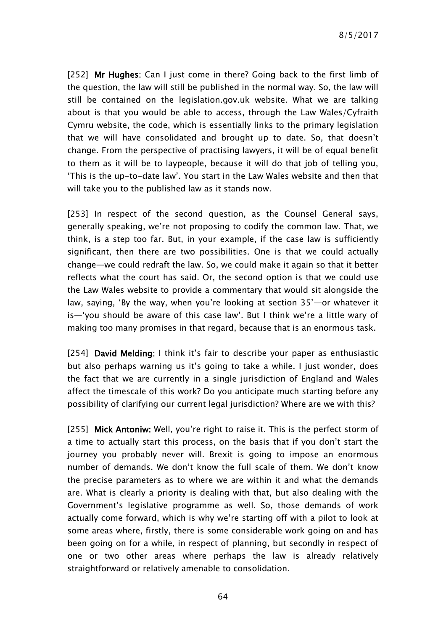8/5/2017

[252] Mr Hughes: Can I just come in there? Going back to the first limb of the question, the law will still be published in the normal way. So, the law will still be contained on the legislation.gov.uk website. What we are talking about is that you would be able to access, through the Law Wales/Cyfraith Cymru website, the code, which is essentially links to the primary legislation that we will have consolidated and brought up to date. So, that doesn't change. From the perspective of practising lawyers, it will be of equal benefit to them as it will be to laypeople, because it will do that job of telling you, 'This is the up-to-date law'. You start in the Law Wales website and then that will take you to the published law as it stands now.

[253] In respect of the second question, as the Counsel General says, generally speaking, we're not proposing to codify the common law. That, we think, is a step too far. But, in your example, if the case law is sufficiently significant, then there are two possibilities. One is that we could actually change—we could redraft the law. So, we could make it again so that it better reflects what the court has said. Or, the second option is that we could use the Law Wales website to provide a commentary that would sit alongside the law, saying, 'By the way, when you're looking at section 35'—or whatever it is—'you should be aware of this case law'. But I think we're a little wary of making too many promises in that regard, because that is an enormous task.

[254] David Melding: I think it's fair to describe your paper as enthusiastic but also perhaps warning us it's going to take a while. I just wonder, does the fact that we are currently in a single jurisdiction of England and Wales affect the timescale of this work? Do you anticipate much starting before any possibility of clarifying our current legal jurisdiction? Where are we with this?

[255] Mick Antoniw: Well, you're right to raise it. This is the perfect storm of a time to actually start this process, on the basis that if you don't start the journey you probably never will. Brexit is going to impose an enormous number of demands. We don't know the full scale of them. We don't know the precise parameters as to where we are within it and what the demands are. What is clearly a priority is dealing with that, but also dealing with the Government's legislative programme as well. So, those demands of work actually come forward, which is why we're starting off with a pilot to look at some areas where, firstly, there is some considerable work going on and has been going on for a while, in respect of planning, but secondly in respect of one or two other areas where perhaps the law is already relatively straightforward or relatively amenable to consolidation.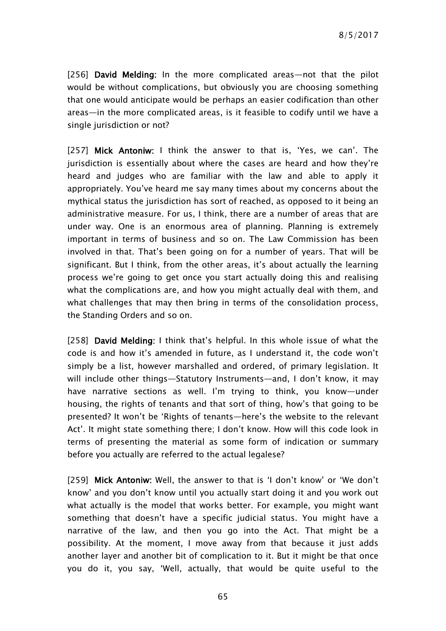[256] David Melding: In the more complicated areas—not that the pilot would be without complications, but obviously you are choosing something that one would anticipate would be perhaps an easier codification than other areas—in the more complicated areas, is it feasible to codify until we have a single jurisdiction or not?

[257] Mick Antoniw: I think the answer to that is, 'Yes, we can'. The jurisdiction is essentially about where the cases are heard and how they're heard and judges who are familiar with the law and able to apply it appropriately. You've heard me say many times about my concerns about the mythical status the jurisdiction has sort of reached, as opposed to it being an administrative measure. For us, I think, there are a number of areas that are under way. One is an enormous area of planning. Planning is extremely important in terms of business and so on. The Law Commission has been involved in that. That's been going on for a number of years. That will be significant. But I think, from the other areas, it's about actually the learning process we're going to get once you start actually doing this and realising what the complications are, and how you might actually deal with them, and what challenges that may then bring in terms of the consolidation process, the Standing Orders and so on.

[258] David Melding: I think that's helpful. In this whole issue of what the code is and how it's amended in future, as I understand it, the code won't simply be a list, however marshalled and ordered, of primary legislation. It will include other things—Statutory Instruments—and, I don't know, it may have narrative sections as well. I'm trying to think, you know—under housing, the rights of tenants and that sort of thing, how's that going to be presented? It won't be 'Rights of tenants—here's the website to the relevant Act'. It might state something there; I don't know. How will this code look in terms of presenting the material as some form of indication or summary before you actually are referred to the actual legalese?

[259] Mick Antoniw: Well, the answer to that is 'I don't know' or 'We don't know' and you don't know until you actually start doing it and you work out what actually is the model that works better. For example, you might want something that doesn't have a specific judicial status. You might have a narrative of the law, and then you go into the Act. That might be a possibility. At the moment, I move away from that because it just adds another layer and another bit of complication to it. But it might be that once you do it, you say, 'Well, actually, that would be quite useful to the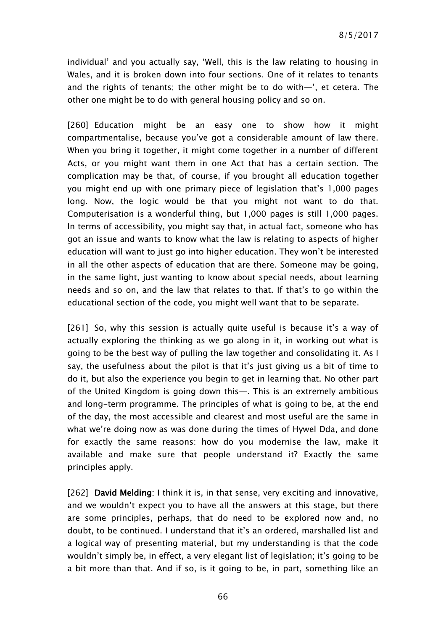individual' and you actually say, 'Well, this is the law relating to housing in Wales, and it is broken down into four sections. One of it relates to tenants and the rights of tenants; the other might be to do with—', et cetera. The other one might be to do with general housing policy and so on.

[260] Education might be an easy one to show how it might compartmentalise, because you've got a considerable amount of law there. When you bring it together, it might come together in a number of different Acts, or you might want them in one Act that has a certain section. The complication may be that, of course, if you brought all education together you might end up with one primary piece of legislation that's 1,000 pages long. Now, the logic would be that you might not want to do that. Computerisation is a wonderful thing, but 1,000 pages is still 1,000 pages. In terms of accessibility, you might say that, in actual fact, someone who has got an issue and wants to know what the law is relating to aspects of higher education will want to just go into higher education. They won't be interested in all the other aspects of education that are there. Someone may be going, in the same light, just wanting to know about special needs, about learning needs and so on, and the law that relates to that. If that's to go within the educational section of the code, you might well want that to be separate.

[261] So, why this session is actually quite useful is because it's a way of actually exploring the thinking as we go along in it, in working out what is going to be the best way of pulling the law together and consolidating it. As I say, the usefulness about the pilot is that it's just giving us a bit of time to do it, but also the experience you begin to get in learning that. No other part of the United Kingdom is going down this—. This is an extremely ambitious and long-term programme. The principles of what is going to be, at the end of the day, the most accessible and clearest and most useful are the same in what we're doing now as was done during the times of Hywel Dda, and done for exactly the same reasons: how do you modernise the law, make it available and make sure that people understand it? Exactly the same principles apply.

[262] David Melding: I think it is, in that sense, very exciting and innovative, and we wouldn't expect you to have all the answers at this stage, but there are some principles, perhaps, that do need to be explored now and, no doubt, to be continued. I understand that it's an ordered, marshalled list and a logical way of presenting material, but my understanding is that the code wouldn't simply be, in effect, a very elegant list of legislation; it's going to be a bit more than that. And if so, is it going to be, in part, something like an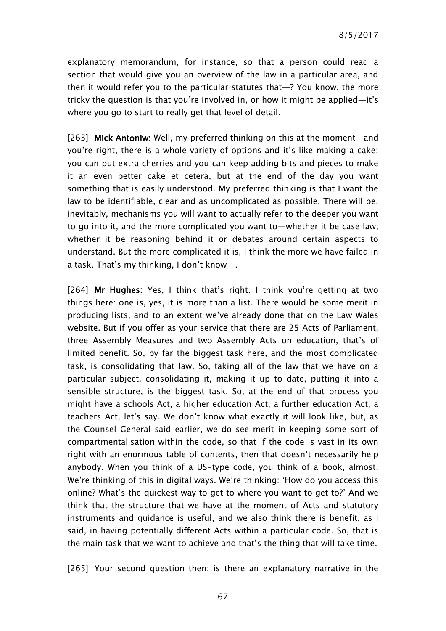explanatory memorandum, for instance, so that a person could read a section that would give you an overview of the law in a particular area, and then it would refer you to the particular statutes that—? You know, the more tricky the question is that you're involved in, or how it might be applied—it's where you go to start to really get that level of detail.

[263] Mick Antoniw: Well, my preferred thinking on this at the moment—and you're right, there is a whole variety of options and it's like making a cake; you can put extra cherries and you can keep adding bits and pieces to make it an even better cake et cetera, but at the end of the day you want something that is easily understood. My preferred thinking is that I want the law to be identifiable, clear and as uncomplicated as possible. There will be, inevitably, mechanisms you will want to actually refer to the deeper you want to go into it, and the more complicated you want to—whether it be case law, whether it be reasoning behind it or debates around certain aspects to understand. But the more complicated it is, I think the more we have failed in a task. That's my thinking, I don't know—.

[264] Mr Hughes: Yes, I think that's right. I think you're getting at two things here: one is, yes, it is more than a list. There would be some merit in producing lists, and to an extent we've already done that on the Law Wales website. But if you offer as your service that there are 25 Acts of Parliament, three Assembly Measures and two Assembly Acts on education, that's of limited benefit. So, by far the biggest task here, and the most complicated task, is consolidating that law. So, taking all of the law that we have on a particular subject, consolidating it, making it up to date, putting it into a sensible structure, is the biggest task. So, at the end of that process you might have a schools Act, a higher education Act, a further education Act, a teachers Act, let's say. We don't know what exactly it will look like, but, as the Counsel General said earlier, we do see merit in keeping some sort of compartmentalisation within the code, so that if the code is vast in its own right with an enormous table of contents, then that doesn't necessarily help anybody. When you think of a US-type code, you think of a book, almost. We're thinking of this in digital ways. We're thinking: 'How do you access this online? What's the quickest way to get to where you want to get to?' And we think that the structure that we have at the moment of Acts and statutory instruments and guidance is useful, and we also think there is benefit, as I said, in having potentially different Acts within a particular code. So, that is the main task that we want to achieve and that's the thing that will take time.

[265] Your second question then: is there an explanatory narrative in the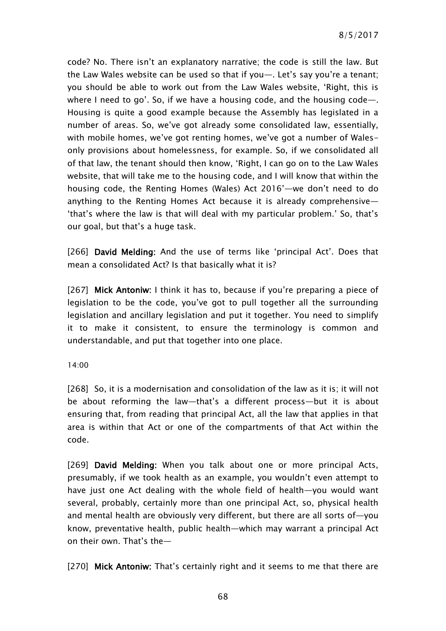code? No. There isn't an explanatory narrative; the code is still the law. But the Law Wales website can be used so that if you—. Let's say you're a tenant; you should be able to work out from the Law Wales website, 'Right, this is where I need to go'. So, if we have a housing code, and the housing code—. Housing is quite a good example because the Assembly has legislated in a number of areas. So, we've got already some consolidated law, essentially, with mobile homes, we've got renting homes, we've got a number of Walesonly provisions about homelessness, for example. So, if we consolidated all of that law, the tenant should then know, 'Right, I can go on to the Law Wales website, that will take me to the housing code, and I will know that within the housing code, the Renting Homes (Wales) Act 2016'—we don't need to do anything to the Renting Homes Act because it is already comprehensive— 'that's where the law is that will deal with my particular problem.' So, that's our goal, but that's a huge task.

[266] David Melding: And the use of terms like 'principal Act'. Does that mean a consolidated Act? Is that basically what it is?

[267] Mick Antoniw: I think it has to, because if you're preparing a piece of legislation to be the code, you've got to pull together all the surrounding legislation and ancillary legislation and put it together. You need to simplify it to make it consistent, to ensure the terminology is common and understandable, and put that together into one place.

#### 14:00

[268] So, it is a modernisation and consolidation of the law as it is; it will not be about reforming the law—that's a different process—but it is about ensuring that, from reading that principal Act, all the law that applies in that area is within that Act or one of the compartments of that Act within the code.

[269] David Melding: When you talk about one or more principal Acts, presumably, if we took health as an example, you wouldn't even attempt to have just one Act dealing with the whole field of health—you would want several, probably, certainly more than one principal Act, so, physical health and mental health are obviously very different, but there are all sorts of—you know, preventative health, public health—which may warrant a principal Act on their own. That's the—

[270] Mick Antoniw: That's certainly right and it seems to me that there are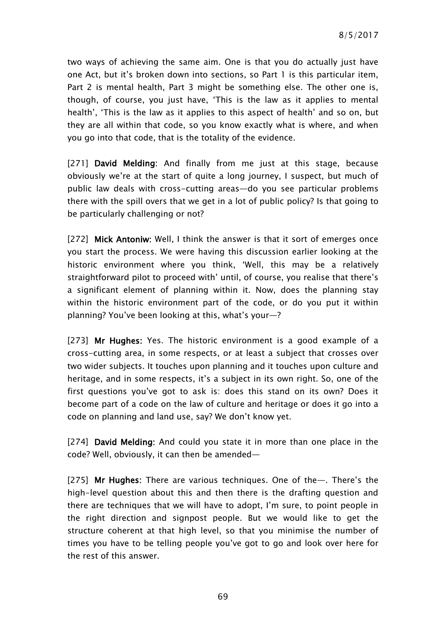two ways of achieving the same aim. One is that you do actually just have one Act, but it's broken down into sections, so Part 1 is this particular item, Part 2 is mental health, Part 3 might be something else. The other one is, though, of course, you just have, 'This is the law as it applies to mental health', 'This is the law as it applies to this aspect of health' and so on, but they are all within that code, so you know exactly what is where, and when you go into that code, that is the totality of the evidence.

[271] David Melding: And finally from me just at this stage, because obviously we're at the start of quite a long journey, I suspect, but much of public law deals with cross-cutting areas—do you see particular problems there with the spill overs that we get in a lot of public policy? Is that going to be particularly challenging or not?

[272] Mick Antoniw: Well, I think the answer is that it sort of emerges once you start the process. We were having this discussion earlier looking at the historic environment where you think, 'Well, this may be a relatively straightforward pilot to proceed with' until, of course, you realise that there's a significant element of planning within it. Now, does the planning stay within the historic environment part of the code, or do you put it within planning? You've been looking at this, what's your—?

[273] Mr Hughes: Yes. The historic environment is a good example of a cross-cutting area, in some respects, or at least a subject that crosses over two wider subjects. It touches upon planning and it touches upon culture and heritage, and in some respects, it's a subject in its own right. So, one of the first questions you've got to ask is: does this stand on its own? Does it become part of a code on the law of culture and heritage or does it go into a code on planning and land use, say? We don't know yet.

[274] David Melding: And could you state it in more than one place in the code? Well, obviously, it can then be amended—

[275] Mr Hughes: There are various techniques. One of the--. There's the high-level question about this and then there is the drafting question and there are techniques that we will have to adopt, I'm sure, to point people in the right direction and signpost people. But we would like to get the structure coherent at that high level, so that you minimise the number of times you have to be telling people you've got to go and look over here for the rest of this answer.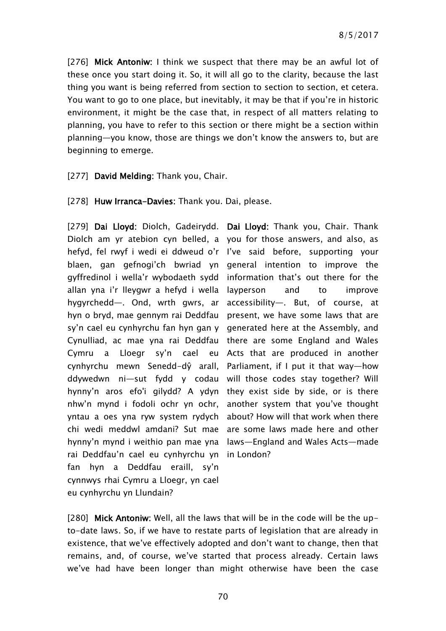[276] Mick Antoniw: I think we suspect that there may be an awful lot of these once you start doing it. So, it will all go to the clarity, because the last thing you want is being referred from section to section to section, et cetera. You want to go to one place, but inevitably, it may be that if you're in historic environment, it might be the case that, in respect of all matters relating to planning, you have to refer to this section or there might be a section within planning—you know, those are things we don't know the answers to, but are beginning to emerge.

### [277] David Melding: Thank you, Chair.

#### [278] Huw Irranca-Davies: Thank you. Dai, please.

[279] Dai Lloyd: Diolch, Gadeirydd. Dai Lloyd: Thank you, Chair. Thank Diolch am yr atebion cyn belled, a you for those answers, and also, as hefyd, fel rwyf i wedi ei ddweud o'r I've said before, supporting your blaen, gan gefnogi'ch bwriad yn general intention to improve the gyffredinol i wella'r wybodaeth sydd information that's out there for the allan yna i'r lleygwr a hefyd i wella layperson and to improve hygyrchedd—. Ond, wrth gwrs, ar hyn o bryd, mae gennym rai Deddfau sy'n cael eu cynhyrchu fan hyn gan y Cynulliad, ac mae yna rai Deddfau there are some England and Wales Cymru a Lloegr sy'n cael eu Acts that are produced in another cynhyrchu mewn Senedd-dŷ arall, Parliament, if I put it that way—how ddywedwn ni—sut fydd y codau will those codes stay together? Will hynny'n aros efo'i gilydd? A ydyn they exist side by side, or is there nhw'n mynd i fodoli ochr yn ochr, yntau a oes yna ryw system rydych chi wedi meddwl amdani? Sut mae are some laws made here and other hynny'n mynd i weithio pan mae yna laws—England and Wales Acts—made rai Deddfau'n cael eu cynhyrchu yn in London? fan hyn a Deddfau eraill, sy'n cynnwys rhai Cymru a Lloegr, yn cael eu cynhyrchu yn Llundain?

accessibility—. But, of course, at present, we have some laws that are generated here at the Assembly, and another system that you've thought about? How will that work when there

[280] Mick Antoniw: Well, all the laws that will be in the code will be the upto-date laws. So, if we have to restate parts of legislation that are already in existence, that we've effectively adopted and don't want to change, then that remains, and, of course, we've started that process already. Certain laws we've had have been longer than might otherwise have been the case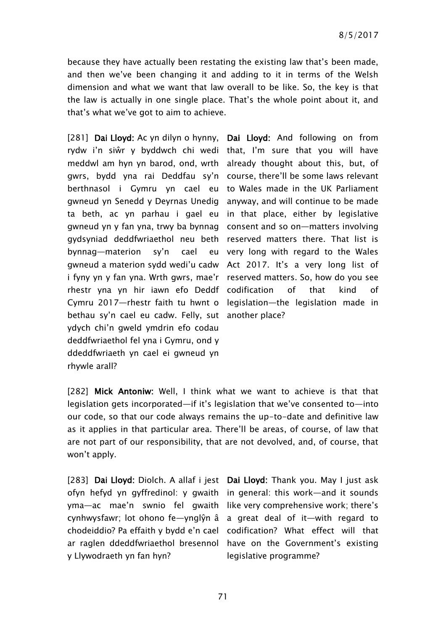because they have actually been restating the existing law that's been made, and then we've been changing it and adding to it in terms of the Welsh dimension and what we want that law overall to be like. So, the key is that the law is actually in one single place. That's the whole point about it, and that's what we've got to aim to achieve.

[281] Dai Lloyd: Ac yn dilyn o hynny, Dai Lloyd: And following on from rydw i'n siŵr y byddwch chi wedi that, I'm sure that you will have meddwl am hyn yn barod, ond, wrth already thought about this, but, of gwrs, bydd yna rai Deddfau sy'n course, there'll be some laws relevant berthnasol i Gymru yn cael eu to Wales made in the UK Parliament gwneud yn Senedd y Deyrnas Unedig anyway, and will continue to be made ta beth, ac yn parhau i gael eu in that place, either by legislative gwneud yn y fan yna, trwy ba bynnag consent and so on—matters involving gydsyniad deddfwriaethol neu beth reserved matters there. That list is bynnag—materion sy'n cael gwneud a materion sydd wedi'u cadw Act 2017. It's a very long list of i fyny yn y fan yna. Wrth gwrs, mae'r reserved matters. So, how do you see rhestr yna yn hir iawn efo Deddf codification of that kind of Cymru 2017—rhestr faith tu hwnt o legislation—the legislation made in bethau sy'n cael eu cadw. Felly, sut another place? ydych chi'n gweld ymdrin efo codau deddfwriaethol fel yna i Gymru, ond y ddeddfwriaeth yn cael ei gwneud yn rhywle arall?

very long with regard to the Wales

[282] Mick Antoniw: Well, I think what we want to achieve is that that legislation gets incorporated—if it's legislation that we've consented to—into our code, so that our code always remains the up-to-date and definitive law as it applies in that particular area. There'll be areas, of course, of law that are not part of our responsibility, that are not devolved, and, of course, that won't apply.

[283] Dai Lloyd: Diolch. A allaf i jest Dai Lloyd: Thank you. May I just ask ofyn hefyd yn gyffredinol: y gwaith in general: this work—and it sounds yma—ac mae'n swnio fel gwaith like very comprehensive work; there's cynhwysfawr; lot ohono fe—ynglŷn â a great deal of it—with regard to chodeiddio? Pa effaith y bydd e'n cael codification? What effect will that ar raglen ddeddfwriaethol bresennol have on the Government's existing y Llywodraeth yn fan hyn?

legislative programme?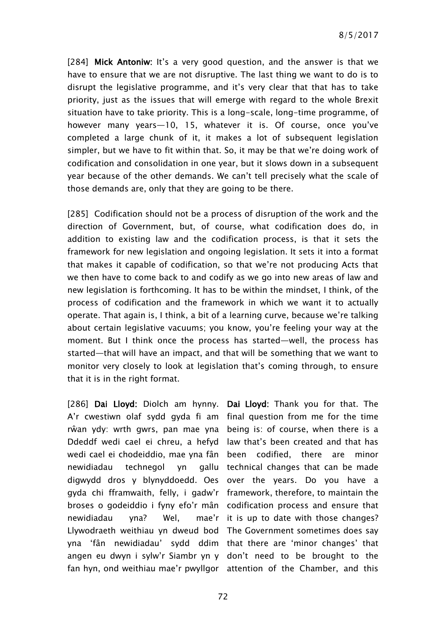[284] Mick Antoniw: It's a very good question, and the answer is that we have to ensure that we are not disruptive. The last thing we want to do is to disrupt the legislative programme, and it's very clear that that has to take priority, just as the issues that will emerge with regard to the whole Brexit situation have to take priority. This is a long-scale, long-time programme, of however many years—10, 15, whatever it is. Of course, once you've completed a large chunk of it, it makes a lot of subsequent legislation simpler, but we have to fit within that. So, it may be that we're doing work of codification and consolidation in one year, but it slows down in a subsequent year because of the other demands. We can't tell precisely what the scale of those demands are, only that they are going to be there.

[285] Codification should not be a process of disruption of the work and the direction of Government, but, of course, what codification does do, in addition to existing law and the codification process, is that it sets the framework for new legislation and ongoing legislation. It sets it into a format that makes it capable of codification, so that we're not producing Acts that we then have to come back to and codify as we go into new areas of law and new legislation is forthcoming. It has to be within the mindset, I think, of the process of codification and the framework in which we want it to actually operate. That again is, I think, a bit of a learning curve, because we're talking about certain legislative vacuums; you know, you're feeling your way at the moment. But I think once the process has started—well, the process has started—that will have an impact, and that will be something that we want to monitor very closely to look at legislation that's coming through, to ensure that it is in the right format.

[286] Dai Lloyd: Diolch am hynny. Dai Lloyd: Thank you for that. The A'r cwestiwn olaf sydd gyda fi am final question from me for the time rŵan ydy: wrth gwrs, pan mae yna being is: of course, when there is a Ddeddf wedi cael ei chreu, a hefyd law that's been created and that has wedi cael ei chodeiddio, mae yna fân been codified, there are minor newidiadau technegol yn digwydd dros y blynyddoedd. Oes over the years. Do you have a gyda chi fframwaith, felly, i gadw'r framework, therefore, to maintain the broses o godeiddio i fyny efo'r mân codification process and ensure that newidiadau yna? Wel, Llywodraeth weithiau yn dweud bod The Government sometimes does say yna 'fân newidiadau' sydd ddim that there are 'minor changes' that angen eu dwyn i sylw'r Siambr yn y don't need to be brought to the fan hyn, ond weithiau mae'r pwyllgor attention of the Chamber, and this

gallu technical changes that can be made mae'r it is up to date with those changes?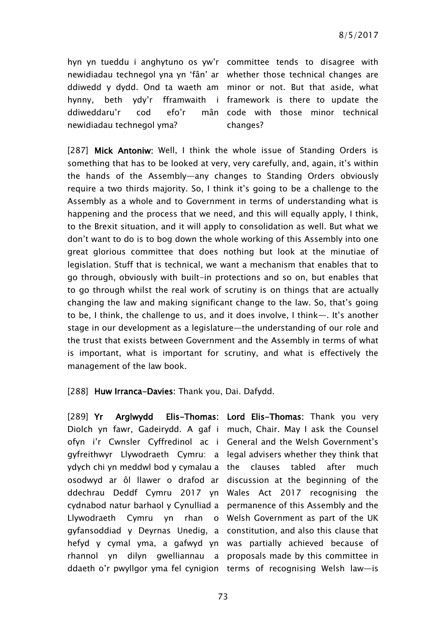hyn yn tueddu i anghytuno os yw'r committee tends to disagree with newidiadau technegol yna yn 'fân' ar whether those technical changes are ddiwedd y dydd. Ond ta waeth am minor or not. But that aside, what hynny, beth ydy'r fframwaith i framework is there to update the ddiweddaru'r cod efo'r mân newidiadau technegol yma?

mân code with those minor technical changes?

[287] Mick Antoniw: Well, I think the whole issue of Standing Orders is something that has to be looked at very, very carefully, and, again, it's within the hands of the Assembly—any changes to Standing Orders obviously require a two thirds majority. So, I think it's going to be a challenge to the Assembly as a whole and to Government in terms of understanding what is happening and the process that we need, and this will equally apply, I think, to the Brexit situation, and it will apply to consolidation as well. But what we don't want to do is to bog down the whole working of this Assembly into one great glorious committee that does nothing but look at the minutiae of legislation. Stuff that is technical, we want a mechanism that enables that to go through, obviously with built-in protections and so on, but enables that to go through whilst the real work of scrutiny is on things that are actually changing the law and making significant change to the law. So, that's going to be, I think, the challenge to us, and it does involve, I think—. It's another stage in our development as a legislature—the understanding of our role and the trust that exists between Government and the Assembly in terms of what is important, what is important for scrutiny, and what is effectively the management of the law book.

[288] Huw Irranca-Davies: Thank you, Dai. Dafydd.

[289] Yr Arglwydd Elis-Thomas: Lord Elis-Thomas: Thank you very Diolch yn fawr, Gadeirydd. A gaf i much, Chair. May I ask the Counsel ofyn i'r Cwnsler Cyffredinol ac i General and the Welsh Government's gyfreithwyr Llywodraeth Cymru: a legal advisers whether they think that ydych chi yn meddwl bod y cymalau a the clauses tabled after much osodwyd ar ôl llawer o drafod ar discussion at the beginning of the ddechrau Deddf Cymru 2017 yn Wales Act 2017 recognising the cydnabod natur barhaol y Cynulliad a permanence of this Assembly and the Llywodraeth Cymru yn rhan o Welsh Government as part of the UK gyfansoddiad y Deyrnas Unedig, a constitution, and also this clause that hefyd y cymal yma, a gafwyd yn was partially achieved because of rhannol yn dilyn gwelliannau a proposals made by this committee in

ddaeth o'r pwyllgor yma fel cynigion terms of recognising Welsh law—is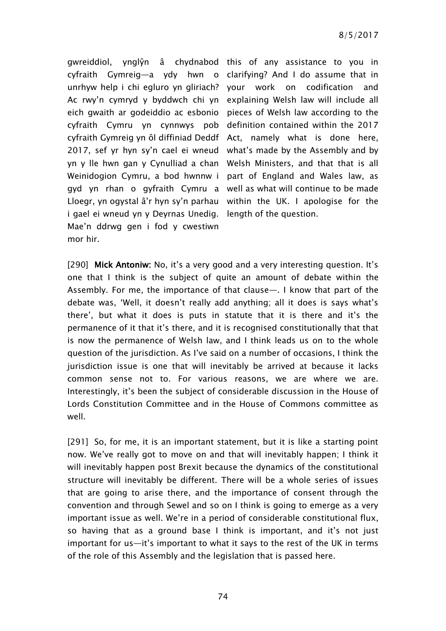gwreiddiol, ynglŷn â chydnabod this of any assistance to you in cyfraith Gymreig—a ydy hwn o clarifying? And I do assume that in unrhyw help i chi egluro yn gliriach? your work on codification and Ac rwy'n cymryd y byddwch chi yn explaining Welsh law will include all eich gwaith ar godeiddio ac esbonio pieces of Welsh law according to the cyfraith Cymru yn cynnwys pob definition contained within the 2017 cyfraith Gymreig yn ôl diffiniad Deddf Act, namely what is done here, 2017, sef yr hyn sy'n cael ei wneud what's made by the Assembly and by yn y lle hwn gan y Cynulliad a chan Welsh Ministers, and that that is all Weinidogion Cymru, a bod hwnnw i part of England and Wales law, as gyd yn rhan o gyfraith Cymru a well as what will continue to be made Lloegr, yn ogystal â'r hyn sy'n parhau within the UK. I apologise for the i gael ei wneud yn y Deyrnas Unedig. Mae'n ddrwg gen i fod y cwestiwn mor hir.

length of the question.

[290] Mick Antoniw: No, it's a very good and a very interesting question. It's one that I think is the subject of quite an amount of debate within the Assembly. For me, the importance of that clause—. I know that part of the debate was, 'Well, it doesn't really add anything; all it does is says what's there', but what it does is puts in statute that it is there and it's the permanence of it that it's there, and it is recognised constitutionally that that is now the permanence of Welsh law, and I think leads us on to the whole question of the jurisdiction. As I've said on a number of occasions, I think the jurisdiction issue is one that will inevitably be arrived at because it lacks common sense not to. For various reasons, we are where we are. Interestingly, it's been the subject of considerable discussion in the House of Lords Constitution Committee and in the House of Commons committee as well.

[291] So, for me, it is an important statement, but it is like a starting point now. We've really got to move on and that will inevitably happen; I think it will inevitably happen post Brexit because the dynamics of the constitutional structure will inevitably be different. There will be a whole series of issues that are going to arise there, and the importance of consent through the convention and through Sewel and so on I think is going to emerge as a very important issue as well. We're in a period of considerable constitutional flux, so having that as a ground base I think is important, and it's not just important for us—it's important to what it says to the rest of the UK in terms of the role of this Assembly and the legislation that is passed here.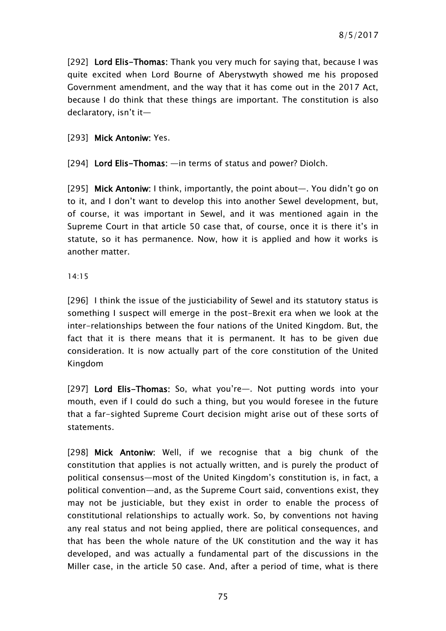[292] Lord Elis-Thomas: Thank you very much for saying that, because I was quite excited when Lord Bourne of Aberystwyth showed me his proposed Government amendment, and the way that it has come out in the 2017 Act, because I do think that these things are important. The constitution is also declaratory, isn't it—

### [293] Mick Antoniw: Yes.

[294] Lord Elis-Thomas: —in terms of status and power? Diolch.

[295] Mick Antoniw: I think, importantly, the point about—. You didn't go on to it, and I don't want to develop this into another Sewel development, but, of course, it was important in Sewel, and it was mentioned again in the Supreme Court in that article 50 case that, of course, once it is there it's in statute, so it has permanence. Now, how it is applied and how it works is another matter.

#### 14:15

[296] I think the issue of the justiciability of Sewel and its statutory status is something I suspect will emerge in the post-Brexit era when we look at the inter-relationships between the four nations of the United Kingdom. But, the fact that it is there means that it is permanent. It has to be given due consideration. It is now actually part of the core constitution of the United Kingdom

[297] Lord Elis-Thomas: So, what you're-. Not putting words into your mouth, even if I could do such a thing, but you would foresee in the future that a far-sighted Supreme Court decision might arise out of these sorts of statements.

[298] Mick Antoniw: Well, if we recognise that a big chunk of the constitution that applies is not actually written, and is purely the product of political consensus—most of the United Kingdom's constitution is, in fact, a political convention—and, as the Supreme Court said, conventions exist, they may not be justiciable, but they exist in order to enable the process of constitutional relationships to actually work. So, by conventions not having any real status and not being applied, there are political consequences, and that has been the whole nature of the UK constitution and the way it has developed, and was actually a fundamental part of the discussions in the Miller case, in the article 50 case. And, after a period of time, what is there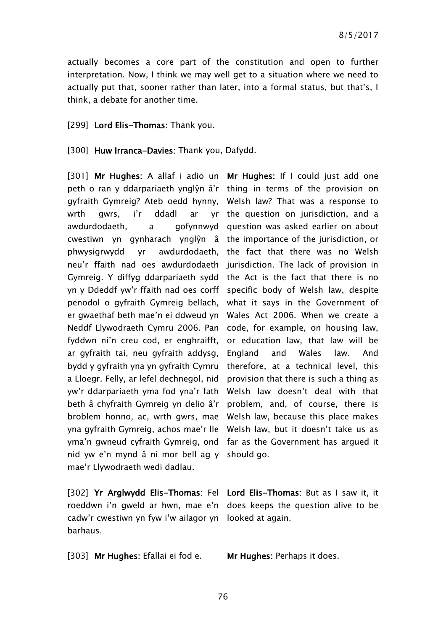actually becomes a core part of the constitution and open to further interpretation. Now, I think we may well get to a situation where we need to actually put that, sooner rather than later, into a formal status, but that's, I think, a debate for another time.

[299] Lord Elis-Thomas: Thank you.

#### [300] Huw Irranca-Davies: Thank you, Dafydd.

[301] Mr Hughes: A allaf i adio un Mr Hughes: If I could just add one peth o ran y ddarpariaeth ynglŷn â'r thing in terms of the provision on gyfraith Gymreig? Ateb oedd hynny, Welsh law? That was a response to wrth gwrs, i'r ddadl ar awdurdodaeth. a cwestiwn yn gynharach ynglŷn â the importance of the jurisdiction, or phwysigrwydd yr awdurdodaeth, the fact that there was no Welsh neu'r ffaith nad oes awdurdodaeth jurisdiction. The lack of provision in Gymreig. Y diffyg ddarpariaeth sydd the Act is the fact that there is no yn y Ddeddf yw'r ffaith nad oes corff specific body of Welsh law, despite penodol o gyfraith Gymreig bellach, what it says in the Government of er gwaethaf beth mae'n ei ddweud yn Wales Act 2006. When we create a Neddf Llywodraeth Cymru 2006. Pan code, for example, on housing law, fyddwn ni'n creu cod, er enghraifft, or education law, that law will be ar gyfraith tai, neu gyfraith addysg, bydd y gyfraith yna yn gyfraith Cymru therefore, at a technical level, this a Lloegr. Felly, ar lefel dechnegol, nid yw'r ddarpariaeth yma fod yna'r fath Welsh law doesn't deal with that beth â chyfraith Gymreig yn delio â'r problem, and, of course, there is broblem honno, ac, wrth gwrs, mae Welsh law, because this place makes yna gyfraith Gymreig, achos mae'r lle Welsh law, but it doesn't take us as yma'n gwneud cyfraith Gymreig, ond far as the Government has argued it nid yw e'n mynd â ni mor bell ag y should go. mae'r Llywodraeth wedi dadlau.

cadw'r cwestiwn yn fyw i'w ailagor yn looked at again. barhaus.

[303] Mr Hughes: Efallai ei fod e. Mr Hughes: Perhaps it does.

yr the question on jurisdiction, and a gofynnwyd question was asked earlier on about England and Wales law. And provision that there is such a thing as

[302] Yr Arglwydd Elis-Thomas: Fel Lord Elis-Thomas: But as I saw it, it roeddwn i'n gweld ar hwn, mae e'n does keeps the question alive to be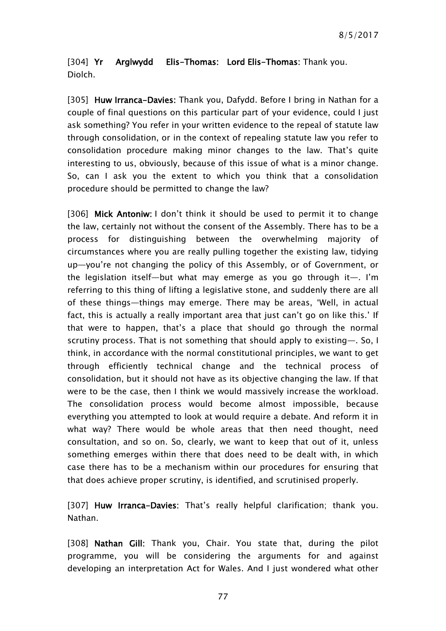[304] Yr Arglwydd Elis-Thomas: Lord Elis-Thomas: Thank you. Diolch.

[305] Huw Irranca-Davies: Thank you, Dafydd. Before I bring in Nathan for a couple of final questions on this particular part of your evidence, could I just ask something? You refer in your written evidence to the repeal of statute law through consolidation, or in the context of repealing statute law you refer to consolidation procedure making minor changes to the law. That's quite interesting to us, obviously, because of this issue of what is a minor change. So, can I ask you the extent to which you think that a consolidation procedure should be permitted to change the law?

[306] Mick Antoniw: I don't think it should be used to permit it to change the law, certainly not without the consent of the Assembly. There has to be a process for distinguishing between the overwhelming majority of circumstances where you are really pulling together the existing law, tidying up—you're not changing the policy of this Assembly, or of Government, or the legislation itself—but what may emerge as you go through it—. I'm referring to this thing of lifting a legislative stone, and suddenly there are all of these things—things may emerge. There may be areas, 'Well, in actual fact, this is actually a really important area that just can't go on like this.' If that were to happen, that's a place that should go through the normal scrutiny process. That is not something that should apply to existing—. So, I think, in accordance with the normal constitutional principles, we want to get through efficiently technical change and the technical process of consolidation, but it should not have as its objective changing the law. If that were to be the case, then I think we would massively increase the workload. The consolidation process would become almost impossible, because everything you attempted to look at would require a debate. And reform it in what way? There would be whole areas that then need thought, need consultation, and so on. So, clearly, we want to keep that out of it, unless something emerges within there that does need to be dealt with, in which case there has to be a mechanism within our procedures for ensuring that that does achieve proper scrutiny, is identified, and scrutinised properly.

[307] Huw Irranca-Davies: That's really helpful clarification; thank you. Nathan.

[308] Nathan Gill: Thank you, Chair. You state that, during the pilot programme, you will be considering the arguments for and against developing an interpretation Act for Wales. And I just wondered what other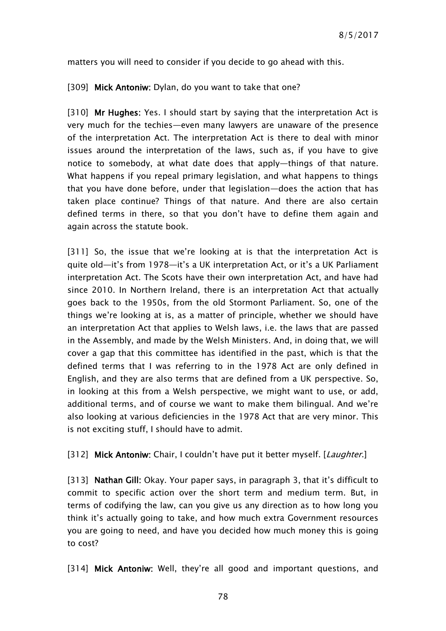matters you will need to consider if you decide to go ahead with this.

[309] Mick Antoniw: Dylan, do you want to take that one?

[310] Mr Hughes: Yes. I should start by saying that the interpretation Act is very much for the techies—even many lawyers are unaware of the presence of the interpretation Act. The interpretation Act is there to deal with minor issues around the interpretation of the laws, such as, if you have to give notice to somebody, at what date does that apply—things of that nature. What happens if you repeal primary legislation, and what happens to things that you have done before, under that legislation—does the action that has taken place continue? Things of that nature. And there are also certain defined terms in there, so that you don't have to define them again and again across the statute book.

[311] So, the issue that we're looking at is that the interpretation Act is quite old—it's from 1978—it's a UK interpretation Act, or it's a UK Parliament interpretation Act. The Scots have their own interpretation Act, and have had since 2010. In Northern Ireland, there is an interpretation Act that actually goes back to the 1950s, from the old Stormont Parliament. So, one of the things we're looking at is, as a matter of principle, whether we should have an interpretation Act that applies to Welsh laws, i.e. the laws that are passed in the Assembly, and made by the Welsh Ministers. And, in doing that, we will cover a gap that this committee has identified in the past, which is that the defined terms that I was referring to in the 1978 Act are only defined in English, and they are also terms that are defined from a UK perspective. So, in looking at this from a Welsh perspective, we might want to use, or add, additional terms, and of course we want to make them bilingual. And we're also looking at various deficiencies in the 1978 Act that are very minor. This is not exciting stuff, I should have to admit.

[312] Mick Antoniw: Chair, I couldn't have put it better myself. [Laughter.]

[313] Nathan Gill: Okay. Your paper says, in paragraph 3, that it's difficult to commit to specific action over the short term and medium term. But, in terms of codifying the law, can you give us any direction as to how long you think it's actually going to take, and how much extra Government resources you are going to need, and have you decided how much money this is going to cost?

[314] Mick Antoniw: Well, they're all good and important questions, and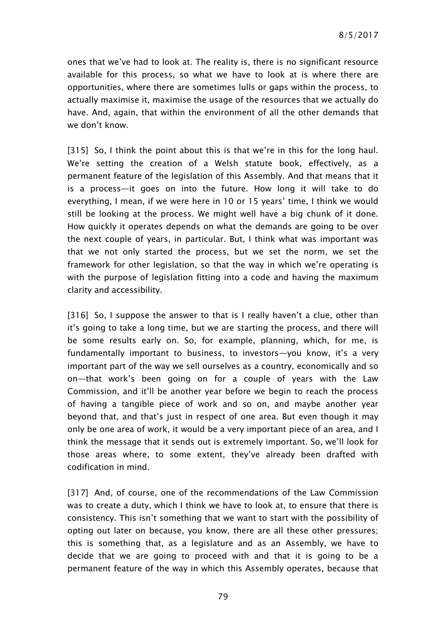ones that we've had to look at. The reality is, there is no significant resource available for this process, so what we have to look at is where there are opportunities, where there are sometimes lulls or gaps within the process, to actually maximise it, maximise the usage of the resources that we actually do have. And, again, that within the environment of all the other demands that we don't know.

[315] So, I think the point about this is that we're in this for the long haul. We're setting the creation of a Welsh statute book, effectively, as a permanent feature of the legislation of this Assembly. And that means that it is a process—it goes on into the future. How long it will take to do everything, I mean, if we were here in 10 or 15 years' time, I think we would still be looking at the process. We might well have a big chunk of it done. How quickly it operates depends on what the demands are going to be over the next couple of years, in particular. But, I think what was important was that we not only started the process, but we set the norm, we set the framework for other legislation, so that the way in which we're operating is with the purpose of legislation fitting into a code and having the maximum clarity and accessibility.

[316] So, I suppose the answer to that is I really haven't a clue, other than it's going to take a long time, but we are starting the process, and there will be some results early on. So, for example, planning, which, for me, is fundamentally important to business, to investors—you know, it's a very important part of the way we sell ourselves as a country, economically and so on—that work's been going on for a couple of years with the Law Commission, and it'll be another year before we begin to reach the process of having a tangible piece of work and so on, and maybe another year beyond that, and that's just in respect of one area. But even though it may only be one area of work, it would be a very important piece of an area, and I think the message that it sends out is extremely important. So, we'll look for those areas where, to some extent, they've already been drafted with codification in mind.

[317] And, of course, one of the recommendations of the Law Commission was to create a duty, which I think we have to look at, to ensure that there is consistency. This isn't something that we want to start with the possibility of opting out later on because, you know, there are all these other pressures; this is something that, as a legislature and as an Assembly, we have to decide that we are going to proceed with and that it is going to be a permanent feature of the way in which this Assembly operates, because that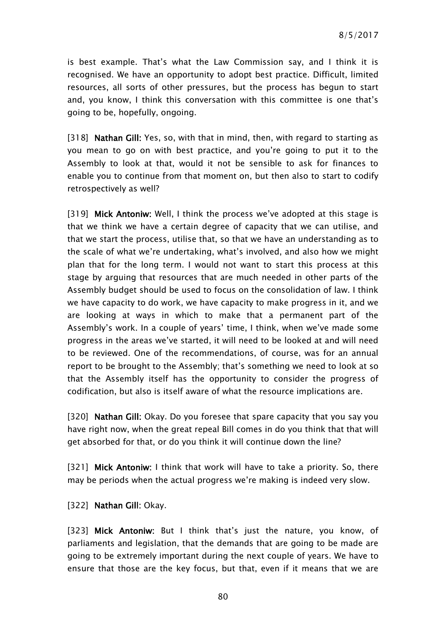is best example. That's what the Law Commission say, and I think it is recognised. We have an opportunity to adopt best practice. Difficult, limited resources, all sorts of other pressures, but the process has begun to start and, you know, I think this conversation with this committee is one that's going to be, hopefully, ongoing.

[318] Nathan Gill: Yes, so, with that in mind, then, with regard to starting as you mean to go on with best practice, and you're going to put it to the Assembly to look at that, would it not be sensible to ask for finances to enable you to continue from that moment on, but then also to start to codify retrospectively as well?

[319] Mick Antoniw: Well, I think the process we've adopted at this stage is that we think we have a certain degree of capacity that we can utilise, and that we start the process, utilise that, so that we have an understanding as to the scale of what we're undertaking, what's involved, and also how we might plan that for the long term. I would not want to start this process at this stage by arguing that resources that are much needed in other parts of the Assembly budget should be used to focus on the consolidation of law. I think we have capacity to do work, we have capacity to make progress in it, and we are looking at ways in which to make that a permanent part of the Assembly's work. In a couple of years' time, I think, when we've made some progress in the areas we've started, it will need to be looked at and will need to be reviewed. One of the recommendations, of course, was for an annual report to be brought to the Assembly; that's something we need to look at so that the Assembly itself has the opportunity to consider the progress of codification, but also is itself aware of what the resource implications are.

[320] Nathan Gill: Okay. Do you foresee that spare capacity that you say you have right now, when the great repeal Bill comes in do you think that that will get absorbed for that, or do you think it will continue down the line?

[321] Mick Antoniw: I think that work will have to take a priority. So, there may be periods when the actual progress we're making is indeed very slow.

[322] Nathan Gill: Okay.

[323] Mick Antoniw: But I think that's just the nature, you know, of parliaments and legislation, that the demands that are going to be made are going to be extremely important during the next couple of years. We have to ensure that those are the key focus, but that, even if it means that we are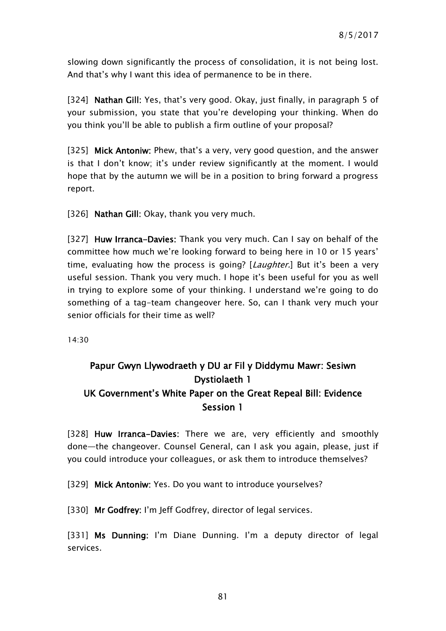slowing down significantly the process of consolidation, it is not being lost. And that's why I want this idea of permanence to be in there.

[324] Nathan Gill: Yes, that's very good. Okay, just finally, in paragraph 5 of your submission, you state that you're developing your thinking. When do you think you'll be able to publish a firm outline of your proposal?

[325] Mick Antoniw: Phew, that's a very, very good question, and the answer is that I don't know; it's under review significantly at the moment. I would hope that by the autumn we will be in a position to bring forward a progress report.

[326] Nathan Gill: Okay, thank you very much.

[327] Huw Irranca-Davies: Thank you very much. Can I say on behalf of the committee how much we're looking forward to being here in 10 or 15 years' time, evaluating how the process is going? [Laughter.] But it's been a very useful session. Thank you very much. I hope it's been useful for you as well in trying to explore some of your thinking. I understand we're going to do something of a tag-team changeover here. So, can I thank very much your senior officials for their time as well?

14:30

# Papur Gwyn Llywodraeth y DU ar Fil y Diddymu Mawr: Sesiwn Dystiolaeth 1 UK Government's White Paper on the Great Repeal Bill: Evidence Session 1

[328] Huw Irranca-Davies: There we are, very efficiently and smoothly done—the changeover. Counsel General, can I ask you again, please, just if you could introduce your colleagues, or ask them to introduce themselves?

[329] Mick Antoniw: Yes. Do you want to introduce yourselves?

[330] Mr Godfrey: I'm Jeff Godfrey, director of legal services.

[331] Ms Dunning: I'm Diane Dunning. I'm a deputy director of legal services.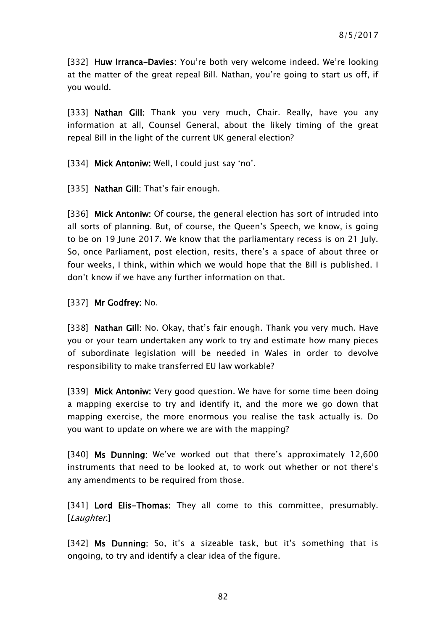[332] Huw Irranca-Davies: You're both very welcome indeed. We're looking at the matter of the great repeal Bill. Nathan, you're going to start us off, if you would.

[333] Nathan Gill: Thank you very much, Chair. Really, have you any information at all, Counsel General, about the likely timing of the great repeal Bill in the light of the current UK general election?

[334] Mick Antoniw: Well, I could just say 'no'.

[335] Nathan Gill: That's fair enough.

[336] Mick Antoniw: Of course, the general election has sort of intruded into all sorts of planning. But, of course, the Queen's Speech, we know, is going to be on 19 June 2017. We know that the parliamentary recess is on 21 July. So, once Parliament, post election, resits, there's a space of about three or four weeks, I think, within which we would hope that the Bill is published. I don't know if we have any further information on that.

[337] Mr Godfrey: No.

[338] Nathan Gill: No. Okay, that's fair enough. Thank you very much. Have you or your team undertaken any work to try and estimate how many pieces of subordinate legislation will be needed in Wales in order to devolve responsibility to make transferred EU law workable?

[339] Mick Antoniw: Very good question. We have for some time been doing a mapping exercise to try and identify it, and the more we go down that mapping exercise, the more enormous you realise the task actually is. Do you want to update on where we are with the mapping?

[340] Ms Dunning: We've worked out that there's approximately 12,600 instruments that need to be looked at, to work out whether or not there's any amendments to be required from those.

[341] Lord Elis-Thomas: They all come to this committee, presumably. [Laughter.]

[342] Ms Dunning: So, it's a sizeable task, but it's something that is ongoing, to try and identify a clear idea of the figure.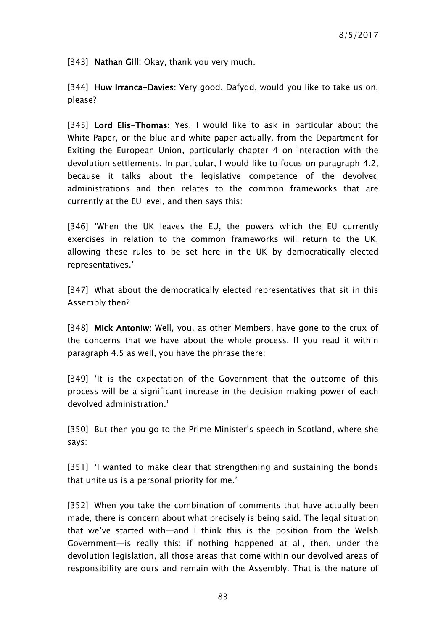[343] Nathan Gill: Okay, thank you very much.

[344] Huw Irranca-Davies: Very good. Dafydd, would you like to take us on, please?

[345] Lord Elis-Thomas: Yes, I would like to ask in particular about the White Paper, or the blue and white paper actually, from the Department for Exiting the European Union, particularly chapter 4 on interaction with the devolution settlements. In particular, I would like to focus on paragraph 4.2, because it talks about the legislative competence of the devolved administrations and then relates to the common frameworks that are currently at the EU level, and then says this:

[346] 'When the UK leaves the EU, the powers which the EU currently exercises in relation to the common frameworks will return to the UK, allowing these rules to be set here in the UK by democratically-elected representatives.'

[347] What about the democratically elected representatives that sit in this Assembly then?

[348] Mick Antoniw: Well, you, as other Members, have gone to the crux of the concerns that we have about the whole process. If you read it within paragraph 4.5 as well, you have the phrase there:

[349] 'It is the expectation of the Government that the outcome of this process will be a significant increase in the decision making power of each devolved administration.'

[350] But then you go to the Prime Minister's speech in Scotland, where she says:

[351] 'I wanted to make clear that strengthening and sustaining the bonds that unite us is a personal priority for me.'

[352] When you take the combination of comments that have actually been made, there is concern about what precisely is being said. The legal situation that we've started with—and I think this is the position from the Welsh Government—is really this: if nothing happened at all, then, under the devolution legislation, all those areas that come within our devolved areas of responsibility are ours and remain with the Assembly. That is the nature of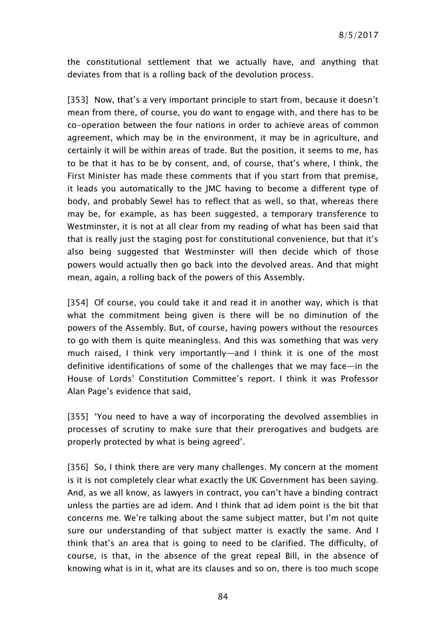the constitutional settlement that we actually have, and anything that deviates from that is a rolling back of the devolution process.

[353] Now, that's a very important principle to start from, because it doesn't mean from there, of course, you do want to engage with, and there has to be co-operation between the four nations in order to achieve areas of common agreement, which may be in the environment, it may be in agriculture, and certainly it will be within areas of trade. But the position, it seems to me, has to be that it has to be by consent, and, of course, that's where, I think, the First Minister has made these comments that if you start from that premise, it leads you automatically to the JMC having to become a different type of body, and probably Sewel has to reflect that as well, so that, whereas there may be, for example, as has been suggested, a temporary transference to Westminster, it is not at all clear from my reading of what has been said that that is really just the staging post for constitutional convenience, but that it's also being suggested that Westminster will then decide which of those powers would actually then go back into the devolved areas. And that might mean, again, a rolling back of the powers of this Assembly.

[354] Of course, you could take it and read it in another way, which is that what the commitment being given is there will be no diminution of the powers of the Assembly. But, of course, having powers without the resources to go with them is quite meaningless. And this was something that was very much raised, I think very importantly—and I think it is one of the most definitive identifications of some of the challenges that we may face—in the House of Lords' Constitution Committee's report. I think it was Professor Alan Page's evidence that said,

[355] 'You need to have a way of incorporating the devolved assemblies in processes of scrutiny to make sure that their prerogatives and budgets are properly protected by what is being agreed'.

[356] So, I think there are very many challenges. My concern at the moment is it is not completely clear what exactly the UK Government has been saying. And, as we all know, as lawyers in contract, you can't have a binding contract unless the parties are ad idem. And I think that ad idem point is the bit that concerns me. We're talking about the same subject matter, but I'm not quite sure our understanding of that subject matter is exactly the same. And I think that's an area that is going to need to be clarified. The difficulty, of course, is that, in the absence of the great repeal Bill, in the absence of knowing what is in it, what are its clauses and so on, there is too much scope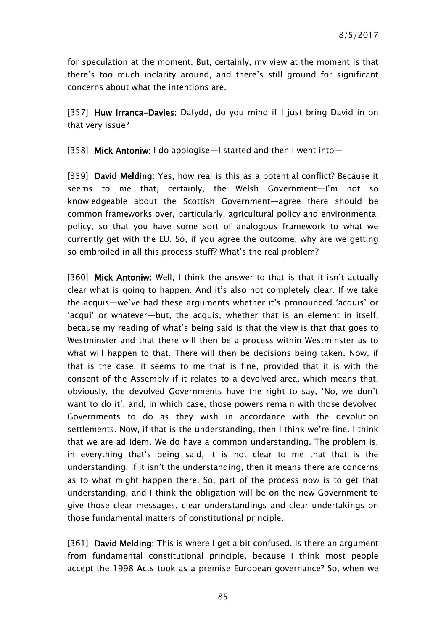for speculation at the moment. But, certainly, my view at the moment is that there's too much inclarity around, and there's still ground for significant concerns about what the intentions are.

[357] Huw Irranca-Davies: Dafydd, do you mind if I just bring David in on that very issue?

[358] Mick Antoniw: I do apologise—I started and then I went into—

[359] **David Melding:** Yes, how real is this as a potential conflict? Because it seems to me that, certainly, the Welsh Government—I'm not so knowledgeable about the Scottish Government—agree there should be common frameworks over, particularly, agricultural policy and environmental policy, so that you have some sort of analogous framework to what we currently get with the EU. So, if you agree the outcome, why are we getting so embroiled in all this process stuff? What's the real problem?

[360] Mick Antoniw: Well, I think the answer to that is that it isn't actually clear what is going to happen. And it's also not completely clear. If we take the acquis—we've had these arguments whether it's pronounced 'acquis' or 'acqui' or whatever—but, the acquis, whether that is an element in itself, because my reading of what's being said is that the view is that that goes to Westminster and that there will then be a process within Westminster as to what will happen to that. There will then be decisions being taken. Now, if that is the case, it seems to me that is fine, provided that it is with the consent of the Assembly if it relates to a devolved area, which means that, obviously, the devolved Governments have the right to say, 'No, we don't want to do it', and, in which case, those powers remain with those devolved Governments to do as they wish in accordance with the devolution settlements. Now, if that is the understanding, then I think we're fine. I think that we are ad idem. We do have a common understanding. The problem is, in everything that's being said, it is not clear to me that that is the understanding. If it isn't the understanding, then it means there are concerns as to what might happen there. So, part of the process now is to get that understanding, and I think the obligation will be on the new Government to give those clear messages, clear understandings and clear undertakings on those fundamental matters of constitutional principle.

[361] David Melding: This is where I get a bit confused. Is there an argument from fundamental constitutional principle, because I think most people accept the 1998 Acts took as a premise European governance? So, when we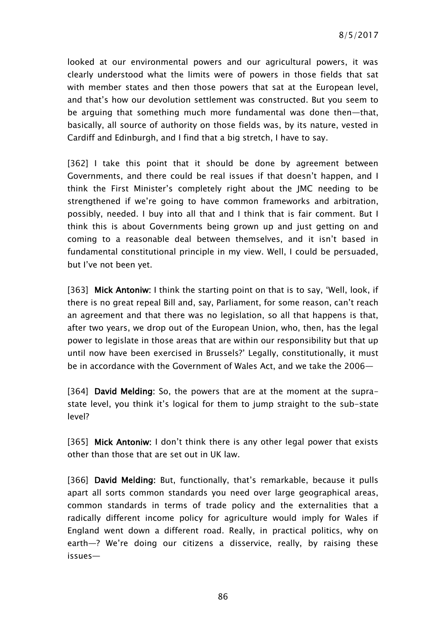looked at our environmental powers and our agricultural powers, it was clearly understood what the limits were of powers in those fields that sat with member states and then those powers that sat at the European level, and that's how our devolution settlement was constructed. But you seem to be arguing that something much more fundamental was done then—that, basically, all source of authority on those fields was, by its nature, vested in Cardiff and Edinburgh, and I find that a big stretch, I have to say.

[362] I take this point that it should be done by agreement between Governments, and there could be real issues if that doesn't happen, and I think the First Minister's completely right about the JMC needing to be strengthened if we're going to have common frameworks and arbitration, possibly, needed. I buy into all that and I think that is fair comment. But I think this is about Governments being grown up and just getting on and coming to a reasonable deal between themselves, and it isn't based in fundamental constitutional principle in my view. Well, I could be persuaded, but I've not been yet.

[363] Mick Antoniw: I think the starting point on that is to say, 'Well, look, if there is no great repeal Bill and, say, Parliament, for some reason, can't reach an agreement and that there was no legislation, so all that happens is that, after two years, we drop out of the European Union, who, then, has the legal power to legislate in those areas that are within our responsibility but that up until now have been exercised in Brussels?' Legally, constitutionally, it must be in accordance with the Government of Wales Act, and we take the 2006—

[364] **David Melding:** So, the powers that are at the moment at the suprastate level, you think it's logical for them to jump straight to the sub-state level?

[365] Mick Antoniw: I don't think there is any other legal power that exists other than those that are set out in UK law.

[366] David Melding: But, functionally, that's remarkable, because it pulls apart all sorts common standards you need over large geographical areas, common standards in terms of trade policy and the externalities that a radically different income policy for agriculture would imply for Wales if England went down a different road. Really, in practical politics, why on earth—? We're doing our citizens a disservice, really, by raising these issues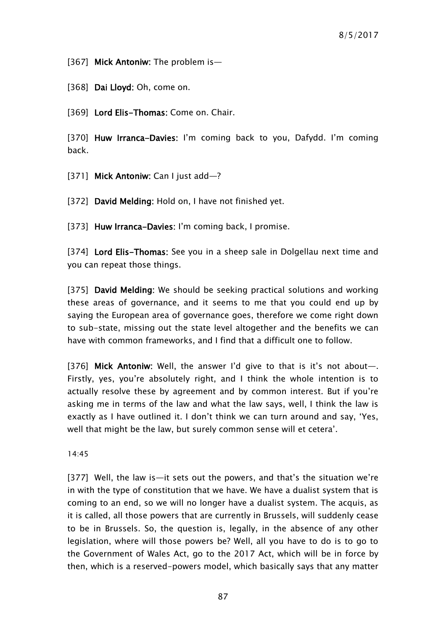[367] Mick Antoniw: The problem is-

[368] Dai Lloyd: Oh, come on.

[369] Lord Elis-Thomas: Come on. Chair.

[370] Huw Irranca-Davies: I'm coming back to you, Dafydd. I'm coming back.

[371] Mick Antoniw: Can I just add-?

[372] David Melding: Hold on, I have not finished yet.

[373] Huw Irranca-Davies: I'm coming back, I promise.

[374] Lord Elis-Thomas: See you in a sheep sale in Dolgellau next time and you can repeat those things.

[375] David Melding: We should be seeking practical solutions and working these areas of governance, and it seems to me that you could end up by saying the European area of governance goes, therefore we come right down to sub-state, missing out the state level altogether and the benefits we can have with common frameworks, and I find that a difficult one to follow.

[376] Mick Antoniw: Well, the answer I'd give to that is it's not about-Firstly, yes, you're absolutely right, and I think the whole intention is to actually resolve these by agreement and by common interest. But if you're asking me in terms of the law and what the law says, well, I think the law is exactly as I have outlined it. I don't think we can turn around and say, 'Yes, well that might be the law, but surely common sense will et cetera'.

14:45

[377] Well, the law is—it sets out the powers, and that's the situation we're in with the type of constitution that we have. We have a dualist system that is coming to an end, so we will no longer have a dualist system. The acquis, as it is called, all those powers that are currently in Brussels, will suddenly cease to be in Brussels. So, the question is, legally, in the absence of any other legislation, where will those powers be? Well, all you have to do is to go to the Government of Wales Act, go to the 2017 Act, which will be in force by then, which is a reserved-powers model, which basically says that any matter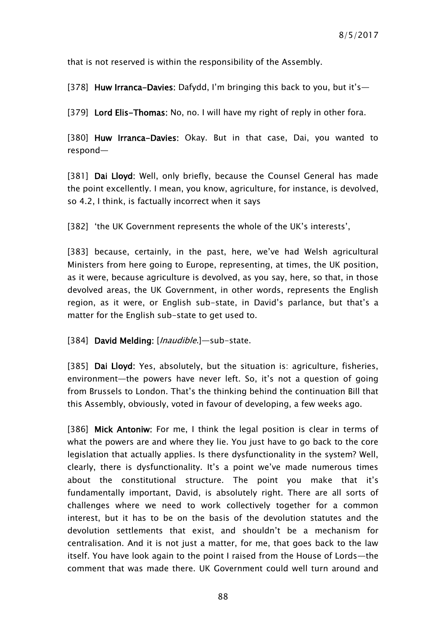that is not reserved is within the responsibility of the Assembly.

[378] Huw Irranca-Davies: Dafydd, I'm bringing this back to you, but it's-

[379] Lord Elis-Thomas: No, no. I will have my right of reply in other fora.

[380] Huw Irranca-Davies: Okay. But in that case, Dai, you wanted to respond—

[381] Dai Lloyd: Well, only briefly, because the Counsel General has made the point excellently. I mean, you know, agriculture, for instance, is devolved, so 4.2, I think, is factually incorrect when it says

[382] 'the UK Government represents the whole of the UK's interests',

[383] because, certainly, in the past, here, we've had Welsh agricultural Ministers from here going to Europe, representing, at times, the UK position, as it were, because agriculture is devolved, as you say, here, so that, in those devolved areas, the UK Government, in other words, represents the English region, as it were, or English sub-state, in David's parlance, but that's a matter for the English sub-state to get used to.

[384] David Melding: [*Inaudible*.]—sub-state.

[385] Dai Lloyd: Yes, absolutely, but the situation is: agriculture, fisheries, environment—the powers have never left. So, it's not a question of going from Brussels to London. That's the thinking behind the continuation Bill that this Assembly, obviously, voted in favour of developing, a few weeks ago.

[386] Mick Antoniw: For me, I think the legal position is clear in terms of what the powers are and where they lie. You just have to go back to the core legislation that actually applies. Is there dysfunctionality in the system? Well, clearly, there is dysfunctionality. It's a point we've made numerous times about the constitutional structure. The point you make that it's fundamentally important, David, is absolutely right. There are all sorts of challenges where we need to work collectively together for a common interest, but it has to be on the basis of the devolution statutes and the devolution settlements that exist, and shouldn't be a mechanism for centralisation. And it is not just a matter, for me, that goes back to the law itself. You have look again to the point I raised from the House of Lords—the comment that was made there. UK Government could well turn around and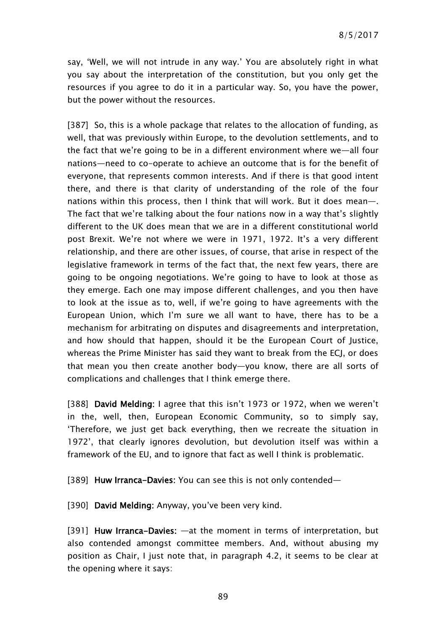say, 'Well, we will not intrude in any way.' You are absolutely right in what you say about the interpretation of the constitution, but you only get the resources if you agree to do it in a particular way. So, you have the power, but the power without the resources.

[387] So, this is a whole package that relates to the allocation of funding, as well, that was previously within Europe, to the devolution settlements, and to the fact that we're going to be in a different environment where we—all four nations—need to co-operate to achieve an outcome that is for the benefit of everyone, that represents common interests. And if there is that good intent there, and there is that clarity of understanding of the role of the four nations within this process, then I think that will work. But it does mean—. The fact that we're talking about the four nations now in a way that's slightly different to the UK does mean that we are in a different constitutional world post Brexit. We're not where we were in 1971, 1972. It's a very different relationship, and there are other issues, of course, that arise in respect of the legislative framework in terms of the fact that, the next few years, there are going to be ongoing negotiations. We're going to have to look at those as they emerge. Each one may impose different challenges, and you then have to look at the issue as to, well, if we're going to have agreements with the European Union, which I'm sure we all want to have, there has to be a mechanism for arbitrating on disputes and disagreements and interpretation, and how should that happen, should it be the European Court of Justice, whereas the Prime Minister has said they want to break from the ECJ, or does that mean you then create another body—you know, there are all sorts of complications and challenges that I think emerge there.

[388] David Melding: I agree that this isn't 1973 or 1972, when we weren't in the, well, then, European Economic Community, so to simply say, 'Therefore, we just get back everything, then we recreate the situation in 1972', that clearly ignores devolution, but devolution itself was within a framework of the EU, and to ignore that fact as well I think is problematic.

[389] Huw Irranca-Davies: You can see this is not only contended—

[390] David Melding: Anyway, you've been very kind.

[391] Huw Irranca-Davies: —at the moment in terms of interpretation, but also contended amongst committee members. And, without abusing my position as Chair, I just note that, in paragraph 4.2, it seems to be clear at the opening where it says: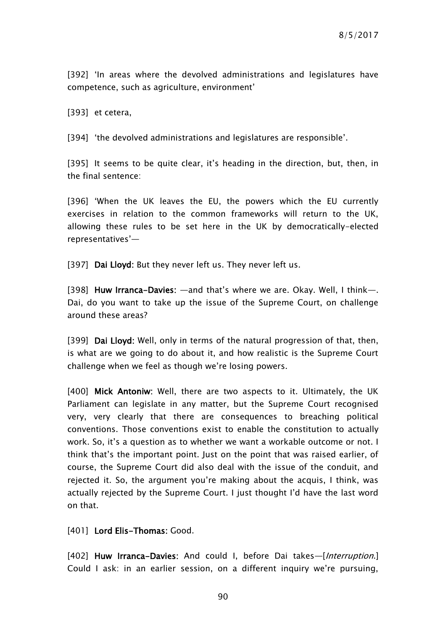[392] 'In areas where the devolved administrations and legislatures have competence, such as agriculture, environment'

[393] et cetera,

[394] 'the devolved administrations and legislatures are responsible'.

[395] It seems to be quite clear, it's heading in the direction, but, then, in the final sentence:

[396] 'When the UK leaves the EU, the powers which the EU currently exercises in relation to the common frameworks will return to the UK, allowing these rules to be set here in the UK by democratically-elected representatives'—

[397] Dai Lloyd: But they never left us. They never left us.

[398] Huw Irranca-Davies: —and that's where we are. Okay. Well, I think—. Dai, do you want to take up the issue of the Supreme Court, on challenge around these areas?

[399] Dai Lloyd: Well, only in terms of the natural progression of that, then, is what are we going to do about it, and how realistic is the Supreme Court challenge when we feel as though we're losing powers.

[400] Mick Antoniw: Well, there are two aspects to it. Ultimately, the UK Parliament can legislate in any matter, but the Supreme Court recognised very, very clearly that there are consequences to breaching political conventions. Those conventions exist to enable the constitution to actually work. So, it's a question as to whether we want a workable outcome or not. I think that's the important point. Just on the point that was raised earlier, of course, the Supreme Court did also deal with the issue of the conduit, and rejected it. So, the argument you're making about the acquis, I think, was actually rejected by the Supreme Court. I just thought I'd have the last word on that.

[401] Lord Elis-Thomas: Good.

[402] Huw Irranca-Davies: And could I, before Dai takes-[Interruption.] Could I ask: in an earlier session, on a different inquiry we're pursuing,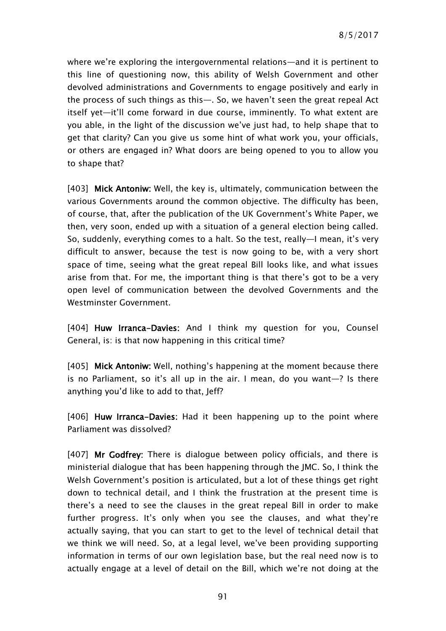where we're exploring the intergovernmental relations—and it is pertinent to this line of questioning now, this ability of Welsh Government and other devolved administrations and Governments to engage positively and early in the process of such things as this—. So, we haven't seen the great repeal Act itself yet—it'll come forward in due course, imminently. To what extent are you able, in the light of the discussion we've just had, to help shape that to get that clarity? Can you give us some hint of what work you, your officials, or others are engaged in? What doors are being opened to you to allow you to shape that?

[403] Mick Antoniw: Well, the key is, ultimately, communication between the various Governments around the common objective. The difficulty has been, of course, that, after the publication of the UK Government's White Paper, we then, very soon, ended up with a situation of a general election being called. So, suddenly, everything comes to a halt. So the test, really—I mean, it's very difficult to answer, because the test is now going to be, with a very short space of time, seeing what the great repeal Bill looks like, and what issues arise from that. For me, the important thing is that there's got to be a very open level of communication between the devolved Governments and the Westminster Government.

[404] Huw Irranca-Davies: And I think my question for you, Counsel General, is: is that now happening in this critical time?

[405] Mick Antoniw: Well, nothing's happening at the moment because there is no Parliament, so it's all up in the air. I mean, do you want—? Is there anything you'd like to add to that, Jeff?

[406] Huw Irranca–Davies: Had it been happening up to the point where Parliament was dissolved?

[407] Mr Godfrey: There is dialogue between policy officials, and there is ministerial dialogue that has been happening through the JMC. So, I think the Welsh Government's position is articulated, but a lot of these things get right down to technical detail, and I think the frustration at the present time is there's a need to see the clauses in the great repeal Bill in order to make further progress. It's only when you see the clauses, and what they're actually saying, that you can start to get to the level of technical detail that we think we will need. So, at a legal level, we've been providing supporting information in terms of our own legislation base, but the real need now is to actually engage at a level of detail on the Bill, which we're not doing at the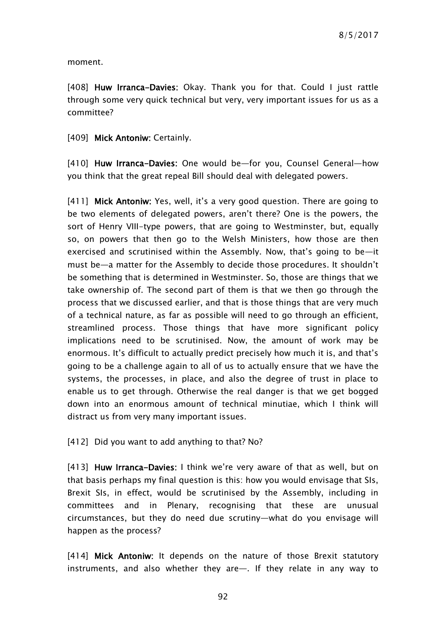moment.

[408] Huw Irranca-Davies: Okay. Thank you for that. Could I just rattle through some very quick technical but very, very important issues for us as a committee?

[409] Mick Antoniw: Certainly.

[410] Huw Irranca-Davies: One would be-for you, Counsel General-how you think that the great repeal Bill should deal with delegated powers.

[411] Mick Antoniw: Yes, well, it's a very good question. There are going to be two elements of delegated powers, aren't there? One is the powers, the sort of Henry VIII-type powers, that are going to Westminster, but, equally so, on powers that then go to the Welsh Ministers, how those are then exercised and scrutinised within the Assembly. Now, that's going to be—it must be—a matter for the Assembly to decide those procedures. It shouldn't be something that is determined in Westminster. So, those are things that we take ownership of. The second part of them is that we then go through the process that we discussed earlier, and that is those things that are very much of a technical nature, as far as possible will need to go through an efficient, streamlined process. Those things that have more significant policy implications need to be scrutinised. Now, the amount of work may be enormous. It's difficult to actually predict precisely how much it is, and that's going to be a challenge again to all of us to actually ensure that we have the systems, the processes, in place, and also the degree of trust in place to enable us to get through. Otherwise the real danger is that we get bogged down into an enormous amount of technical minutiae, which I think will distract us from very many important issues.

[412] Did you want to add anything to that? No?

[413] Huw Irranca-Davies: I think we're very aware of that as well, but on that basis perhaps my final question is this: how you would envisage that SIs, Brexit SIs, in effect, would be scrutinised by the Assembly, including in committees and in Plenary, recognising that these are unusual circumstances, but they do need due scrutiny—what do you envisage will happen as the process?

[414] Mick Antoniw: It depends on the nature of those Brexit statutory instruments, and also whether they are—. If they relate in any way to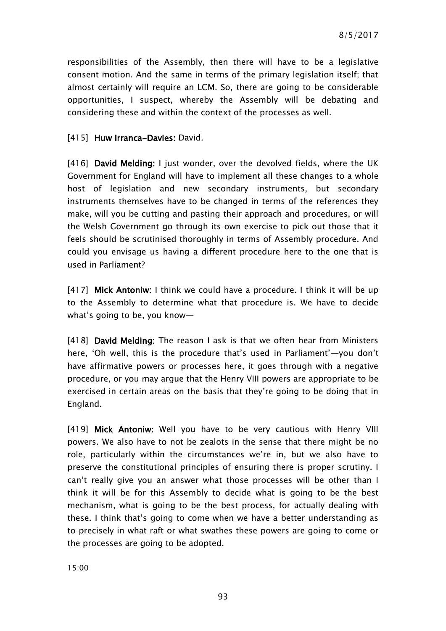responsibilities of the Assembly, then there will have to be a legislative consent motion. And the same in terms of the primary legislation itself; that almost certainly will require an LCM. So, there are going to be considerable opportunities, I suspect, whereby the Assembly will be debating and considering these and within the context of the processes as well.

### [415] Huw Irranca-Davies: David.

[416] David Melding: I just wonder, over the devolved fields, where the UK Government for England will have to implement all these changes to a whole host of legislation and new secondary instruments, but secondary instruments themselves have to be changed in terms of the references they make, will you be cutting and pasting their approach and procedures, or will the Welsh Government go through its own exercise to pick out those that it feels should be scrutinised thoroughly in terms of Assembly procedure. And could you envisage us having a different procedure here to the one that is used in Parliament?

[417] Mick Antoniw: I think we could have a procedure. I think it will be up to the Assembly to determine what that procedure is. We have to decide what's going to be, you know—

[418] David Melding: The reason I ask is that we often hear from Ministers here, 'Oh well, this is the procedure that's used in Parliament'—you don't have affirmative powers or processes here, it goes through with a negative procedure, or you may argue that the Henry VIII powers are appropriate to be exercised in certain areas on the basis that they're going to be doing that in England.

[419] Mick Antoniw: Well you have to be very cautious with Henry VIII powers. We also have to not be zealots in the sense that there might be no role, particularly within the circumstances we're in, but we also have to preserve the constitutional principles of ensuring there is proper scrutiny. I can't really give you an answer what those processes will be other than I think it will be for this Assembly to decide what is going to be the best mechanism, what is going to be the best process, for actually dealing with these. I think that's going to come when we have a better understanding as to precisely in what raft or what swathes these powers are going to come or the processes are going to be adopted.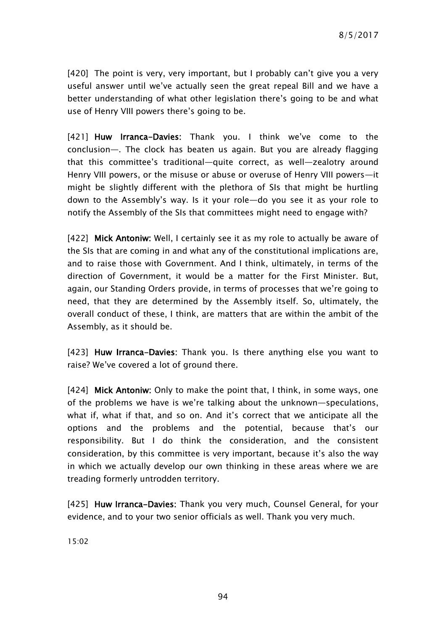[420] The point is very, very important, but I probably can't give you a very useful answer until we've actually seen the great repeal Bill and we have a better understanding of what other legislation there's going to be and what use of Henry VIII powers there's going to be.

[421] Huw Irranca-Davies: Thank you. I think we've come to the conclusion—. The clock has beaten us again. But you are already flagging that this committee's traditional—quite correct, as well—zealotry around Henry VIII powers, or the misuse or abuse or overuse of Henry VIII powers—it might be slightly different with the plethora of SIs that might be hurtling down to the Assembly's way. Is it your role—do you see it as your role to notify the Assembly of the SIs that committees might need to engage with?

[422] Mick Antoniw: Well, I certainly see it as my role to actually be aware of the SIs that are coming in and what any of the constitutional implications are, and to raise those with Government. And I think, ultimately, in terms of the direction of Government, it would be a matter for the First Minister. But, again, our Standing Orders provide, in terms of processes that we're going to need, that they are determined by the Assembly itself. So, ultimately, the overall conduct of these, I think, are matters that are within the ambit of the Assembly, as it should be.

[423] Huw Irranca-Davies: Thank you. Is there anything else you want to raise? We've covered a lot of ground there.

[424] Mick Antoniw: Only to make the point that, I think, in some ways, one of the problems we have is we're talking about the unknown—speculations, what if, what if that, and so on. And it's correct that we anticipate all the options and the problems and the potential, because that's our responsibility. But I do think the consideration, and the consistent consideration, by this committee is very important, because it's also the way in which we actually develop our own thinking in these areas where we are treading formerly untrodden territory.

[425] Huw Irranca-Davies: Thank you very much, Counsel General, for your evidence, and to your two senior officials as well. Thank you very much.

15:02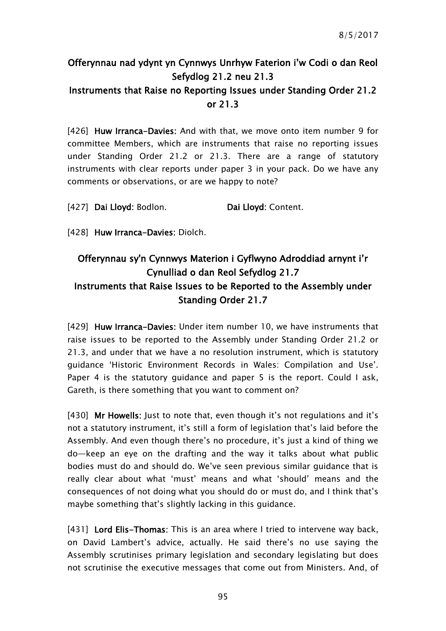# Offerynnau nad ydynt yn Cynnwys Unrhyw Faterion i'w Codi o dan Reol Sefydlog 21.2 neu 21.3

## Instruments that Raise no Reporting Issues under Standing Order 21.2 or 21.3

[426] Huw Irranca-Davies: And with that, we move onto item number 9 for committee Members, which are instruments that raise no reporting issues under Standing Order 21.2 or 21.3. There are a range of statutory instruments with clear reports under paper 3 in your pack. Do we have any comments or observations, or are we happy to note?

[427] Dai Lloyd: Bodlon. Dai Lloyd: Content.

[428] Huw Irranca-Davies: Diolch.

## Offerynnau sy'n Cynnwys Materion i Gyflwyno Adroddiad arnynt i'r Cynulliad o dan Reol Sefydlog 21.7 Instruments that Raise Issues to be Reported to the Assembly under Standing Order 21.7

[429] Huw Irranca-Davies: Under item number 10, we have instruments that raise issues to be reported to the Assembly under Standing Order 21.2 or 21.3, and under that we have a no resolution instrument, which is statutory guidance 'Historic Environment Records in Wales: Compilation and Use'. Paper 4 is the statutory guidance and paper 5 is the report. Could I ask, Gareth, is there something that you want to comment on?

[430] Mr Howells: Just to note that, even though it's not regulations and it's not a statutory instrument, it's still a form of legislation that's laid before the Assembly. And even though there's no procedure, it's just a kind of thing we do—keep an eye on the drafting and the way it talks about what public bodies must do and should do. We've seen previous similar guidance that is really clear about what 'must' means and what 'should' means and the consequences of not doing what you should do or must do, and I think that's maybe something that's slightly lacking in this guidance.

[431] Lord Elis-Thomas: This is an area where I tried to intervene way back, on David Lambert's advice, actually. He said there's no use saying the Assembly scrutinises primary legislation and secondary legislating but does not scrutinise the executive messages that come out from Ministers. And, of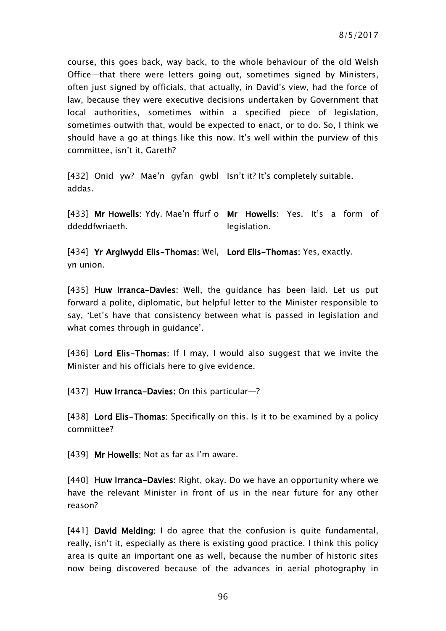course, this goes back, way back, to the whole behaviour of the old Welsh Office—that there were letters going out, sometimes signed by Ministers, often just signed by officials, that actually, in David's view, had the force of law, because they were executive decisions undertaken by Government that local authorities, sometimes within a specified piece of legislation, sometimes outwith that, would be expected to enact, or to do. So, I think we should have a go at things like this now. It's well within the purview of this committee, isn't it, Gareth?

[432] Onid yw? Mae'n gyfan gwbl Isn't it? It's completely suitable. addas.

[433] Mr Howells: Ydy. Mae'n ffurf o Mr Howells: Yes. It's a form of ddeddfwriaeth. legislation.

[434] Yr Arglwydd Elis-Thomas: Wel, Lord Elis-Thomas: Yes, exactly. yn union.

[435] Huw Irranca-Davies: Well, the guidance has been laid. Let us put forward a polite, diplomatic, but helpful letter to the Minister responsible to say, 'Let's have that consistency between what is passed in legislation and what comes through in guidance'.

[436] Lord Elis-Thomas: If I may, I would also suggest that we invite the Minister and his officials here to give evidence.

[437] Huw Irranca-Davies: On this particular-?

[438] Lord Elis-Thomas: Specifically on this. Is it to be examined by a policy committee?

[439] Mr Howells: Not as far as I'm aware.

[440] Huw Irranca-Davies: Right, okay. Do we have an opportunity where we have the relevant Minister in front of us in the near future for any other reason?

[441] David Melding: I do agree that the confusion is quite fundamental, really, isn't it, especially as there is existing good practice. I think this policy area is quite an important one as well, because the number of historic sites now being discovered because of the advances in aerial photography in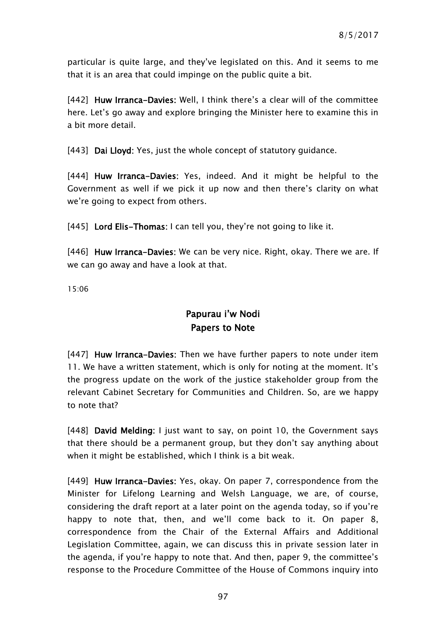particular is quite large, and they've legislated on this. And it seems to me that it is an area that could impinge on the public quite a bit.

[442] Huw Irranca-Davies: Well, I think there's a clear will of the committee here. Let's go away and explore bringing the Minister here to examine this in a bit more detail.

[443] Dai Lloyd: Yes, just the whole concept of statutory quidance.

[444] Huw Irranca-Davies: Yes, indeed. And it might be helpful to the Government as well if we pick it up now and then there's clarity on what we're going to expect from others.

[445] Lord Elis-Thomas: I can tell you, they're not going to like it.

[446] Huw Irranca-Davies: We can be very nice. Right, okay. There we are. If we can go away and have a look at that.

15:06

## Papurau i'w Nodi Papers to Note

[447] Huw Irranca-Davies: Then we have further papers to note under item 11. We have a written statement, which is only for noting at the moment. It's the progress update on the work of the justice stakeholder group from the relevant Cabinet Secretary for Communities and Children. So, are we happy to note that?

[448] David Melding: I just want to say, on point 10, the Government says that there should be a permanent group, but they don't say anything about when it might be established, which I think is a bit weak.

[449] Huw Irranca-Davies: Yes, okay. On paper 7, correspondence from the Minister for Lifelong Learning and Welsh Language, we are, of course, considering the draft report at a later point on the agenda today, so if you're happy to note that, then, and we'll come back to it. On paper 8, correspondence from the Chair of the External Affairs and Additional Legislation Committee, again, we can discuss this in private session later in the agenda, if you're happy to note that. And then, paper 9, the committee's response to the Procedure Committee of the House of Commons inquiry into